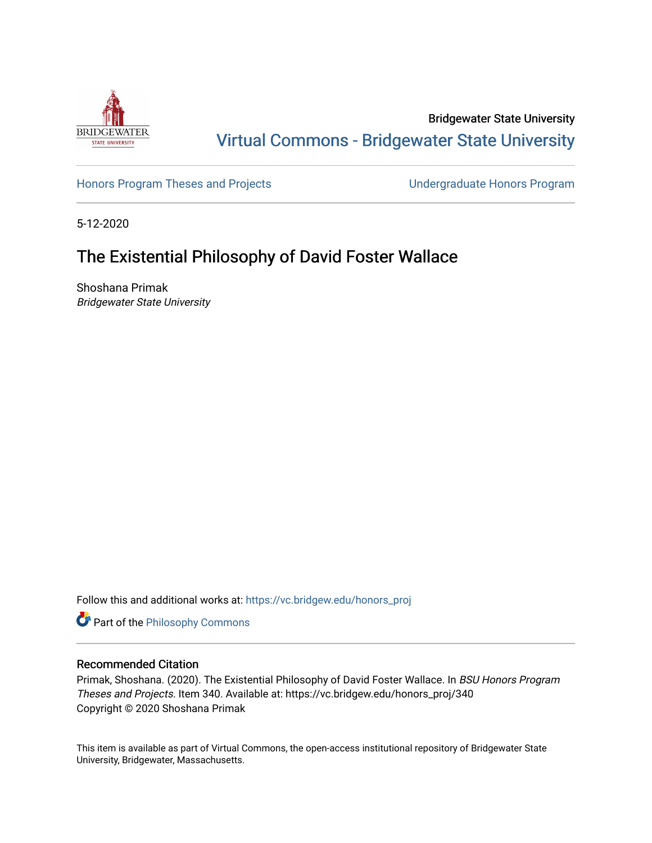

Bridgewater State University [Virtual Commons - Bridgewater State University](https://vc.bridgew.edu/) 

[Honors Program Theses and Projects](https://vc.bridgew.edu/honors_proj) [Undergraduate Honors Program](https://vc.bridgew.edu/honors) 

5-12-2020

# The Existential Philosophy of David Foster Wallace

Shoshana Primak Bridgewater State University

Follow this and additional works at: [https://vc.bridgew.edu/honors\\_proj](https://vc.bridgew.edu/honors_proj?utm_source=vc.bridgew.edu%2Fhonors_proj%2F340&utm_medium=PDF&utm_campaign=PDFCoverPages)

Part of the [Philosophy Commons](http://network.bepress.com/hgg/discipline/525?utm_source=vc.bridgew.edu%2Fhonors_proj%2F340&utm_medium=PDF&utm_campaign=PDFCoverPages) 

# Recommended Citation

Primak, Shoshana. (2020). The Existential Philosophy of David Foster Wallace. In BSU Honors Program Theses and Projects. Item 340. Available at: https://vc.bridgew.edu/honors\_proj/340 Copyright © 2020 Shoshana Primak

This item is available as part of Virtual Commons, the open-access institutional repository of Bridgewater State University, Bridgewater, Massachusetts.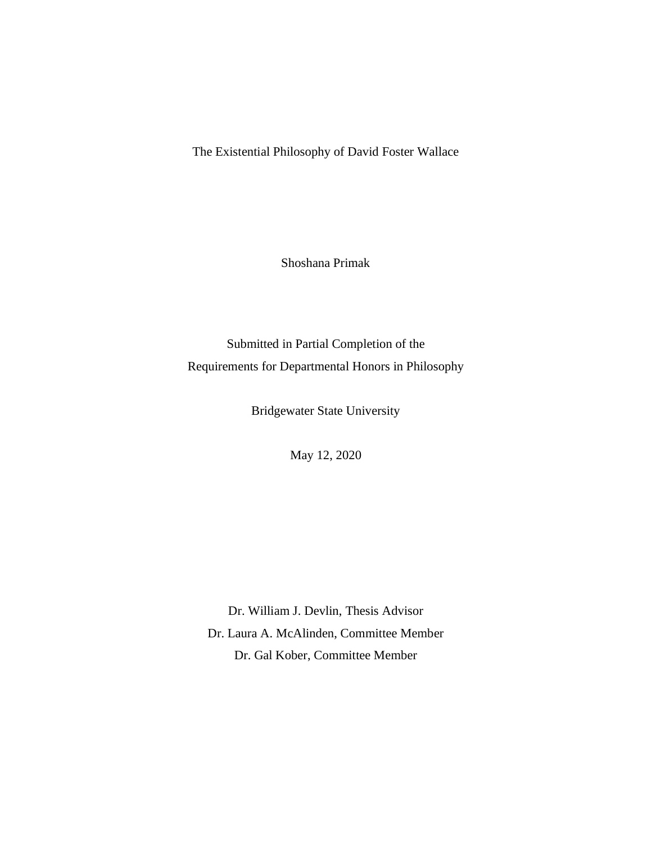The Existential Philosophy of David Foster Wallace

Shoshana Primak

Submitted in Partial Completion of the Requirements for Departmental Honors in Philosophy

Bridgewater State University

May 12, 2020

Dr. William J. Devlin, Thesis Advisor Dr. Laura A. McAlinden, Committee Member Dr. Gal Kober, Committee Member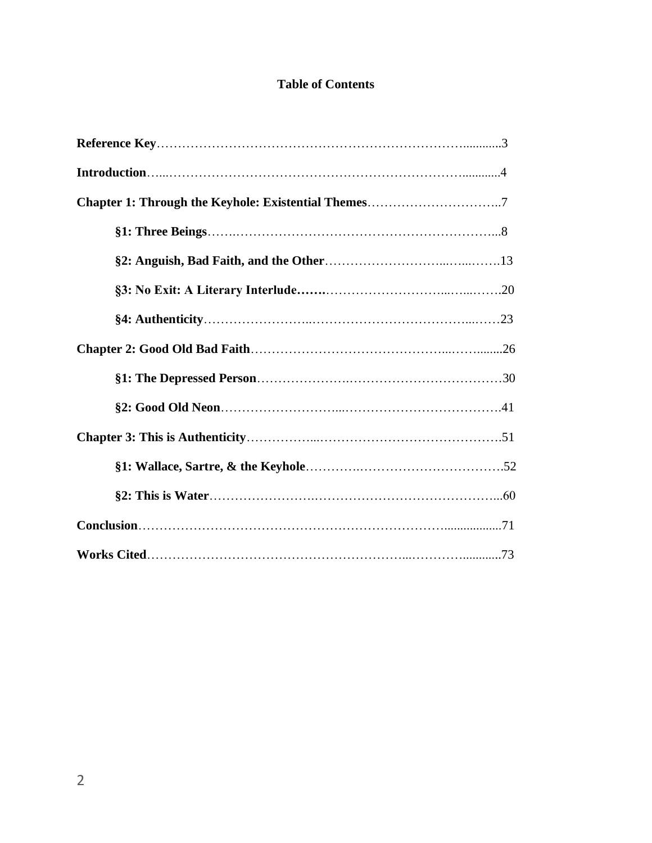# **Table of Contents**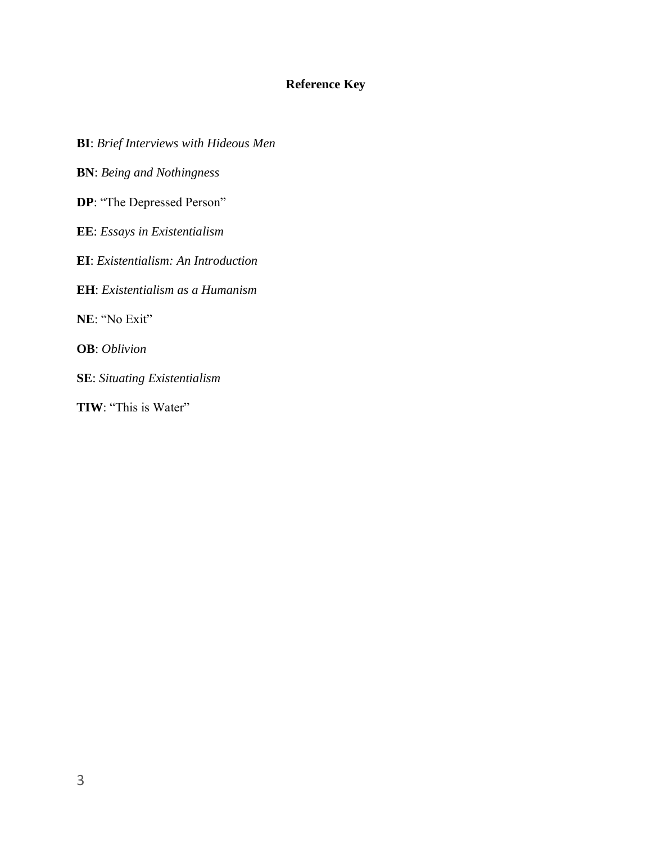# **Reference Key**

**BI**: *Brief Interviews with Hideous Men* **BN**: *Being and Nothingness*  **DP**: "The Depressed Person" **EE**: *Essays in Existentialism* **EI**: *Existentialism: An Introduction* **EH**: *Existentialism as a Humanism* **NE**: "No Exit" **OB**: *Oblivion* **SE**: *Situating Existentialism* **TIW**: "This is Water"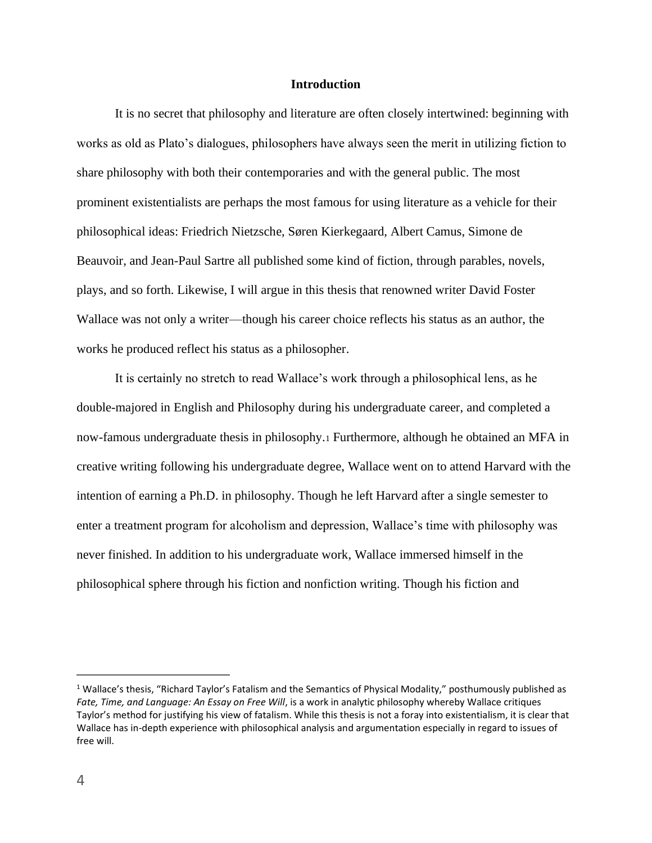# **Introduction**

It is no secret that philosophy and literature are often closely intertwined: beginning with works as old as Plato's dialogues, philosophers have always seen the merit in utilizing fiction to share philosophy with both their contemporaries and with the general public. The most prominent existentialists are perhaps the most famous for using literature as a vehicle for their philosophical ideas: Friedrich Nietzsche, Søren Kierkegaard, Albert Camus, Simone de Beauvoir, and Jean-Paul Sartre all published some kind of fiction, through parables, novels, plays, and so forth. Likewise, I will argue in this thesis that renowned writer David Foster Wallace was not only a writer—though his career choice reflects his status as an author, the works he produced reflect his status as a philosopher.

It is certainly no stretch to read Wallace's work through a philosophical lens, as he double-majored in English and Philosophy during his undergraduate career, and completed a now-famous undergraduate thesis in philosophy.<sup>1</sup> Furthermore, although he obtained an MFA in creative writing following his undergraduate degree, Wallace went on to attend Harvard with the intention of earning a Ph.D. in philosophy. Though he left Harvard after a single semester to enter a treatment program for alcoholism and depression, Wallace's time with philosophy was never finished. In addition to his undergraduate work, Wallace immersed himself in the philosophical sphere through his fiction and nonfiction writing. Though his fiction and

<sup>&</sup>lt;sup>1</sup> Wallace's thesis, "Richard Taylor's Fatalism and the Semantics of Physical Modality," posthumously published as *Fate, Time, and Language: An Essay on Free Will*, is a work in analytic philosophy whereby Wallace critiques Taylor's method for justifying his view of fatalism. While this thesis is not a foray into existentialism, it is clear that Wallace has in-depth experience with philosophical analysis and argumentation especially in regard to issues of free will.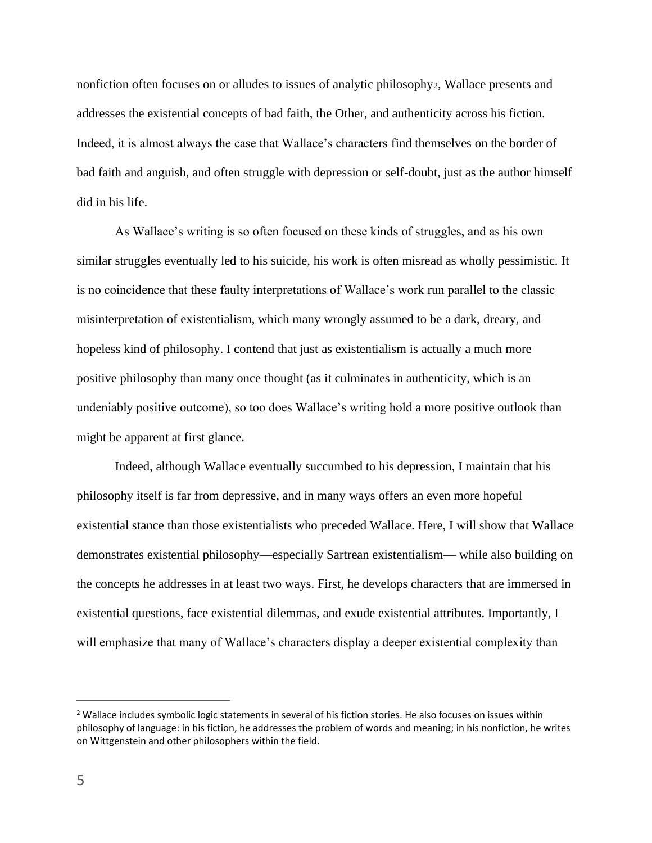nonfiction often focuses on or alludes to issues of analytic philosophy2, Wallace presents and addresses the existential concepts of bad faith, the Other, and authenticity across his fiction. Indeed, it is almost always the case that Wallace's characters find themselves on the border of bad faith and anguish, and often struggle with depression or self-doubt, just as the author himself did in his life.

As Wallace's writing is so often focused on these kinds of struggles, and as his own similar struggles eventually led to his suicide, his work is often misread as wholly pessimistic. It is no coincidence that these faulty interpretations of Wallace's work run parallel to the classic misinterpretation of existentialism, which many wrongly assumed to be a dark, dreary, and hopeless kind of philosophy. I contend that just as existentialism is actually a much more positive philosophy than many once thought (as it culminates in authenticity, which is an undeniably positive outcome), so too does Wallace's writing hold a more positive outlook than might be apparent at first glance.

Indeed, although Wallace eventually succumbed to his depression, I maintain that his philosophy itself is far from depressive, and in many ways offers an even more hopeful existential stance than those existentialists who preceded Wallace. Here, I will show that Wallace demonstrates existential philosophy—especially Sartrean existentialism— while also building on the concepts he addresses in at least two ways. First, he develops characters that are immersed in existential questions, face existential dilemmas, and exude existential attributes. Importantly, I will emphasize that many of Wallace's characters display a deeper existential complexity than

<sup>&</sup>lt;sup>2</sup> Wallace includes symbolic logic statements in several of his fiction stories. He also focuses on issues within philosophy of language: in his fiction, he addresses the problem of words and meaning; in his nonfiction, he writes on Wittgenstein and other philosophers within the field.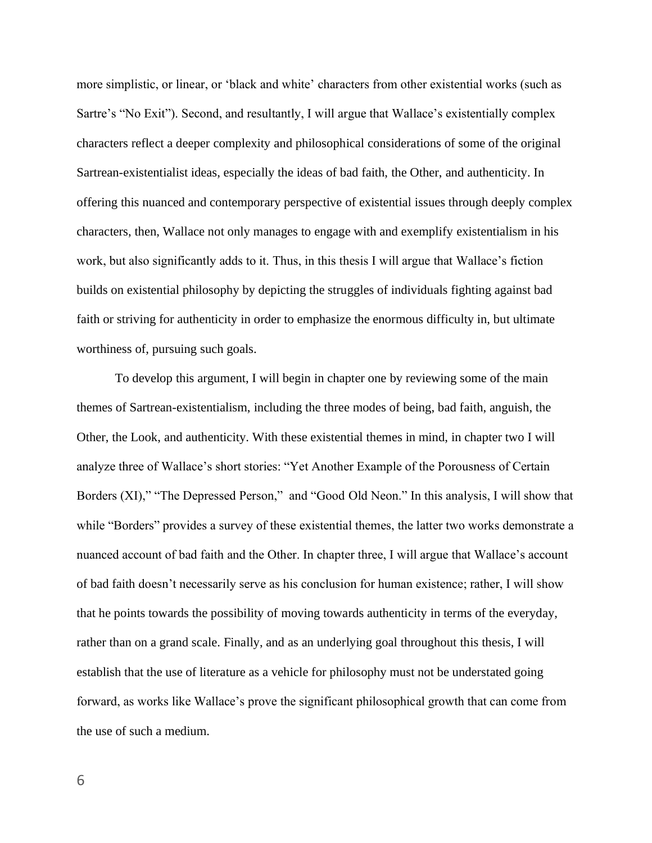more simplistic, or linear, or 'black and white' characters from other existential works (such as Sartre's "No Exit"). Second, and resultantly, I will argue that Wallace's existentially complex characters reflect a deeper complexity and philosophical considerations of some of the original Sartrean-existentialist ideas, especially the ideas of bad faith, the Other, and authenticity. In offering this nuanced and contemporary perspective of existential issues through deeply complex characters, then, Wallace not only manages to engage with and exemplify existentialism in his work, but also significantly adds to it. Thus, in this thesis I will argue that Wallace's fiction builds on existential philosophy by depicting the struggles of individuals fighting against bad faith or striving for authenticity in order to emphasize the enormous difficulty in, but ultimate worthiness of, pursuing such goals.

To develop this argument, I will begin in chapter one by reviewing some of the main themes of Sartrean-existentialism, including the three modes of being, bad faith, anguish, the Other, the Look, and authenticity. With these existential themes in mind, in chapter two I will analyze three of Wallace's short stories: "Yet Another Example of the Porousness of Certain Borders (XI)," "The Depressed Person," and "Good Old Neon." In this analysis, I will show that while "Borders" provides a survey of these existential themes, the latter two works demonstrate a nuanced account of bad faith and the Other. In chapter three, I will argue that Wallace's account of bad faith doesn't necessarily serve as his conclusion for human existence; rather, I will show that he points towards the possibility of moving towards authenticity in terms of the everyday, rather than on a grand scale. Finally, and as an underlying goal throughout this thesis, I will establish that the use of literature as a vehicle for philosophy must not be understated going forward, as works like Wallace's prove the significant philosophical growth that can come from the use of such a medium.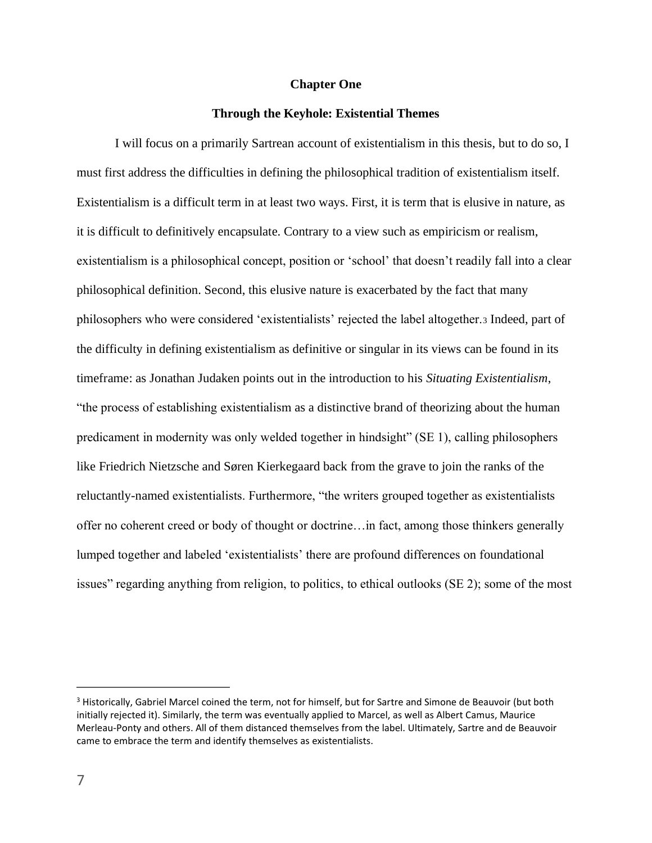# **Chapter One**

# **Through the Keyhole: Existential Themes**

I will focus on a primarily Sartrean account of existentialism in this thesis, but to do so, I must first address the difficulties in defining the philosophical tradition of existentialism itself. Existentialism is a difficult term in at least two ways. First, it is term that is elusive in nature, as it is difficult to definitively encapsulate. Contrary to a view such as empiricism or realism, existentialism is a philosophical concept, position or 'school' that doesn't readily fall into a clear philosophical definition. Second, this elusive nature is exacerbated by the fact that many philosophers who were considered 'existentialists' rejected the label altogether.<sup>3</sup> Indeed, part of the difficulty in defining existentialism as definitive or singular in its views can be found in its timeframe: as Jonathan Judaken points out in the introduction to his *Situating Existentialism*, "the process of establishing existentialism as a distinctive brand of theorizing about the human predicament in modernity was only welded together in hindsight" (SE 1), calling philosophers like Friedrich Nietzsche and Søren Kierkegaard back from the grave to join the ranks of the reluctantly-named existentialists. Furthermore, "the writers grouped together as existentialists offer no coherent creed or body of thought or doctrine…in fact, among those thinkers generally lumped together and labeled 'existentialists' there are profound differences on foundational issues" regarding anything from religion, to politics, to ethical outlooks (SE 2); some of the most

<sup>&</sup>lt;sup>3</sup> Historically, Gabriel Marcel coined the term, not for himself, but for Sartre and Simone de Beauvoir (but both initially rejected it). Similarly, the term was eventually applied to Marcel, as well as Albert Camus, Maurice Merleau-Ponty and others. All of them distanced themselves from the label. Ultimately, Sartre and de Beauvoir came to embrace the term and identify themselves as existentialists.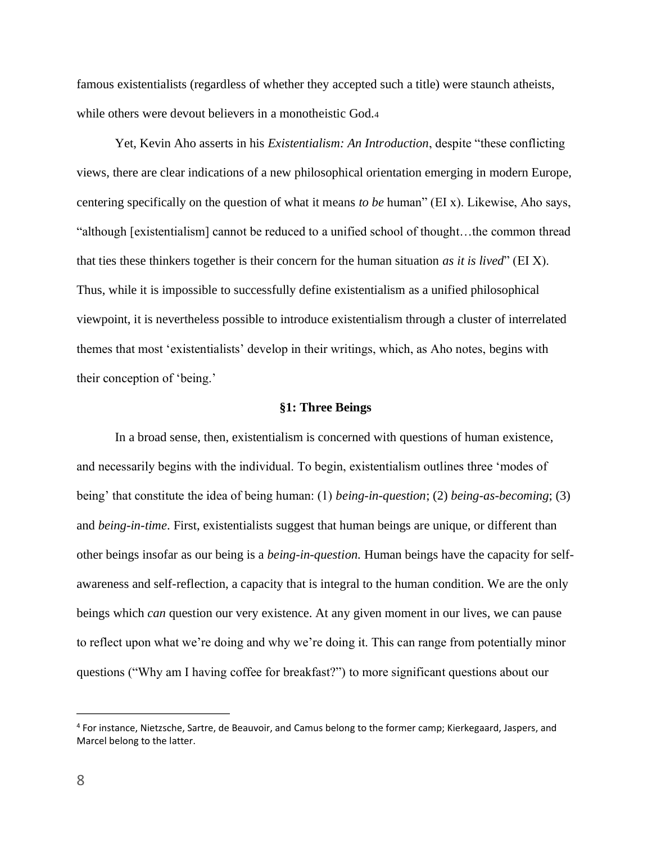famous existentialists (regardless of whether they accepted such a title) were staunch atheists, while others were devout believers in a monotheistic God.4

Yet, Kevin Aho asserts in his *Existentialism: An Introduction*, despite "these conflicting views, there are clear indications of a new philosophical orientation emerging in modern Europe, centering specifically on the question of what it means *to be* human" (EI x). Likewise, Aho says, "although [existentialism] cannot be reduced to a unified school of thought…the common thread that ties these thinkers together is their concern for the human situation *as it is lived*" (EI X). Thus, while it is impossible to successfully define existentialism as a unified philosophical viewpoint, it is nevertheless possible to introduce existentialism through a cluster of interrelated themes that most 'existentialists' develop in their writings, which, as Aho notes, begins with their conception of 'being.'

#### **§1: Three Beings**

In a broad sense, then, existentialism is concerned with questions of human existence, and necessarily begins with the individual. To begin, existentialism outlines three 'modes of being' that constitute the idea of being human: (1) *being-in-question*; (2) *being-as-becoming*; (3) and *being-in-time*. First, existentialists suggest that human beings are unique, or different than other beings insofar as our being is a *being-in-question.* Human beings have the capacity for selfawareness and self-reflection, a capacity that is integral to the human condition. We are the only beings which *can* question our very existence. At any given moment in our lives, we can pause to reflect upon what we're doing and why we're doing it. This can range from potentially minor questions ("Why am I having coffee for breakfast?") to more significant questions about our

<sup>4</sup> For instance, Nietzsche, Sartre, de Beauvoir, and Camus belong to the former camp; Kierkegaard, Jaspers, and Marcel belong to the latter.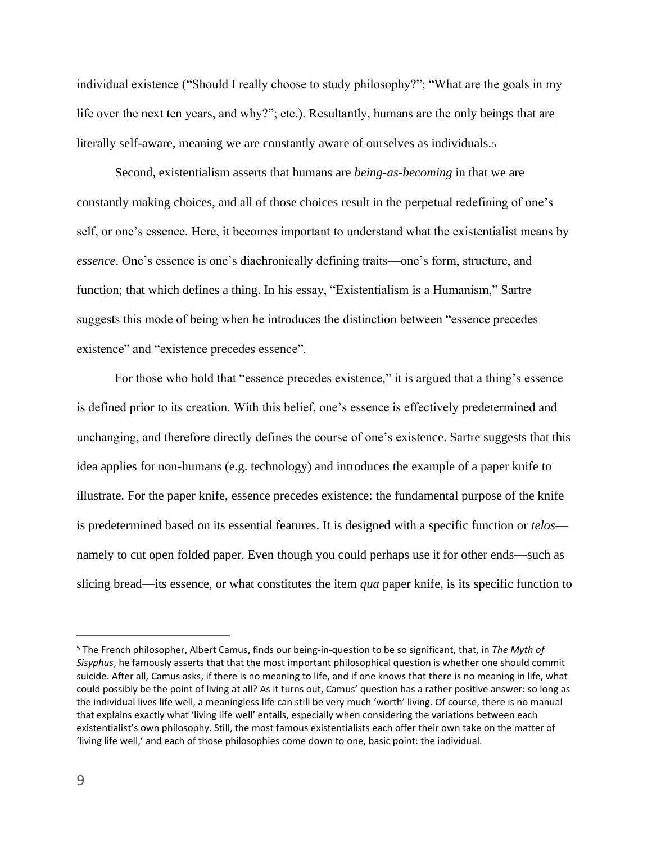individual existence ("Should I really choose to study philosophy?"; "What are the goals in my life over the next ten years, and why?"; etc.). Resultantly, humans are the only beings that are literally self-aware, meaning we are constantly aware of ourselves as individuals.<sup>5</sup>

Second, existentialism asserts that humans are *being-as-becoming* in that we are constantly making choices, and all of those choices result in the perpetual redefining of one's self, or one's essence. Here, it becomes important to understand what the existentialist means by *essence*. One's essence is one's diachronically defining traits—one's form, structure, and function; that which defines a thing. In his essay, "Existentialism is a Humanism," Sartre suggests this mode of being when he introduces the distinction between "essence precedes existence" and "existence precedes essence".

For those who hold that "essence precedes existence," it is argued that a thing's essence is defined prior to its creation. With this belief, one's essence is effectively predetermined and unchanging, and therefore directly defines the course of one's existence. Sartre suggests that this idea applies for non-humans (e.g. technology) and introduces the example of a paper knife to illustrate. For the paper knife, essence precedes existence: the fundamental purpose of the knife is predetermined based on its essential features. It is designed with a specific function or *telos* namely to cut open folded paper. Even though you could perhaps use it for other ends—such as slicing bread—its essence, or what constitutes the item *qua* paper knife, is its specific function to

<sup>5</sup> The French philosopher, Albert Camus, finds our being-in-question to be so significant, that, in *The Myth of Sisyphus*, he famously asserts that that the most important philosophical question is whether one should commit suicide. After all, Camus asks, if there is no meaning to life, and if one knows that there is no meaning in life, what could possibly be the point of living at all? As it turns out, Camus' question has a rather positive answer: so long as the individual lives life well, a meaningless life can still be very much 'worth' living. Of course, there is no manual that explains exactly what 'living life well' entails, especially when considering the variations between each existentialist's own philosophy. Still, the most famous existentialists each offer their own take on the matter of 'living life well,' and each of those philosophies come down to one, basic point: the individual.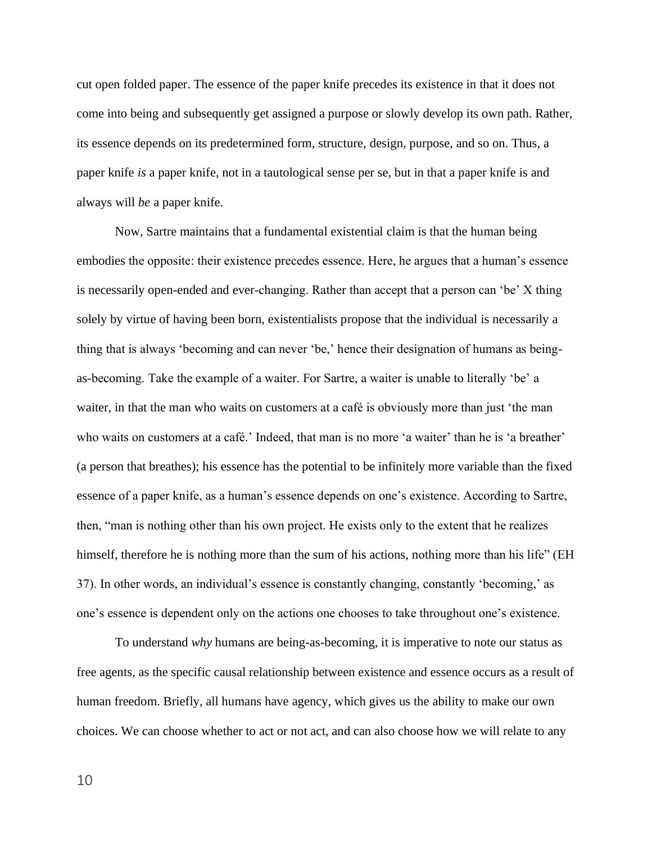cut open folded paper. The essence of the paper knife precedes its existence in that it does not come into being and subsequently get assigned a purpose or slowly develop its own path. Rather, its essence depends on its predetermined form, structure, design, purpose, and so on. Thus, a paper knife *is* a paper knife, not in a tautological sense per se, but in that a paper knife is and always will *be* a paper knife.

Now, Sartre maintains that a fundamental existential claim is that the human being embodies the opposite: their existence precedes essence. Here, he argues that a human's essence is necessarily open-ended and ever-changing. Rather than accept that a person can 'be' X thing solely by virtue of having been born, existentialists propose that the individual is necessarily a thing that is always 'becoming and can never 'be,' hence their designation of humans as beingas-becoming. Take the example of a waiter. For Sartre, a waiter is unable to literally 'be' a waiter, in that the man who waits on customers at a café is obviously more than just 'the man who waits on customers at a café.' Indeed, that man is no more 'a waiter' than he is 'a breather' (a person that breathes); his essence has the potential to be infinitely more variable than the fixed essence of a paper knife, as a human's essence depends on one's existence. According to Sartre, then, "man is nothing other than his own project. He exists only to the extent that he realizes himself, therefore he is nothing more than the sum of his actions, nothing more than his life" (EH 37). In other words, an individual's essence is constantly changing, constantly 'becoming,' as one's essence is dependent only on the actions one chooses to take throughout one's existence.

To understand *why* humans are being-as-becoming, it is imperative to note our status as free agents, as the specific causal relationship between existence and essence occurs as a result of human freedom. Briefly, all humans have agency, which gives us the ability to make our own choices. We can choose whether to act or not act, and can also choose how we will relate to any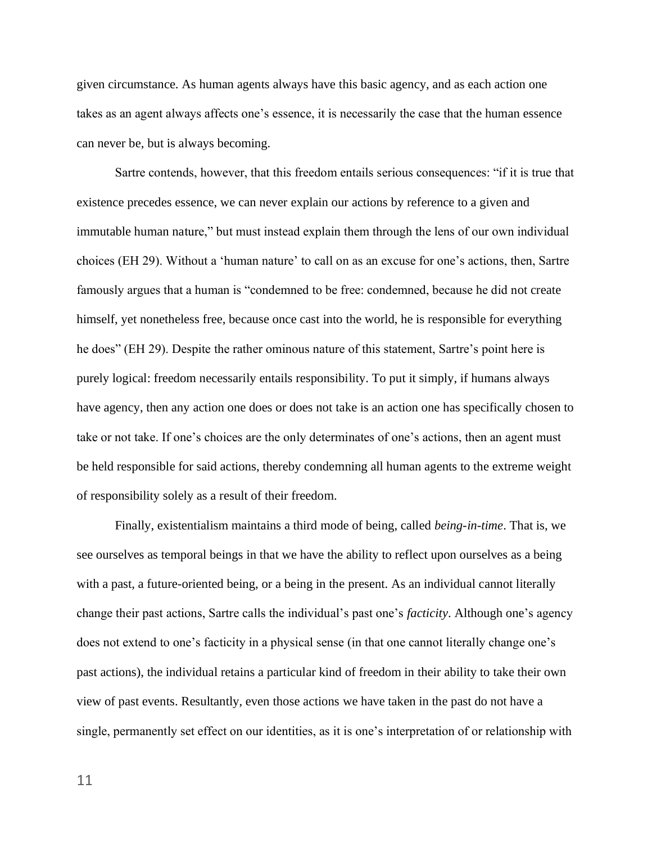given circumstance. As human agents always have this basic agency, and as each action one takes as an agent always affects one's essence, it is necessarily the case that the human essence can never be, but is always becoming.

Sartre contends, however, that this freedom entails serious consequences: "if it is true that existence precedes essence, we can never explain our actions by reference to a given and immutable human nature," but must instead explain them through the lens of our own individual choices (EH 29). Without a 'human nature' to call on as an excuse for one's actions, then, Sartre famously argues that a human is "condemned to be free: condemned, because he did not create himself, yet nonetheless free, because once cast into the world, he is responsible for everything he does" (EH 29). Despite the rather ominous nature of this statement, Sartre's point here is purely logical: freedom necessarily entails responsibility. To put it simply, if humans always have agency, then any action one does or does not take is an action one has specifically chosen to take or not take. If one's choices are the only determinates of one's actions, then an agent must be held responsible for said actions, thereby condemning all human agents to the extreme weight of responsibility solely as a result of their freedom.

Finally, existentialism maintains a third mode of being, called *being-in-time*. That is, we see ourselves as temporal beings in that we have the ability to reflect upon ourselves as a being with a past, a future-oriented being, or a being in the present. As an individual cannot literally change their past actions, Sartre calls the individual's past one's *facticity*. Although one's agency does not extend to one's facticity in a physical sense (in that one cannot literally change one's past actions), the individual retains a particular kind of freedom in their ability to take their own view of past events. Resultantly, even those actions we have taken in the past do not have a single, permanently set effect on our identities, as it is one's interpretation of or relationship with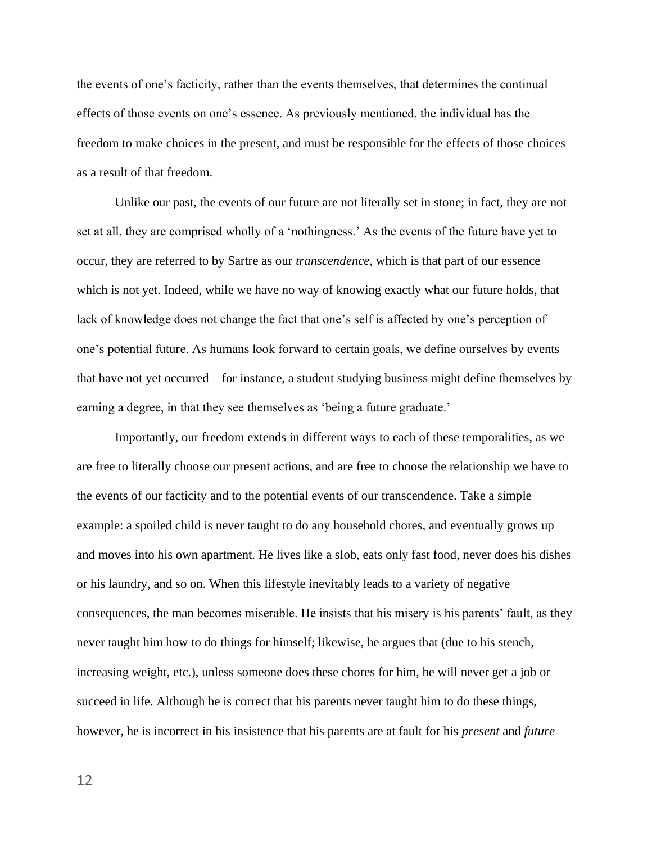the events of one's facticity, rather than the events themselves, that determines the continual effects of those events on one's essence. As previously mentioned, the individual has the freedom to make choices in the present, and must be responsible for the effects of those choices as a result of that freedom.

Unlike our past, the events of our future are not literally set in stone; in fact, they are not set at all, they are comprised wholly of a 'nothingness.' As the events of the future have yet to occur, they are referred to by Sartre as our *transcendence*, which is that part of our essence which is not yet. Indeed, while we have no way of knowing exactly what our future holds, that lack of knowledge does not change the fact that one's self is affected by one's perception of one's potential future. As humans look forward to certain goals, we define ourselves by events that have not yet occurred—for instance, a student studying business might define themselves by earning a degree, in that they see themselves as 'being a future graduate.'

Importantly, our freedom extends in different ways to each of these temporalities, as we are free to literally choose our present actions, and are free to choose the relationship we have to the events of our facticity and to the potential events of our transcendence. Take a simple example: a spoiled child is never taught to do any household chores, and eventually grows up and moves into his own apartment. He lives like a slob, eats only fast food, never does his dishes or his laundry, and so on. When this lifestyle inevitably leads to a variety of negative consequences, the man becomes miserable. He insists that his misery is his parents' fault, as they never taught him how to do things for himself; likewise, he argues that (due to his stench, increasing weight, etc.), unless someone does these chores for him, he will never get a job or succeed in life. Although he is correct that his parents never taught him to do these things, however, he is incorrect in his insistence that his parents are at fault for his *present* and *future*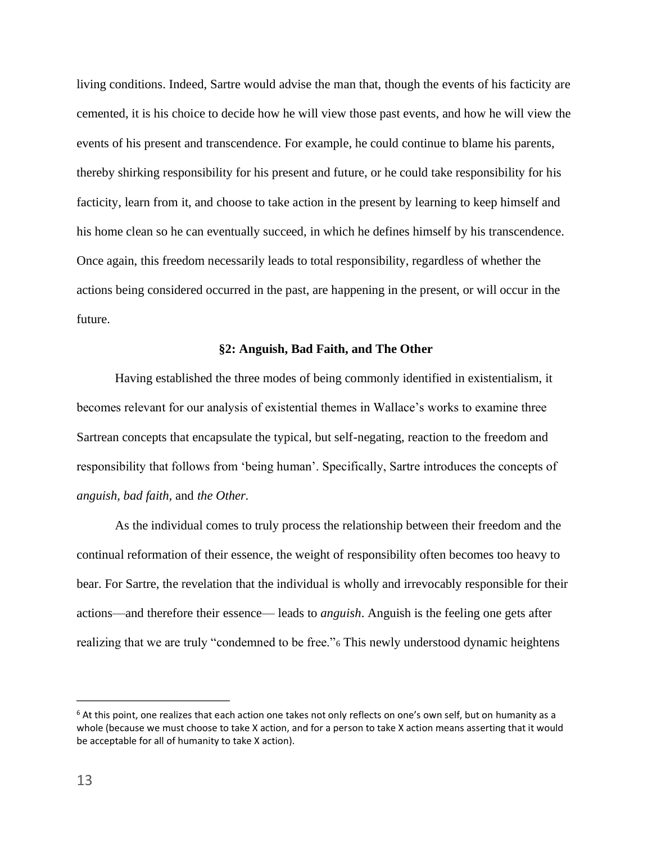living conditions. Indeed, Sartre would advise the man that, though the events of his facticity are cemented, it is his choice to decide how he will view those past events, and how he will view the events of his present and transcendence. For example, he could continue to blame his parents, thereby shirking responsibility for his present and future, or he could take responsibility for his facticity, learn from it, and choose to take action in the present by learning to keep himself and his home clean so he can eventually succeed, in which he defines himself by his transcendence. Once again, this freedom necessarily leads to total responsibility, regardless of whether the actions being considered occurred in the past, are happening in the present, or will occur in the future.

#### **§2: Anguish, Bad Faith, and The Other**

Having established the three modes of being commonly identified in existentialism, it becomes relevant for our analysis of existential themes in Wallace's works to examine three Sartrean concepts that encapsulate the typical, but self-negating, reaction to the freedom and responsibility that follows from 'being human'. Specifically, Sartre introduces the concepts of *anguish, bad faith,* and *the Other.* 

As the individual comes to truly process the relationship between their freedom and the continual reformation of their essence, the weight of responsibility often becomes too heavy to bear. For Sartre, the revelation that the individual is wholly and irrevocably responsible for their actions—and therefore their essence— leads to *anguish*. Anguish is the feeling one gets after realizing that we are truly "condemned to be free."<sup>6</sup> This newly understood dynamic heightens

<sup>&</sup>lt;sup>6</sup> At this point, one realizes that each action one takes not only reflects on one's own self, but on humanity as a whole (because we must choose to take X action, and for a person to take X action means asserting that it would be acceptable for all of humanity to take X action).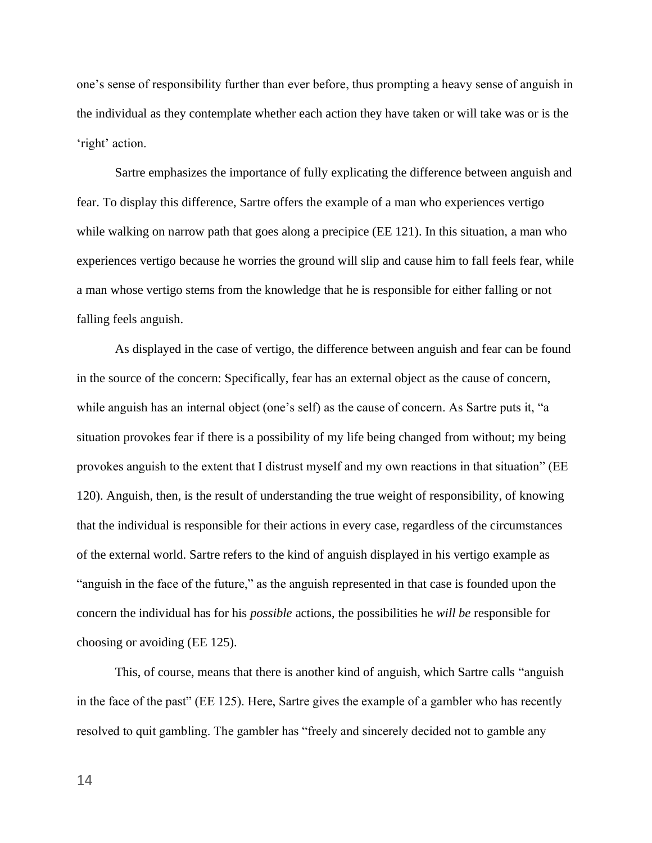one's sense of responsibility further than ever before, thus prompting a heavy sense of anguish in the individual as they contemplate whether each action they have taken or will take was or is the 'right' action.

Sartre emphasizes the importance of fully explicating the difference between anguish and fear. To display this difference, Sartre offers the example of a man who experiences vertigo while walking on narrow path that goes along a precipice (EE 121). In this situation, a man who experiences vertigo because he worries the ground will slip and cause him to fall feels fear, while a man whose vertigo stems from the knowledge that he is responsible for either falling or not falling feels anguish.

As displayed in the case of vertigo, the difference between anguish and fear can be found in the source of the concern: Specifically, fear has an external object as the cause of concern, while anguish has an internal object (one's self) as the cause of concern. As Sartre puts it, "a situation provokes fear if there is a possibility of my life being changed from without; my being provokes anguish to the extent that I distrust myself and my own reactions in that situation" (EE 120). Anguish, then, is the result of understanding the true weight of responsibility, of knowing that the individual is responsible for their actions in every case, regardless of the circumstances of the external world. Sartre refers to the kind of anguish displayed in his vertigo example as "anguish in the face of the future," as the anguish represented in that case is founded upon the concern the individual has for his *possible* actions, the possibilities he *will be* responsible for choosing or avoiding (EE 125).

This, of course, means that there is another kind of anguish, which Sartre calls "anguish in the face of the past" (EE 125). Here, Sartre gives the example of a gambler who has recently resolved to quit gambling. The gambler has "freely and sincerely decided not to gamble any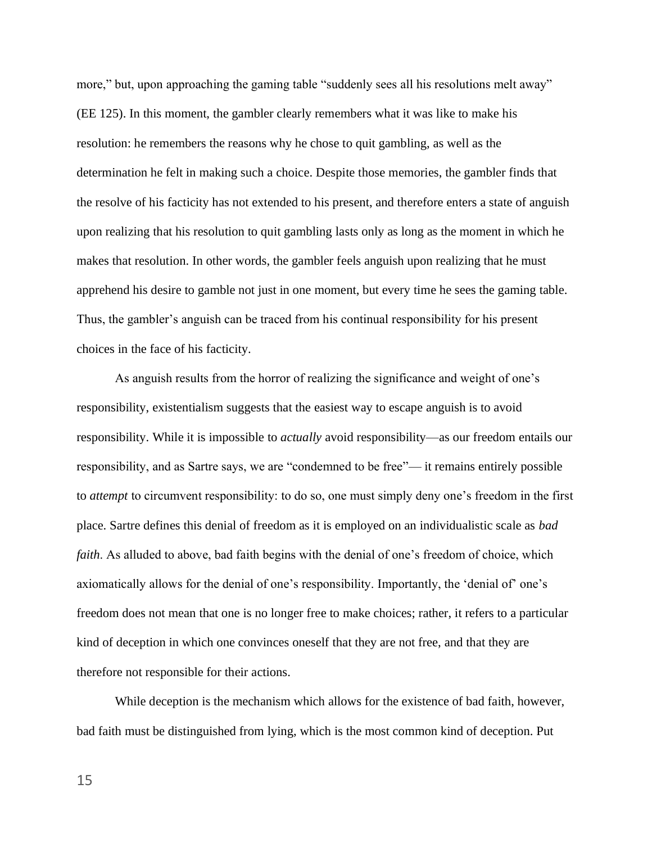more," but, upon approaching the gaming table "suddenly sees all his resolutions melt away" (EE 125). In this moment, the gambler clearly remembers what it was like to make his resolution: he remembers the reasons why he chose to quit gambling, as well as the determination he felt in making such a choice. Despite those memories, the gambler finds that the resolve of his facticity has not extended to his present, and therefore enters a state of anguish upon realizing that his resolution to quit gambling lasts only as long as the moment in which he makes that resolution. In other words, the gambler feels anguish upon realizing that he must apprehend his desire to gamble not just in one moment, but every time he sees the gaming table. Thus, the gambler's anguish can be traced from his continual responsibility for his present choices in the face of his facticity.

As anguish results from the horror of realizing the significance and weight of one's responsibility, existentialism suggests that the easiest way to escape anguish is to avoid responsibility. While it is impossible to *actually* avoid responsibility—as our freedom entails our responsibility, and as Sartre says, we are "condemned to be free"— it remains entirely possible to *attempt* to circumvent responsibility: to do so, one must simply deny one's freedom in the first place. Sartre defines this denial of freedom as it is employed on an individualistic scale as *bad faith*. As alluded to above, bad faith begins with the denial of one's freedom of choice, which axiomatically allows for the denial of one's responsibility. Importantly, the 'denial of' one's freedom does not mean that one is no longer free to make choices; rather, it refers to a particular kind of deception in which one convinces oneself that they are not free, and that they are therefore not responsible for their actions.

While deception is the mechanism which allows for the existence of bad faith, however, bad faith must be distinguished from lying, which is the most common kind of deception. Put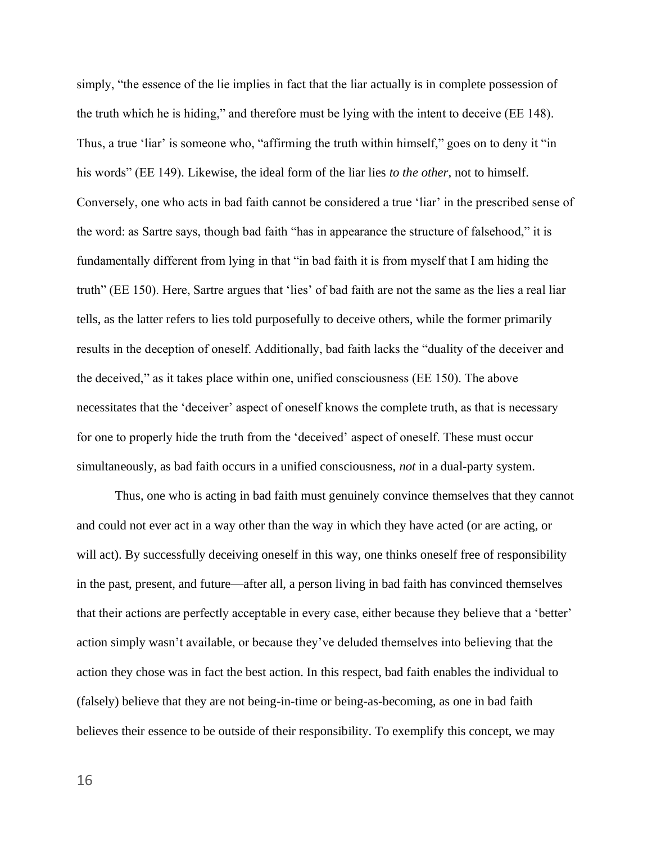simply, "the essence of the lie implies in fact that the liar actually is in complete possession of the truth which he is hiding," and therefore must be lying with the intent to deceive (EE 148). Thus, a true 'liar' is someone who, "affirming the truth within himself," goes on to deny it "in his words" (EE 149). Likewise, the ideal form of the liar lies *to the other*, not to himself. Conversely, one who acts in bad faith cannot be considered a true 'liar' in the prescribed sense of the word: as Sartre says, though bad faith "has in appearance the structure of falsehood," it is fundamentally different from lying in that "in bad faith it is from myself that I am hiding the truth" (EE 150). Here, Sartre argues that 'lies' of bad faith are not the same as the lies a real liar tells, as the latter refers to lies told purposefully to deceive others, while the former primarily results in the deception of oneself. Additionally, bad faith lacks the "duality of the deceiver and the deceived," as it takes place within one, unified consciousness (EE 150). The above necessitates that the 'deceiver' aspect of oneself knows the complete truth, as that is necessary for one to properly hide the truth from the 'deceived' aspect of oneself. These must occur simultaneously, as bad faith occurs in a unified consciousness, *not* in a dual-party system.

Thus, one who is acting in bad faith must genuinely convince themselves that they cannot and could not ever act in a way other than the way in which they have acted (or are acting, or will act). By successfully deceiving oneself in this way, one thinks oneself free of responsibility in the past, present, and future—after all, a person living in bad faith has convinced themselves that their actions are perfectly acceptable in every case, either because they believe that a 'better' action simply wasn't available, or because they've deluded themselves into believing that the action they chose was in fact the best action. In this respect, bad faith enables the individual to (falsely) believe that they are not being-in-time or being-as-becoming, as one in bad faith believes their essence to be outside of their responsibility. To exemplify this concept, we may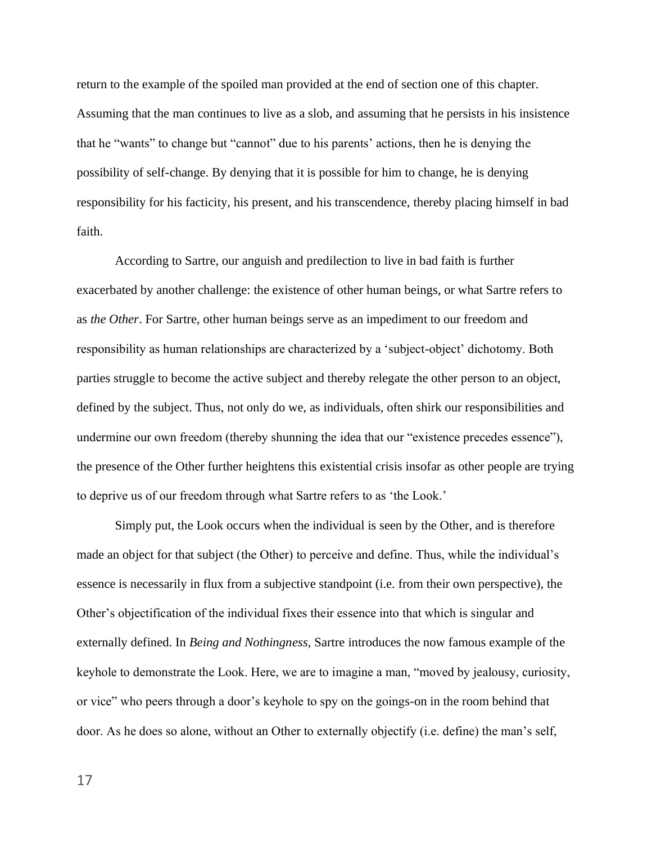return to the example of the spoiled man provided at the end of section one of this chapter. Assuming that the man continues to live as a slob, and assuming that he persists in his insistence that he "wants" to change but "cannot" due to his parents' actions, then he is denying the possibility of self-change. By denying that it is possible for him to change, he is denying responsibility for his facticity, his present, and his transcendence, thereby placing himself in bad faith.

According to Sartre, our anguish and predilection to live in bad faith is further exacerbated by another challenge: the existence of other human beings, or what Sartre refers to as *the Other*. For Sartre, other human beings serve as an impediment to our freedom and responsibility as human relationships are characterized by a 'subject-object' dichotomy. Both parties struggle to become the active subject and thereby relegate the other person to an object, defined by the subject. Thus, not only do we, as individuals, often shirk our responsibilities and undermine our own freedom (thereby shunning the idea that our "existence precedes essence"), the presence of the Other further heightens this existential crisis insofar as other people are trying to deprive us of our freedom through what Sartre refers to as 'the Look.'

Simply put, the Look occurs when the individual is seen by the Other, and is therefore made an object for that subject (the Other) to perceive and define. Thus, while the individual's essence is necessarily in flux from a subjective standpoint (i.e. from their own perspective), the Other's objectification of the individual fixes their essence into that which is singular and externally defined. In *Being and Nothingness,* Sartre introduces the now famous example of the keyhole to demonstrate the Look. Here, we are to imagine a man, "moved by jealousy, curiosity, or vice" who peers through a door's keyhole to spy on the goings-on in the room behind that door. As he does so alone, without an Other to externally objectify (i.e. define) the man's self,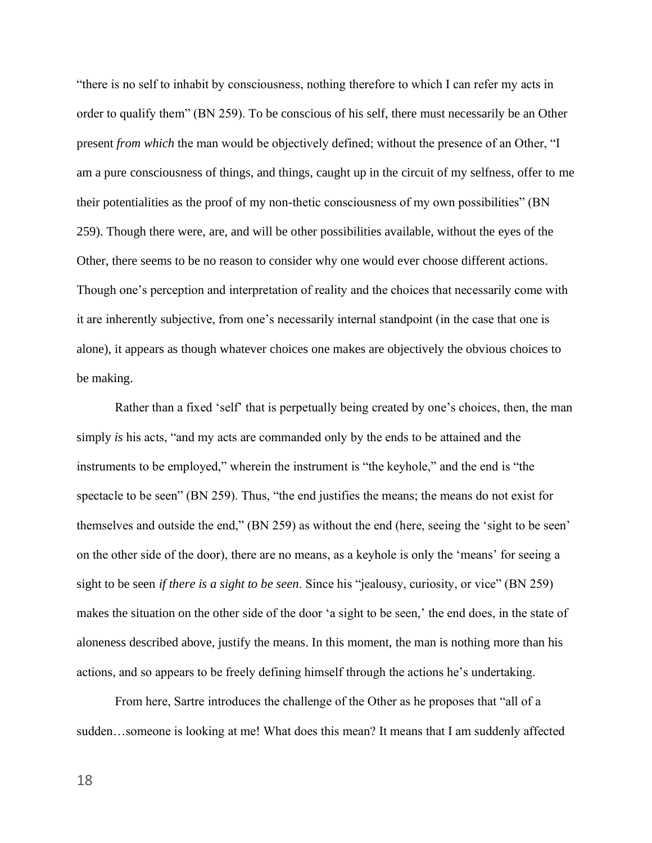"there is no self to inhabit by consciousness, nothing therefore to which I can refer my acts in order to qualify them" (BN 259). To be conscious of his self, there must necessarily be an Other present *from which* the man would be objectively defined; without the presence of an Other, "I am a pure consciousness of things, and things, caught up in the circuit of my selfness, offer to me their potentialities as the proof of my non-thetic consciousness of my own possibilities" (BN 259). Though there were, are, and will be other possibilities available, without the eyes of the Other, there seems to be no reason to consider why one would ever choose different actions. Though one's perception and interpretation of reality and the choices that necessarily come with it are inherently subjective, from one's necessarily internal standpoint (in the case that one is alone), it appears as though whatever choices one makes are objectively the obvious choices to be making.

Rather than a fixed 'self' that is perpetually being created by one's choices, then, the man simply *is* his acts, "and my acts are commanded only by the ends to be attained and the instruments to be employed," wherein the instrument is "the keyhole," and the end is "the spectacle to be seen" (BN 259). Thus, "the end justifies the means; the means do not exist for themselves and outside the end," (BN 259) as without the end (here, seeing the 'sight to be seen' on the other side of the door), there are no means, as a keyhole is only the 'means' for seeing a sight to be seen *if there is a sight to be seen*. Since his "jealousy, curiosity, or vice" (BN 259) makes the situation on the other side of the door 'a sight to be seen,' the end does, in the state of aloneness described above, justify the means. In this moment, the man is nothing more than his actions, and so appears to be freely defining himself through the actions he's undertaking.

From here, Sartre introduces the challenge of the Other as he proposes that "all of a sudden…someone is looking at me! What does this mean? It means that I am suddenly affected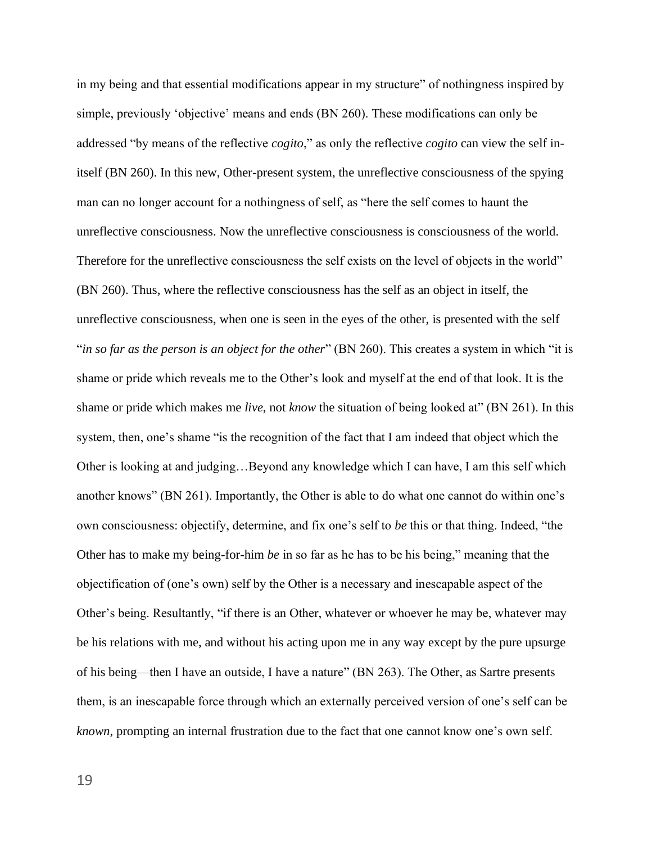in my being and that essential modifications appear in my structure" of nothingness inspired by simple, previously 'objective' means and ends (BN 260). These modifications can only be addressed "by means of the reflective *cogito*," as only the reflective *cogito* can view the self initself (BN 260). In this new, Other-present system, the unreflective consciousness of the spying man can no longer account for a nothingness of self, as "here the self comes to haunt the unreflective consciousness. Now the unreflective consciousness is consciousness of the world. Therefore for the unreflective consciousness the self exists on the level of objects in the world" (BN 260). Thus, where the reflective consciousness has the self as an object in itself, the unreflective consciousness, when one is seen in the eyes of the other, is presented with the self "*in so far as the person is an object for the other*" (BN 260). This creates a system in which "it is shame or pride which reveals me to the Other's look and myself at the end of that look. It is the shame or pride which makes me *live*, not *know* the situation of being looked at" (BN 261). In this system, then, one's shame "is the recognition of the fact that I am indeed that object which the Other is looking at and judging…Beyond any knowledge which I can have, I am this self which another knows" (BN 261). Importantly, the Other is able to do what one cannot do within one's own consciousness: objectify, determine, and fix one's self to *be* this or that thing. Indeed, "the Other has to make my being-for-him *be* in so far as he has to be his being," meaning that the objectification of (one's own) self by the Other is a necessary and inescapable aspect of the Other's being. Resultantly, "if there is an Other, whatever or whoever he may be, whatever may be his relations with me, and without his acting upon me in any way except by the pure upsurge of his being—then I have an outside, I have a nature" (BN 263). The Other, as Sartre presents them, is an inescapable force through which an externally perceived version of one's self can be *known*, prompting an internal frustration due to the fact that one cannot know one's own self.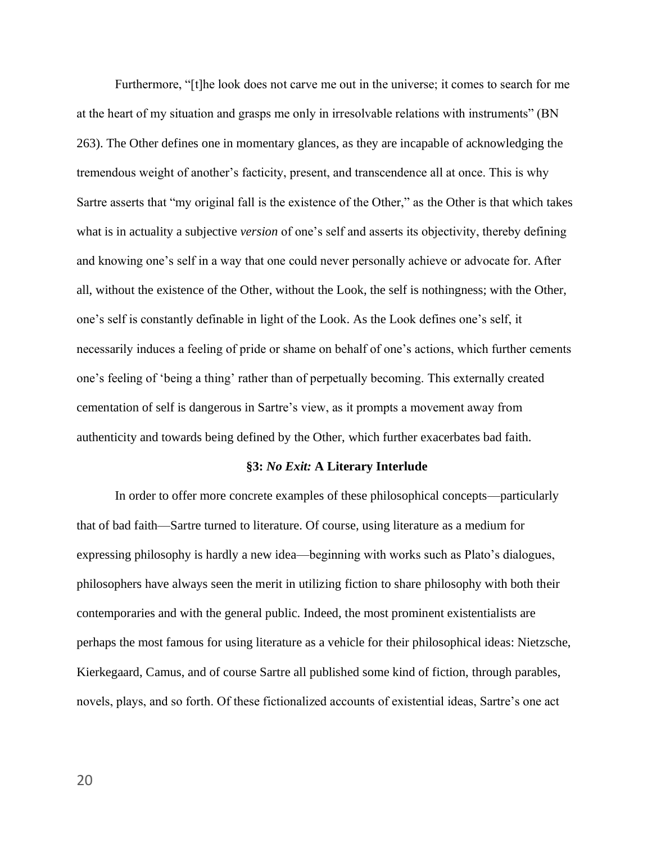Furthermore, "[t]he look does not carve me out in the universe; it comes to search for me at the heart of my situation and grasps me only in irresolvable relations with instruments" (BN 263). The Other defines one in momentary glances, as they are incapable of acknowledging the tremendous weight of another's facticity, present, and transcendence all at once. This is why Sartre asserts that "my original fall is the existence of the Other," as the Other is that which takes what is in actuality a subjective *version* of one's self and asserts its objectivity, thereby defining and knowing one's self in a way that one could never personally achieve or advocate for. After all, without the existence of the Other, without the Look, the self is nothingness; with the Other, one's self is constantly definable in light of the Look. As the Look defines one's self, it necessarily induces a feeling of pride or shame on behalf of one's actions, which further cements one's feeling of 'being a thing' rather than of perpetually becoming. This externally created cementation of self is dangerous in Sartre's view, as it prompts a movement away from authenticity and towards being defined by the Other, which further exacerbates bad faith.

# **§3:** *No Exit:* **A Literary Interlude**

In order to offer more concrete examples of these philosophical concepts—particularly that of bad faith—Sartre turned to literature. Of course, using literature as a medium for expressing philosophy is hardly a new idea—beginning with works such as Plato's dialogues, philosophers have always seen the merit in utilizing fiction to share philosophy with both their contemporaries and with the general public. Indeed, the most prominent existentialists are perhaps the most famous for using literature as a vehicle for their philosophical ideas: Nietzsche, Kierkegaard, Camus, and of course Sartre all published some kind of fiction, through parables, novels, plays, and so forth. Of these fictionalized accounts of existential ideas, Sartre's one act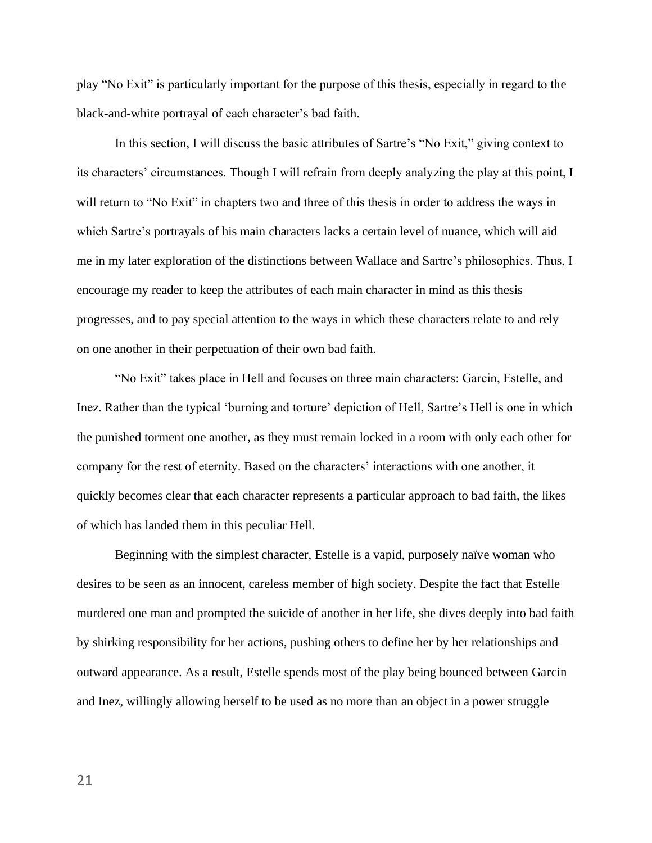play "No Exit" is particularly important for the purpose of this thesis, especially in regard to the black-and-white portrayal of each character's bad faith.

In this section, I will discuss the basic attributes of Sartre's "No Exit," giving context to its characters' circumstances. Though I will refrain from deeply analyzing the play at this point, I will return to "No Exit" in chapters two and three of this thesis in order to address the ways in which Sartre's portrayals of his main characters lacks a certain level of nuance, which will aid me in my later exploration of the distinctions between Wallace and Sartre's philosophies. Thus, I encourage my reader to keep the attributes of each main character in mind as this thesis progresses, and to pay special attention to the ways in which these characters relate to and rely on one another in their perpetuation of their own bad faith.

"No Exit" takes place in Hell and focuses on three main characters: Garcin, Estelle, and Inez. Rather than the typical 'burning and torture' depiction of Hell, Sartre's Hell is one in which the punished torment one another, as they must remain locked in a room with only each other for company for the rest of eternity. Based on the characters' interactions with one another, it quickly becomes clear that each character represents a particular approach to bad faith, the likes of which has landed them in this peculiar Hell.

Beginning with the simplest character, Estelle is a vapid, purposely naïve woman who desires to be seen as an innocent, careless member of high society. Despite the fact that Estelle murdered one man and prompted the suicide of another in her life, she dives deeply into bad faith by shirking responsibility for her actions, pushing others to define her by her relationships and outward appearance. As a result, Estelle spends most of the play being bounced between Garcin and Inez, willingly allowing herself to be used as no more than an object in a power struggle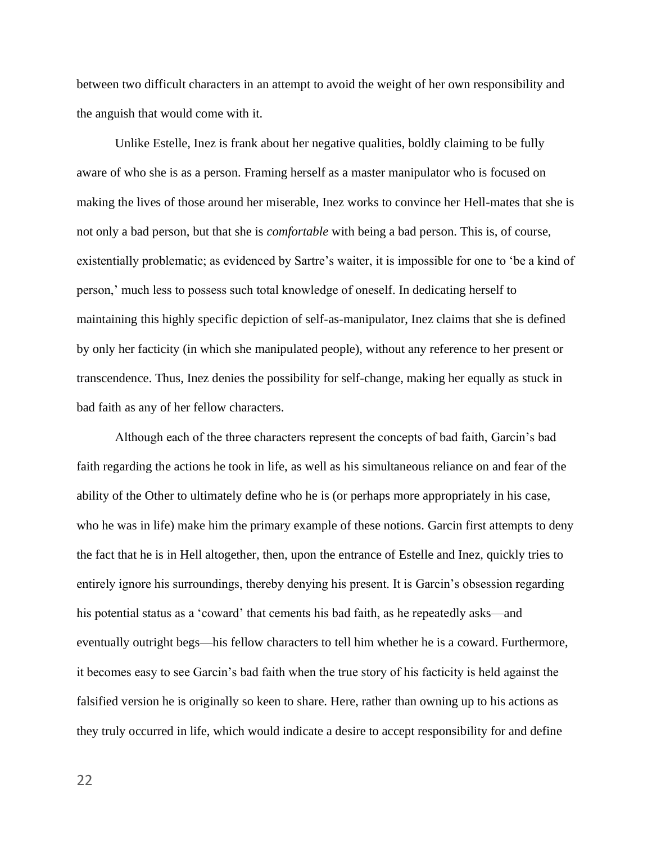between two difficult characters in an attempt to avoid the weight of her own responsibility and the anguish that would come with it.

Unlike Estelle, Inez is frank about her negative qualities, boldly claiming to be fully aware of who she is as a person. Framing herself as a master manipulator who is focused on making the lives of those around her miserable, Inez works to convince her Hell-mates that she is not only a bad person, but that she is *comfortable* with being a bad person. This is, of course, existentially problematic; as evidenced by Sartre's waiter, it is impossible for one to 'be a kind of person,' much less to possess such total knowledge of oneself. In dedicating herself to maintaining this highly specific depiction of self-as-manipulator, Inez claims that she is defined by only her facticity (in which she manipulated people), without any reference to her present or transcendence. Thus, Inez denies the possibility for self-change, making her equally as stuck in bad faith as any of her fellow characters.

Although each of the three characters represent the concepts of bad faith, Garcin's bad faith regarding the actions he took in life, as well as his simultaneous reliance on and fear of the ability of the Other to ultimately define who he is (or perhaps more appropriately in his case, who he was in life) make him the primary example of these notions. Garcin first attempts to deny the fact that he is in Hell altogether, then, upon the entrance of Estelle and Inez, quickly tries to entirely ignore his surroundings, thereby denying his present. It is Garcin's obsession regarding his potential status as a 'coward' that cements his bad faith, as he repeatedly asks—and eventually outright begs—his fellow characters to tell him whether he is a coward. Furthermore, it becomes easy to see Garcin's bad faith when the true story of his facticity is held against the falsified version he is originally so keen to share. Here, rather than owning up to his actions as they truly occurred in life, which would indicate a desire to accept responsibility for and define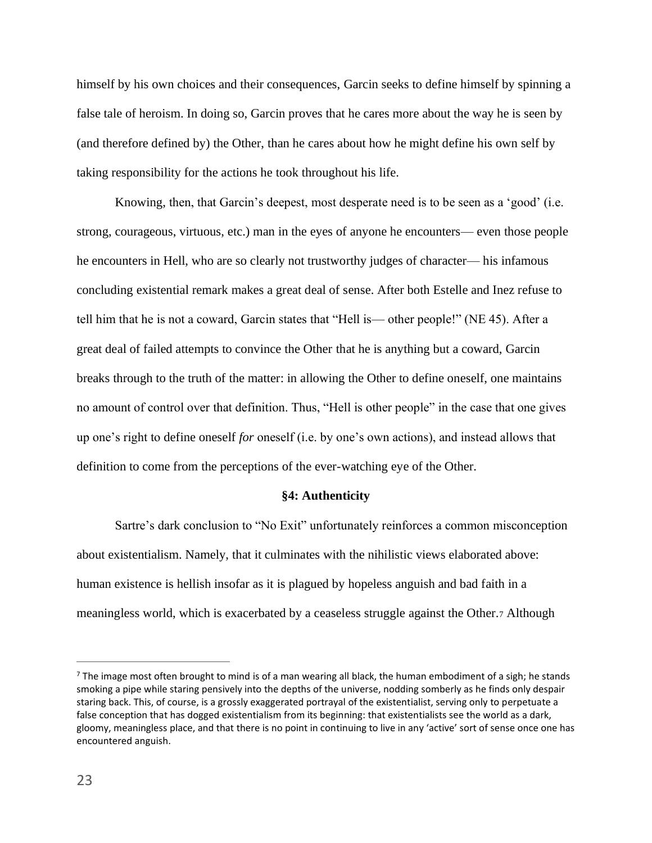himself by his own choices and their consequences, Garcin seeks to define himself by spinning a false tale of heroism. In doing so, Garcin proves that he cares more about the way he is seen by (and therefore defined by) the Other, than he cares about how he might define his own self by taking responsibility for the actions he took throughout his life.

Knowing, then, that Garcin's deepest, most desperate need is to be seen as a 'good' (i.e. strong, courageous, virtuous, etc.) man in the eyes of anyone he encounters— even those people he encounters in Hell, who are so clearly not trustworthy judges of character— his infamous concluding existential remark makes a great deal of sense. After both Estelle and Inez refuse to tell him that he is not a coward, Garcin states that "Hell is— other people!" (NE 45). After a great deal of failed attempts to convince the Other that he is anything but a coward, Garcin breaks through to the truth of the matter: in allowing the Other to define oneself, one maintains no amount of control over that definition. Thus, "Hell is other people" in the case that one gives up one's right to define oneself *for* oneself (i.e. by one's own actions), and instead allows that definition to come from the perceptions of the ever-watching eye of the Other.

# **§4: Authenticity**

Sartre's dark conclusion to "No Exit" unfortunately reinforces a common misconception about existentialism. Namely, that it culminates with the nihilistic views elaborated above: human existence is hellish insofar as it is plagued by hopeless anguish and bad faith in a meaningless world, which is exacerbated by a ceaseless struggle against the Other.<sup>7</sup> Although

 $7$  The image most often brought to mind is of a man wearing all black, the human embodiment of a sigh; he stands smoking a pipe while staring pensively into the depths of the universe, nodding somberly as he finds only despair staring back. This, of course, is a grossly exaggerated portrayal of the existentialist, serving only to perpetuate a false conception that has dogged existentialism from its beginning: that existentialists see the world as a dark, gloomy, meaningless place, and that there is no point in continuing to live in any 'active' sort of sense once one has encountered anguish.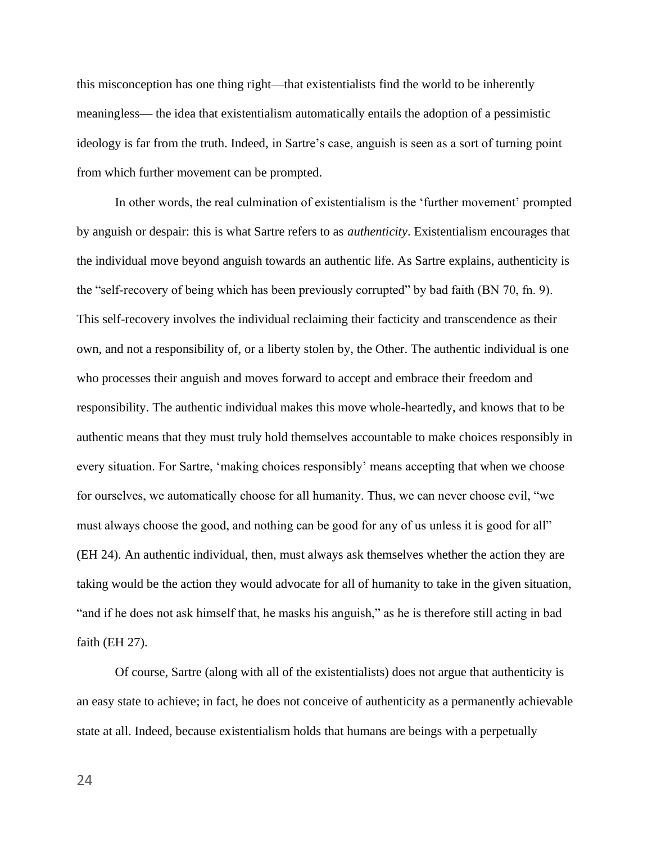this misconception has one thing right—that existentialists find the world to be inherently meaningless— the idea that existentialism automatically entails the adoption of a pessimistic ideology is far from the truth. Indeed, in Sartre's case, anguish is seen as a sort of turning point from which further movement can be prompted.

In other words, the real culmination of existentialism is the 'further movement' prompted by anguish or despair: this is what Sartre refers to as *authenticity*. Existentialism encourages that the individual move beyond anguish towards an authentic life. As Sartre explains, authenticity is the "self-recovery of being which has been previously corrupted" by bad faith (BN 70, fn. 9). This self-recovery involves the individual reclaiming their facticity and transcendence as their own, and not a responsibility of, or a liberty stolen by, the Other. The authentic individual is one who processes their anguish and moves forward to accept and embrace their freedom and responsibility. The authentic individual makes this move whole-heartedly, and knows that to be authentic means that they must truly hold themselves accountable to make choices responsibly in every situation. For Sartre, 'making choices responsibly' means accepting that when we choose for ourselves, we automatically choose for all humanity. Thus, we can never choose evil, "we must always choose the good, and nothing can be good for any of us unless it is good for all" (EH 24). An authentic individual, then, must always ask themselves whether the action they are taking would be the action they would advocate for all of humanity to take in the given situation, "and if he does not ask himself that, he masks his anguish," as he is therefore still acting in bad faith (EH 27).

Of course, Sartre (along with all of the existentialists) does not argue that authenticity is an easy state to achieve; in fact, he does not conceive of authenticity as a permanently achievable state at all. Indeed, because existentialism holds that humans are beings with a perpetually

24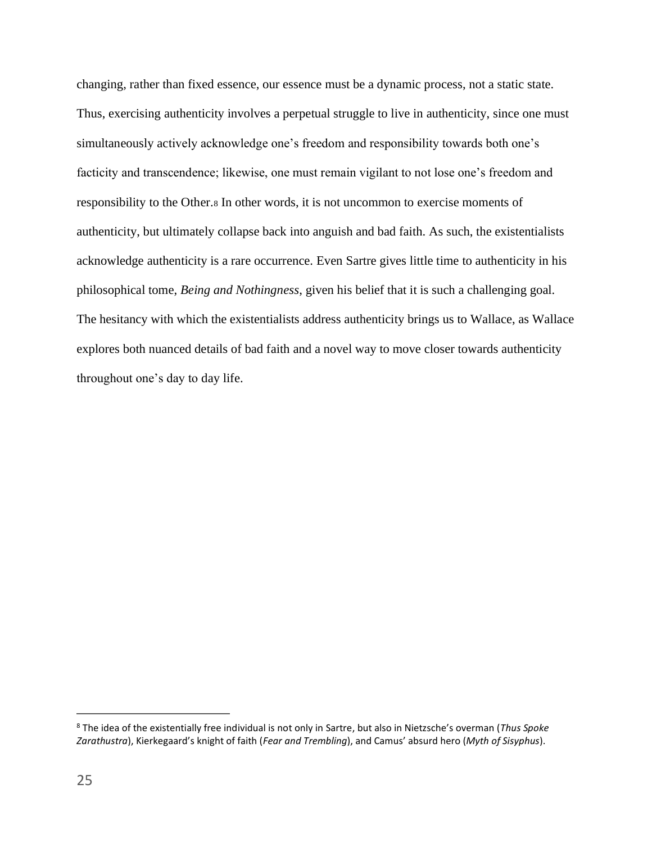changing, rather than fixed essence, our essence must be a dynamic process, not a static state. Thus, exercising authenticity involves a perpetual struggle to live in authenticity, since one must simultaneously actively acknowledge one's freedom and responsibility towards both one's facticity and transcendence; likewise, one must remain vigilant to not lose one's freedom and responsibility to the Other.<sup>8</sup> In other words, it is not uncommon to exercise moments of authenticity, but ultimately collapse back into anguish and bad faith. As such, the existentialists acknowledge authenticity is a rare occurrence. Even Sartre gives little time to authenticity in his philosophical tome, *Being and Nothingness*, given his belief that it is such a challenging goal. The hesitancy with which the existentialists address authenticity brings us to Wallace, as Wallace explores both nuanced details of bad faith and a novel way to move closer towards authenticity throughout one's day to day life.

<sup>8</sup> The idea of the existentially free individual is not only in Sartre, but also in Nietzsche's overman (*Thus Spoke Zarathustra*), Kierkegaard's knight of faith (*Fear and Trembling*), and Camus' absurd hero (*Myth of Sisyphus*).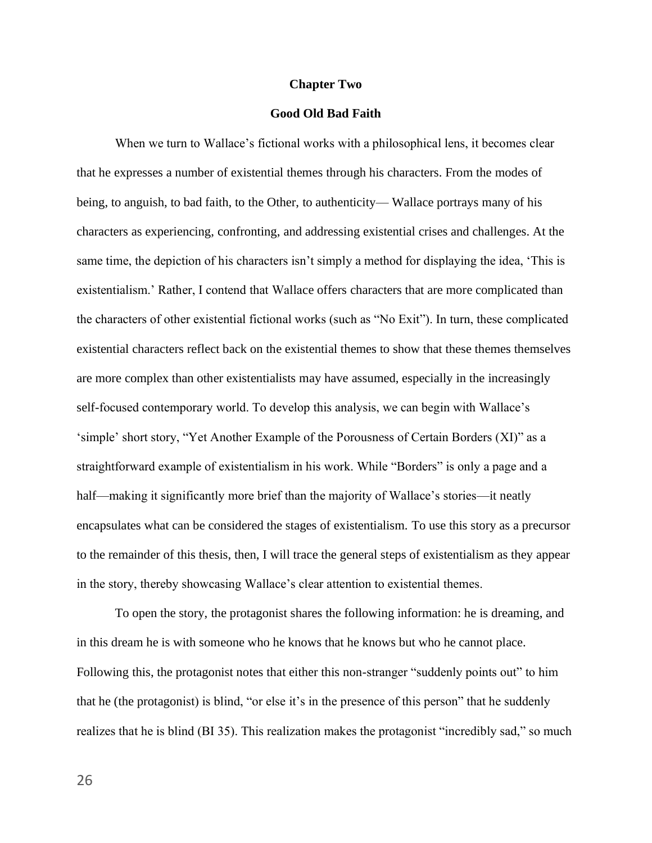#### **Chapter Two**

# **Good Old Bad Faith**

When we turn to Wallace's fictional works with a philosophical lens, it becomes clear that he expresses a number of existential themes through his characters. From the modes of being, to anguish, to bad faith, to the Other, to authenticity— Wallace portrays many of his characters as experiencing, confronting, and addressing existential crises and challenges. At the same time, the depiction of his characters isn't simply a method for displaying the idea, 'This is existentialism.' Rather, I contend that Wallace offers characters that are more complicated than the characters of other existential fictional works (such as "No Exit"). In turn, these complicated existential characters reflect back on the existential themes to show that these themes themselves are more complex than other existentialists may have assumed, especially in the increasingly self-focused contemporary world. To develop this analysis, we can begin with Wallace's 'simple' short story, "Yet Another Example of the Porousness of Certain Borders (XI)" as a straightforward example of existentialism in his work. While "Borders" is only a page and a half—making it significantly more brief than the majority of Wallace's stories—it neatly encapsulates what can be considered the stages of existentialism. To use this story as a precursor to the remainder of this thesis, then, I will trace the general steps of existentialism as they appear in the story, thereby showcasing Wallace's clear attention to existential themes.

To open the story, the protagonist shares the following information: he is dreaming, and in this dream he is with someone who he knows that he knows but who he cannot place. Following this, the protagonist notes that either this non-stranger "suddenly points out" to him that he (the protagonist) is blind, "or else it's in the presence of this person" that he suddenly realizes that he is blind (BI 35). This realization makes the protagonist "incredibly sad," so much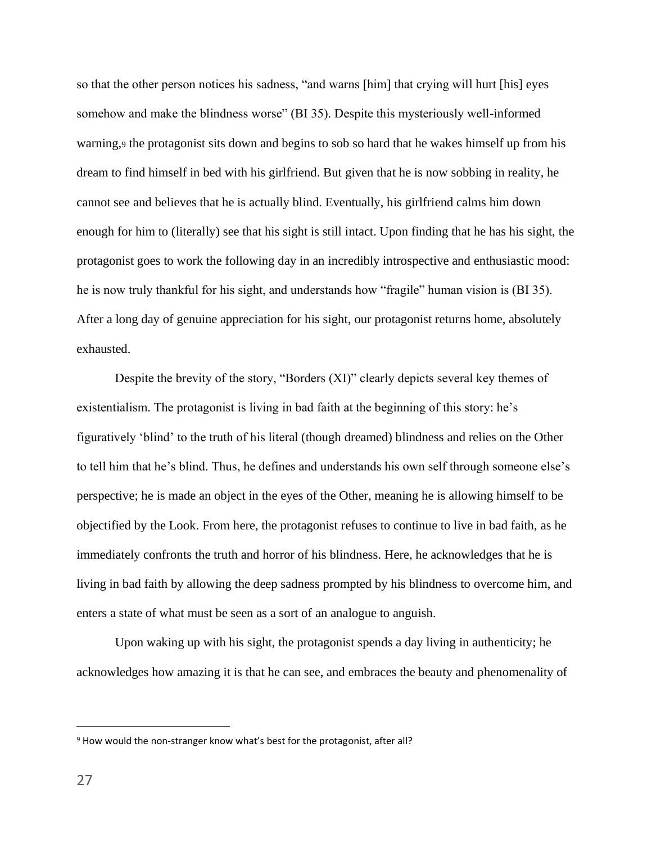so that the other person notices his sadness, "and warns [him] that crying will hurt [his] eyes somehow and make the blindness worse" (BI 35). Despite this mysteriously well-informed warning,<sup>9</sup> the protagonist sits down and begins to sob so hard that he wakes himself up from his dream to find himself in bed with his girlfriend. But given that he is now sobbing in reality, he cannot see and believes that he is actually blind. Eventually, his girlfriend calms him down enough for him to (literally) see that his sight is still intact. Upon finding that he has his sight, the protagonist goes to work the following day in an incredibly introspective and enthusiastic mood: he is now truly thankful for his sight, and understands how "fragile" human vision is (BI 35). After a long day of genuine appreciation for his sight, our protagonist returns home, absolutely exhausted.

Despite the brevity of the story, "Borders (XI)" clearly depicts several key themes of existentialism. The protagonist is living in bad faith at the beginning of this story: he's figuratively 'blind' to the truth of his literal (though dreamed) blindness and relies on the Other to tell him that he's blind. Thus, he defines and understands his own self through someone else's perspective; he is made an object in the eyes of the Other, meaning he is allowing himself to be objectified by the Look. From here, the protagonist refuses to continue to live in bad faith, as he immediately confronts the truth and horror of his blindness. Here, he acknowledges that he is living in bad faith by allowing the deep sadness prompted by his blindness to overcome him, and enters a state of what must be seen as a sort of an analogue to anguish.

Upon waking up with his sight, the protagonist spends a day living in authenticity; he acknowledges how amazing it is that he can see, and embraces the beauty and phenomenality of

<sup>&</sup>lt;sup>9</sup> How would the non-stranger know what's best for the protagonist, after all?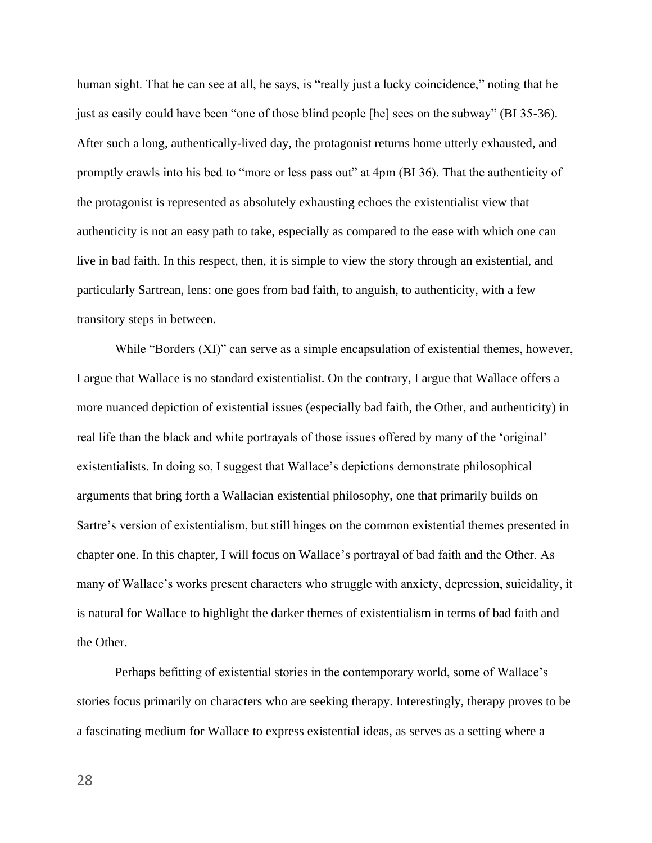human sight. That he can see at all, he says, is "really just a lucky coincidence," noting that he just as easily could have been "one of those blind people [he] sees on the subway" (BI 35-36). After such a long, authentically-lived day, the protagonist returns home utterly exhausted, and promptly crawls into his bed to "more or less pass out" at 4pm (BI 36). That the authenticity of the protagonist is represented as absolutely exhausting echoes the existentialist view that authenticity is not an easy path to take, especially as compared to the ease with which one can live in bad faith. In this respect, then, it is simple to view the story through an existential, and particularly Sartrean, lens: one goes from bad faith, to anguish, to authenticity, with a few transitory steps in between.

While "Borders (XI)" can serve as a simple encapsulation of existential themes, however, I argue that Wallace is no standard existentialist. On the contrary, I argue that Wallace offers a more nuanced depiction of existential issues (especially bad faith, the Other, and authenticity) in real life than the black and white portrayals of those issues offered by many of the 'original' existentialists. In doing so, I suggest that Wallace's depictions demonstrate philosophical arguments that bring forth a Wallacian existential philosophy, one that primarily builds on Sartre's version of existentialism, but still hinges on the common existential themes presented in chapter one. In this chapter, I will focus on Wallace's portrayal of bad faith and the Other. As many of Wallace's works present characters who struggle with anxiety, depression, suicidality, it is natural for Wallace to highlight the darker themes of existentialism in terms of bad faith and the Other.

Perhaps befitting of existential stories in the contemporary world, some of Wallace's stories focus primarily on characters who are seeking therapy. Interestingly, therapy proves to be a fascinating medium for Wallace to express existential ideas, as serves as a setting where a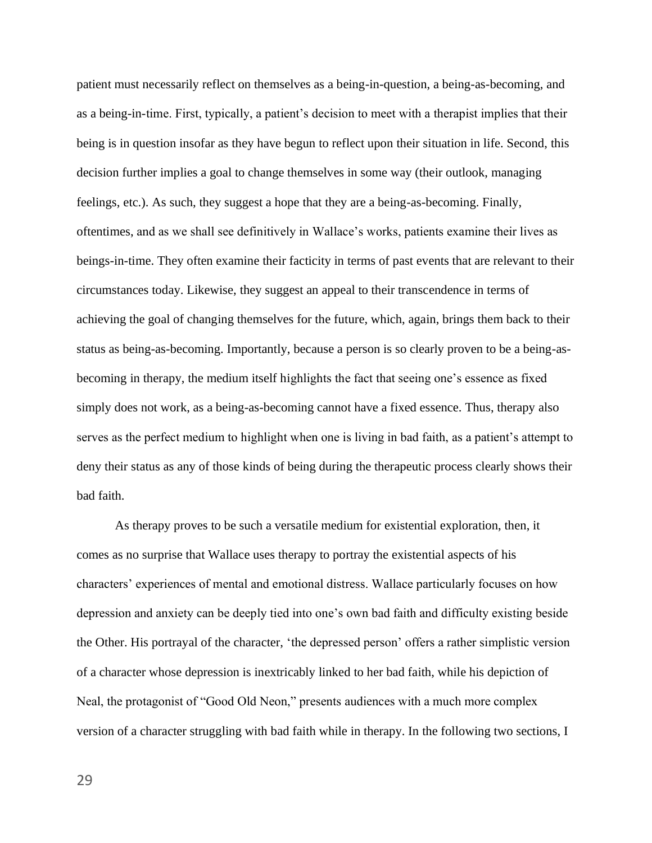patient must necessarily reflect on themselves as a being-in-question, a being-as-becoming, and as a being-in-time. First, typically, a patient's decision to meet with a therapist implies that their being is in question insofar as they have begun to reflect upon their situation in life. Second, this decision further implies a goal to change themselves in some way (their outlook, managing feelings, etc.). As such, they suggest a hope that they are a being-as-becoming. Finally, oftentimes, and as we shall see definitively in Wallace's works, patients examine their lives as beings-in-time. They often examine their facticity in terms of past events that are relevant to their circumstances today. Likewise, they suggest an appeal to their transcendence in terms of achieving the goal of changing themselves for the future, which, again, brings them back to their status as being-as-becoming. Importantly, because a person is so clearly proven to be a being-asbecoming in therapy, the medium itself highlights the fact that seeing one's essence as fixed simply does not work, as a being-as-becoming cannot have a fixed essence. Thus, therapy also serves as the perfect medium to highlight when one is living in bad faith, as a patient's attempt to deny their status as any of those kinds of being during the therapeutic process clearly shows their bad faith.

As therapy proves to be such a versatile medium for existential exploration, then, it comes as no surprise that Wallace uses therapy to portray the existential aspects of his characters' experiences of mental and emotional distress. Wallace particularly focuses on how depression and anxiety can be deeply tied into one's own bad faith and difficulty existing beside the Other. His portrayal of the character, 'the depressed person' offers a rather simplistic version of a character whose depression is inextricably linked to her bad faith, while his depiction of Neal, the protagonist of "Good Old Neon," presents audiences with a much more complex version of a character struggling with bad faith while in therapy. In the following two sections, I

29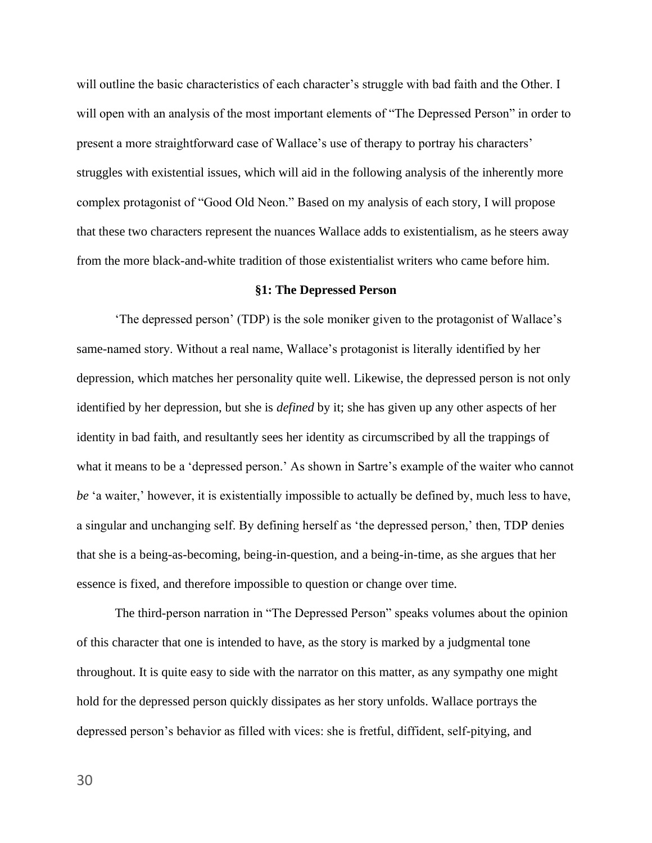will outline the basic characteristics of each character's struggle with bad faith and the Other. I will open with an analysis of the most important elements of "The Depressed Person" in order to present a more straightforward case of Wallace's use of therapy to portray his characters' struggles with existential issues, which will aid in the following analysis of the inherently more complex protagonist of "Good Old Neon." Based on my analysis of each story, I will propose that these two characters represent the nuances Wallace adds to existentialism, as he steers away from the more black-and-white tradition of those existentialist writers who came before him.

#### **§1: The Depressed Person**

'The depressed person' (TDP) is the sole moniker given to the protagonist of Wallace's same-named story. Without a real name, Wallace's protagonist is literally identified by her depression, which matches her personality quite well. Likewise, the depressed person is not only identified by her depression, but she is *defined* by it; she has given up any other aspects of her identity in bad faith, and resultantly sees her identity as circumscribed by all the trappings of what it means to be a 'depressed person.' As shown in Sartre's example of the waiter who cannot *be* 'a waiter,' however, it is existentially impossible to actually be defined by, much less to have, a singular and unchanging self. By defining herself as 'the depressed person,' then, TDP denies that she is a being-as-becoming, being-in-question, and a being-in-time, as she argues that her essence is fixed, and therefore impossible to question or change over time.

The third-person narration in "The Depressed Person" speaks volumes about the opinion of this character that one is intended to have, as the story is marked by a judgmental tone throughout. It is quite easy to side with the narrator on this matter, as any sympathy one might hold for the depressed person quickly dissipates as her story unfolds. Wallace portrays the depressed person's behavior as filled with vices: she is fretful, diffident, self-pitying, and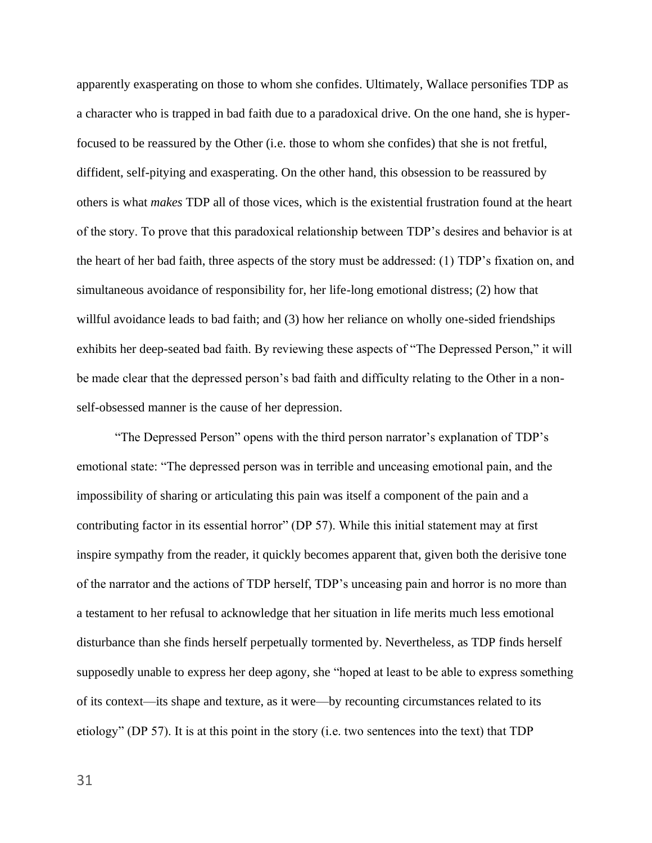apparently exasperating on those to whom she confides. Ultimately, Wallace personifies TDP as a character who is trapped in bad faith due to a paradoxical drive. On the one hand, she is hyperfocused to be reassured by the Other (i.e. those to whom she confides) that she is not fretful, diffident, self-pitying and exasperating. On the other hand, this obsession to be reassured by others is what *makes* TDP all of those vices, which is the existential frustration found at the heart of the story. To prove that this paradoxical relationship between TDP's desires and behavior is at the heart of her bad faith, three aspects of the story must be addressed: (1) TDP's fixation on, and simultaneous avoidance of responsibility for, her life-long emotional distress; (2) how that willful avoidance leads to bad faith; and (3) how her reliance on wholly one-sided friendships exhibits her deep-seated bad faith. By reviewing these aspects of "The Depressed Person," it will be made clear that the depressed person's bad faith and difficulty relating to the Other in a nonself-obsessed manner is the cause of her depression.

"The Depressed Person" opens with the third person narrator's explanation of TDP's emotional state: "The depressed person was in terrible and unceasing emotional pain, and the impossibility of sharing or articulating this pain was itself a component of the pain and a contributing factor in its essential horror" (DP 57). While this initial statement may at first inspire sympathy from the reader, it quickly becomes apparent that, given both the derisive tone of the narrator and the actions of TDP herself, TDP's unceasing pain and horror is no more than a testament to her refusal to acknowledge that her situation in life merits much less emotional disturbance than she finds herself perpetually tormented by. Nevertheless, as TDP finds herself supposedly unable to express her deep agony, she "hoped at least to be able to express something of its context—its shape and texture, as it were—by recounting circumstances related to its etiology" (DP 57). It is at this point in the story (i.e. two sentences into the text) that TDP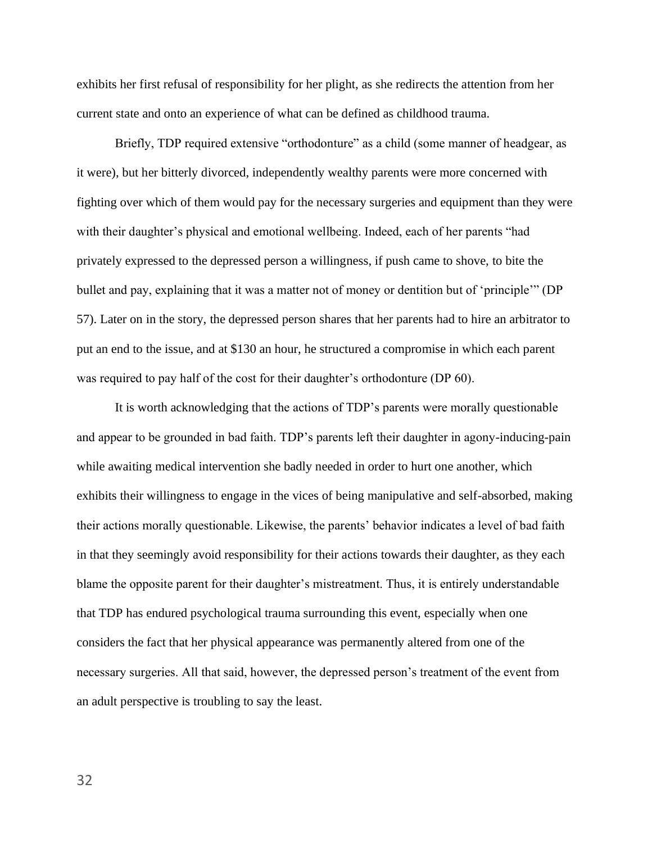exhibits her first refusal of responsibility for her plight, as she redirects the attention from her current state and onto an experience of what can be defined as childhood trauma.

Briefly, TDP required extensive "orthodonture" as a child (some manner of headgear, as it were), but her bitterly divorced, independently wealthy parents were more concerned with fighting over which of them would pay for the necessary surgeries and equipment than they were with their daughter's physical and emotional wellbeing. Indeed, each of her parents "had privately expressed to the depressed person a willingness, if push came to shove, to bite the bullet and pay, explaining that it was a matter not of money or dentition but of 'principle'" (DP 57). Later on in the story, the depressed person shares that her parents had to hire an arbitrator to put an end to the issue, and at \$130 an hour, he structured a compromise in which each parent was required to pay half of the cost for their daughter's orthodonture (DP 60).

It is worth acknowledging that the actions of TDP's parents were morally questionable and appear to be grounded in bad faith. TDP's parents left their daughter in agony-inducing-pain while awaiting medical intervention she badly needed in order to hurt one another, which exhibits their willingness to engage in the vices of being manipulative and self-absorbed, making their actions morally questionable. Likewise, the parents' behavior indicates a level of bad faith in that they seemingly avoid responsibility for their actions towards their daughter, as they each blame the opposite parent for their daughter's mistreatment. Thus, it is entirely understandable that TDP has endured psychological trauma surrounding this event, especially when one considers the fact that her physical appearance was permanently altered from one of the necessary surgeries. All that said, however, the depressed person's treatment of the event from an adult perspective is troubling to say the least.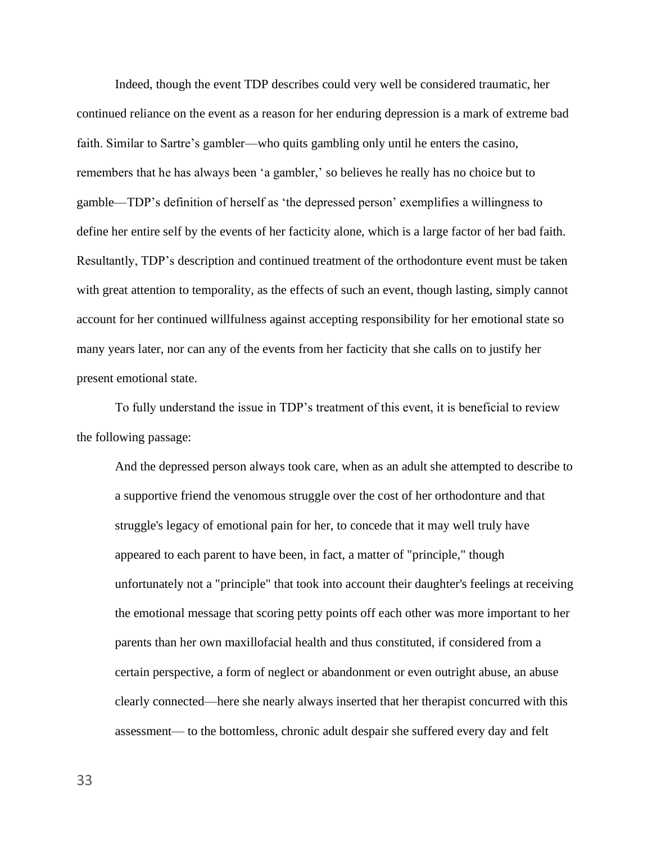Indeed, though the event TDP describes could very well be considered traumatic, her continued reliance on the event as a reason for her enduring depression is a mark of extreme bad faith. Similar to Sartre's gambler—who quits gambling only until he enters the casino, remembers that he has always been 'a gambler,' so believes he really has no choice but to gamble—TDP's definition of herself as 'the depressed person' exemplifies a willingness to define her entire self by the events of her facticity alone, which is a large factor of her bad faith. Resultantly, TDP's description and continued treatment of the orthodonture event must be taken with great attention to temporality, as the effects of such an event, though lasting, simply cannot account for her continued willfulness against accepting responsibility for her emotional state so many years later, nor can any of the events from her facticity that she calls on to justify her present emotional state.

To fully understand the issue in TDP's treatment of this event, it is beneficial to review the following passage:

And the depressed person always took care, when as an adult she attempted to describe to a supportive friend the venomous struggle over the cost of her orthodonture and that struggle's legacy of emotional pain for her, to concede that it may well truly have appeared to each parent to have been, in fact, a matter of "principle," though unfortunately not a "principle" that took into account their daughter's feelings at receiving the emotional message that scoring petty points off each other was more important to her parents than her own maxillofacial health and thus constituted, if considered from a certain perspective, a form of neglect or abandonment or even outright abuse, an abuse clearly connected—here she nearly always inserted that her therapist concurred with this assessment— to the bottomless, chronic adult despair she suffered every day and felt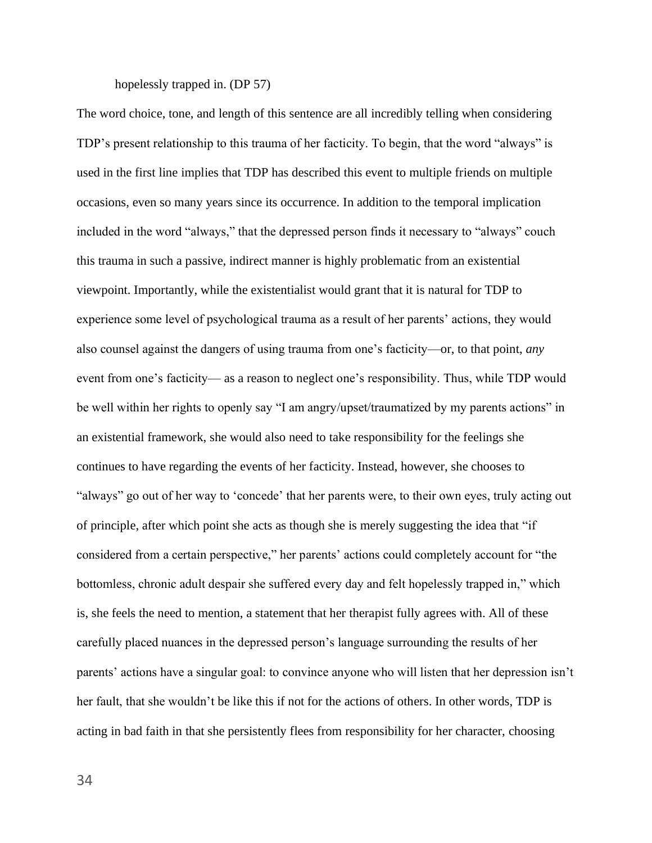# hopelessly trapped in. (DP 57)

The word choice, tone, and length of this sentence are all incredibly telling when considering TDP's present relationship to this trauma of her facticity. To begin, that the word "always" is used in the first line implies that TDP has described this event to multiple friends on multiple occasions, even so many years since its occurrence. In addition to the temporal implication included in the word "always," that the depressed person finds it necessary to "always" couch this trauma in such a passive, indirect manner is highly problematic from an existential viewpoint. Importantly, while the existentialist would grant that it is natural for TDP to experience some level of psychological trauma as a result of her parents' actions, they would also counsel against the dangers of using trauma from one's facticity—or, to that point, *any*  event from one's facticity— as a reason to neglect one's responsibility. Thus, while TDP would be well within her rights to openly say "I am angry/upset/traumatized by my parents actions" in an existential framework, she would also need to take responsibility for the feelings she continues to have regarding the events of her facticity. Instead, however, she chooses to "always" go out of her way to 'concede' that her parents were, to their own eyes, truly acting out of principle, after which point she acts as though she is merely suggesting the idea that "if considered from a certain perspective," her parents' actions could completely account for "the bottomless, chronic adult despair she suffered every day and felt hopelessly trapped in," which is, she feels the need to mention, a statement that her therapist fully agrees with. All of these carefully placed nuances in the depressed person's language surrounding the results of her parents' actions have a singular goal: to convince anyone who will listen that her depression isn't her fault, that she wouldn't be like this if not for the actions of others. In other words, TDP is acting in bad faith in that she persistently flees from responsibility for her character, choosing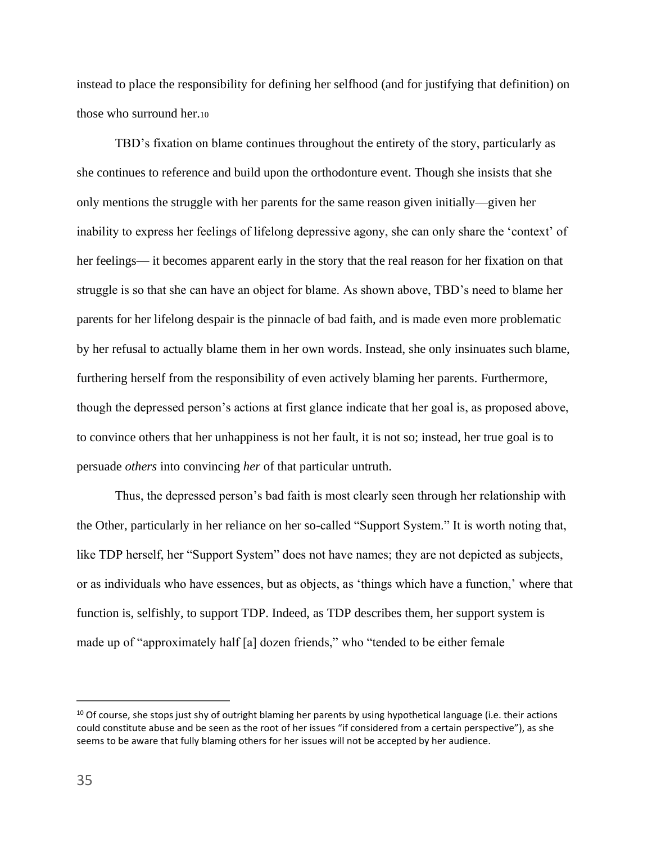instead to place the responsibility for defining her selfhood (and for justifying that definition) on those who surround her.<sup>10</sup>

TBD's fixation on blame continues throughout the entirety of the story, particularly as she continues to reference and build upon the orthodonture event. Though she insists that she only mentions the struggle with her parents for the same reason given initially—given her inability to express her feelings of lifelong depressive agony, she can only share the 'context' of her feelings— it becomes apparent early in the story that the real reason for her fixation on that struggle is so that she can have an object for blame. As shown above, TBD's need to blame her parents for her lifelong despair is the pinnacle of bad faith, and is made even more problematic by her refusal to actually blame them in her own words. Instead, she only insinuates such blame, furthering herself from the responsibility of even actively blaming her parents. Furthermore, though the depressed person's actions at first glance indicate that her goal is, as proposed above, to convince others that her unhappiness is not her fault, it is not so; instead, her true goal is to persuade *others* into convincing *her* of that particular untruth.

Thus, the depressed person's bad faith is most clearly seen through her relationship with the Other, particularly in her reliance on her so-called "Support System." It is worth noting that, like TDP herself, her "Support System" does not have names; they are not depicted as subjects, or as individuals who have essences, but as objects, as 'things which have a function,' where that function is, selfishly, to support TDP. Indeed, as TDP describes them, her support system is made up of "approximately half [a] dozen friends," who "tended to be either female

<sup>&</sup>lt;sup>10</sup> Of course, she stops just shy of outright blaming her parents by using hypothetical language (i.e. their actions could constitute abuse and be seen as the root of her issues "if considered from a certain perspective"), as she seems to be aware that fully blaming others for her issues will not be accepted by her audience.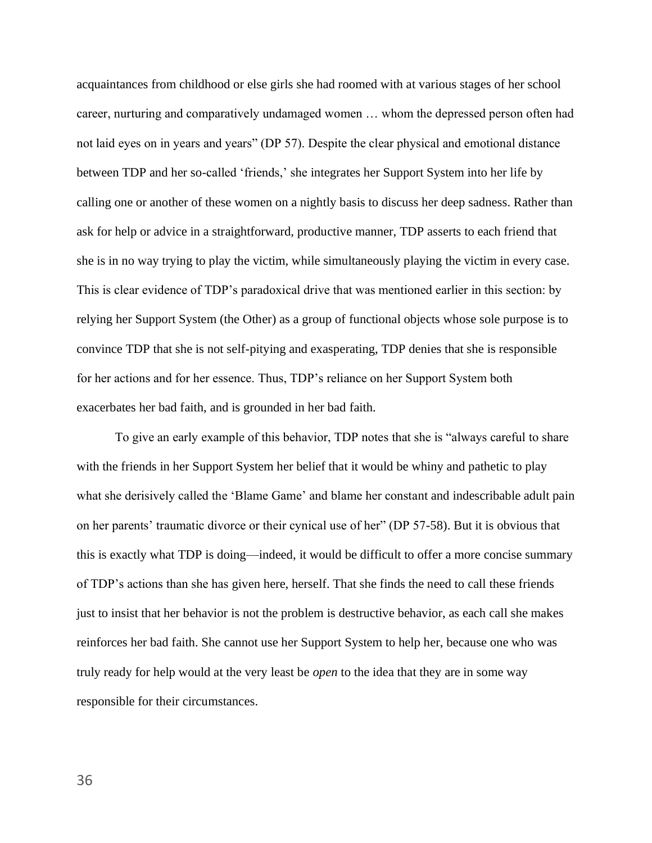acquaintances from childhood or else girls she had roomed with at various stages of her school career, nurturing and comparatively undamaged women … whom the depressed person often had not laid eyes on in years and years" (DP 57). Despite the clear physical and emotional distance between TDP and her so-called 'friends,' she integrates her Support System into her life by calling one or another of these women on a nightly basis to discuss her deep sadness. Rather than ask for help or advice in a straightforward, productive manner, TDP asserts to each friend that she is in no way trying to play the victim, while simultaneously playing the victim in every case. This is clear evidence of TDP's paradoxical drive that was mentioned earlier in this section: by relying her Support System (the Other) as a group of functional objects whose sole purpose is to convince TDP that she is not self-pitying and exasperating, TDP denies that she is responsible for her actions and for her essence. Thus, TDP's reliance on her Support System both exacerbates her bad faith, and is grounded in her bad faith.

To give an early example of this behavior, TDP notes that she is "always careful to share with the friends in her Support System her belief that it would be whiny and pathetic to play what she derisively called the 'Blame Game' and blame her constant and indescribable adult pain on her parents' traumatic divorce or their cynical use of her" (DP 57-58). But it is obvious that this is exactly what TDP is doing—indeed, it would be difficult to offer a more concise summary of TDP's actions than she has given here, herself. That she finds the need to call these friends just to insist that her behavior is not the problem is destructive behavior, as each call she makes reinforces her bad faith. She cannot use her Support System to help her, because one who was truly ready for help would at the very least be *open* to the idea that they are in some way responsible for their circumstances.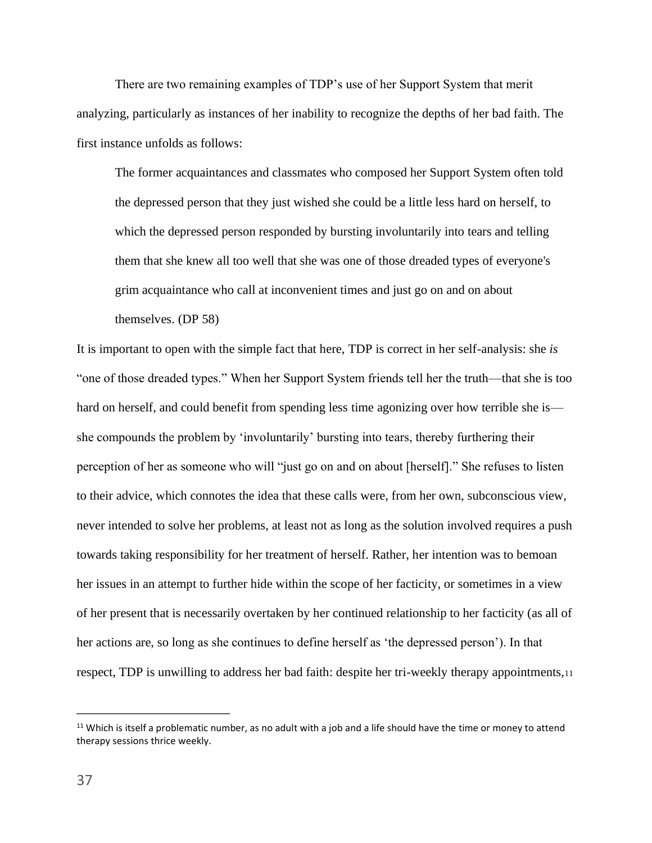There are two remaining examples of TDP's use of her Support System that merit analyzing, particularly as instances of her inability to recognize the depths of her bad faith. The first instance unfolds as follows:

The former acquaintances and classmates who composed her Support System often told the depressed person that they just wished she could be a little less hard on herself, to which the depressed person responded by bursting involuntarily into tears and telling them that she knew all too well that she was one of those dreaded types of everyone's grim acquaintance who call at inconvenient times and just go on and on about themselves. (DP 58)

It is important to open with the simple fact that here, TDP is correct in her self-analysis: she *is*  "one of those dreaded types." When her Support System friends tell her the truth—that she is too hard on herself, and could benefit from spending less time agonizing over how terrible she is she compounds the problem by 'involuntarily' bursting into tears, thereby furthering their perception of her as someone who will "just go on and on about [herself]." She refuses to listen to their advice, which connotes the idea that these calls were, from her own, subconscious view, never intended to solve her problems, at least not as long as the solution involved requires a push towards taking responsibility for her treatment of herself. Rather, her intention was to bemoan her issues in an attempt to further hide within the scope of her facticity, or sometimes in a view of her present that is necessarily overtaken by her continued relationship to her facticity (as all of her actions are, so long as she continues to define herself as 'the depressed person'). In that respect, TDP is unwilling to address her bad faith: despite her tri-weekly therapy appointments,<sup>11</sup>

 $11$  Which is itself a problematic number, as no adult with a job and a life should have the time or money to attend therapy sessions thrice weekly.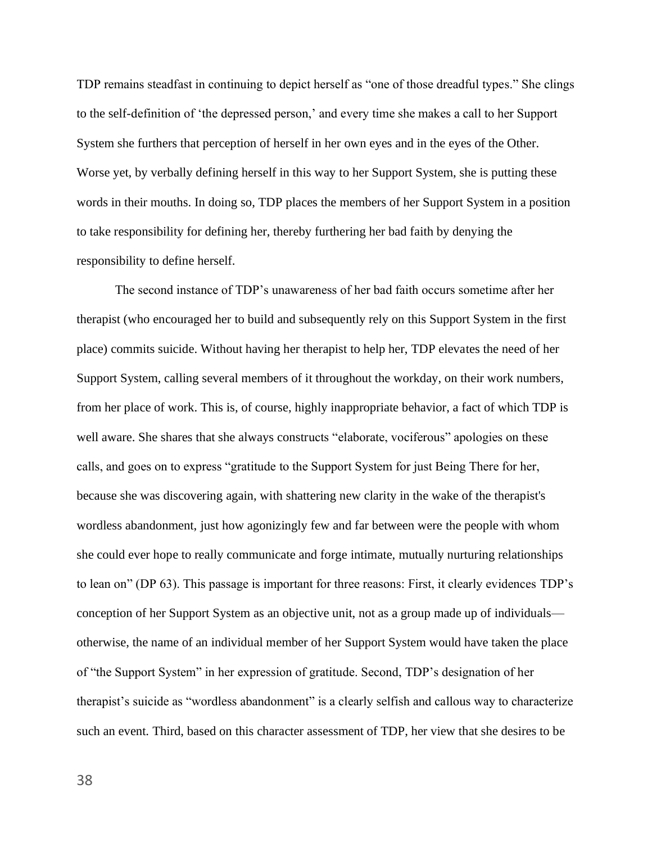TDP remains steadfast in continuing to depict herself as "one of those dreadful types." She clings to the self-definition of 'the depressed person,' and every time she makes a call to her Support System she furthers that perception of herself in her own eyes and in the eyes of the Other. Worse yet, by verbally defining herself in this way to her Support System, she is putting these words in their mouths. In doing so, TDP places the members of her Support System in a position to take responsibility for defining her, thereby furthering her bad faith by denying the responsibility to define herself.

The second instance of TDP's unawareness of her bad faith occurs sometime after her therapist (who encouraged her to build and subsequently rely on this Support System in the first place) commits suicide. Without having her therapist to help her, TDP elevates the need of her Support System, calling several members of it throughout the workday, on their work numbers, from her place of work. This is, of course, highly inappropriate behavior, a fact of which TDP is well aware. She shares that she always constructs "elaborate, vociferous" apologies on these calls, and goes on to express "gratitude to the Support System for just Being There for her, because she was discovering again, with shattering new clarity in the wake of the therapist's wordless abandonment, just how agonizingly few and far between were the people with whom she could ever hope to really communicate and forge intimate, mutually nurturing relationships to lean on" (DP 63). This passage is important for three reasons: First, it clearly evidences TDP's conception of her Support System as an objective unit, not as a group made up of individuals otherwise, the name of an individual member of her Support System would have taken the place of "the Support System" in her expression of gratitude. Second, TDP's designation of her therapist's suicide as "wordless abandonment" is a clearly selfish and callous way to characterize such an event. Third, based on this character assessment of TDP, her view that she desires to be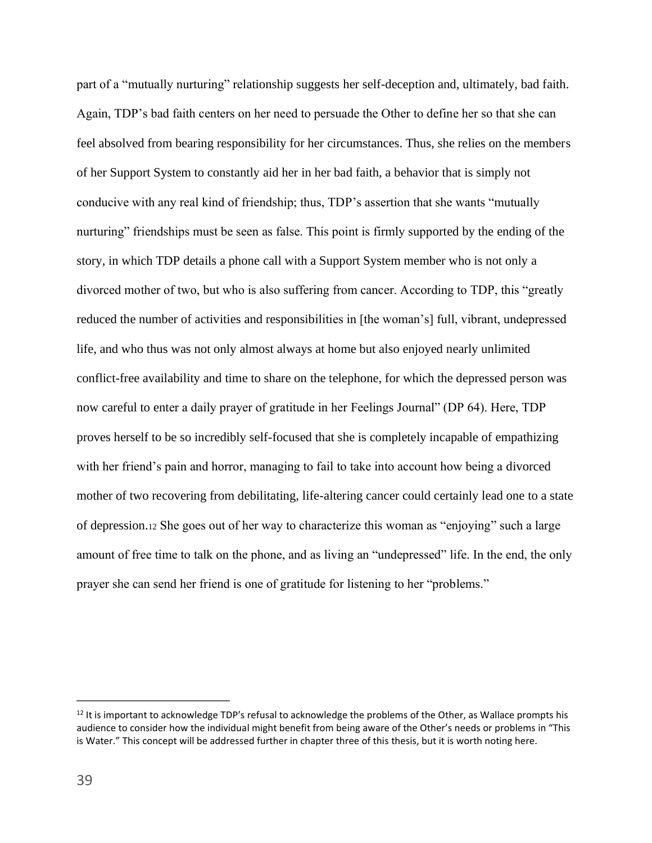part of a "mutually nurturing" relationship suggests her self-deception and, ultimately, bad faith. Again, TDP's bad faith centers on her need to persuade the Other to define her so that she can feel absolved from bearing responsibility for her circumstances. Thus, she relies on the members of her Support System to constantly aid her in her bad faith, a behavior that is simply not conducive with any real kind of friendship; thus, TDP's assertion that she wants "mutually nurturing" friendships must be seen as false. This point is firmly supported by the ending of the story, in which TDP details a phone call with a Support System member who is not only a divorced mother of two, but who is also suffering from cancer. According to TDP, this "greatly reduced the number of activities and responsibilities in [the woman's] full, vibrant, undepressed life, and who thus was not only almost always at home but also enjoyed nearly unlimited conflict-free availability and time to share on the telephone, for which the depressed person was now careful to enter a daily prayer of gratitude in her Feelings Journal" (DP 64). Here, TDP proves herself to be so incredibly self-focused that she is completely incapable of empathizing with her friend's pain and horror, managing to fail to take into account how being a divorced mother of two recovering from debilitating, life-altering cancer could certainly lead one to a state of depression.<sup>12</sup> She goes out of her way to characterize this woman as "enjoying" such a large amount of free time to talk on the phone, and as living an "undepressed" life. In the end, the only prayer she can send her friend is one of gratitude for listening to her "problems."

 $12$  It is important to acknowledge TDP's refusal to acknowledge the problems of the Other, as Wallace prompts his audience to consider how the individual might benefit from being aware of the Other's needs or problems in "This is Water." This concept will be addressed further in chapter three of this thesis, but it is worth noting here.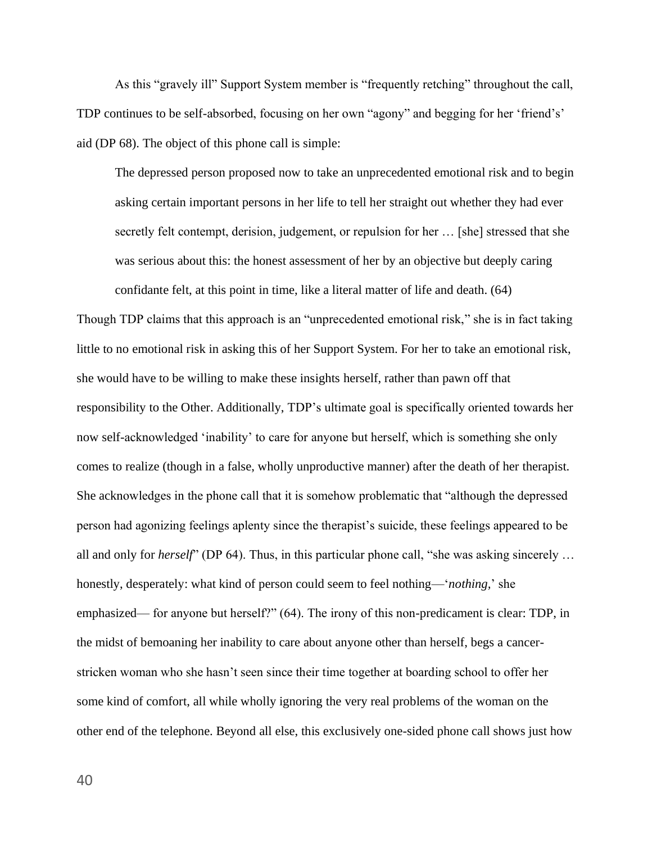As this "gravely ill" Support System member is "frequently retching" throughout the call, TDP continues to be self-absorbed, focusing on her own "agony" and begging for her 'friend's' aid (DP 68). The object of this phone call is simple:

The depressed person proposed now to take an unprecedented emotional risk and to begin asking certain important persons in her life to tell her straight out whether they had ever secretly felt contempt, derision, judgement, or repulsion for her … [she] stressed that she was serious about this: the honest assessment of her by an objective but deeply caring confidante felt, at this point in time, like a literal matter of life and death. (64)

Though TDP claims that this approach is an "unprecedented emotional risk," she is in fact taking little to no emotional risk in asking this of her Support System. For her to take an emotional risk, she would have to be willing to make these insights herself, rather than pawn off that responsibility to the Other. Additionally, TDP's ultimate goal is specifically oriented towards her now self-acknowledged 'inability' to care for anyone but herself, which is something she only comes to realize (though in a false, wholly unproductive manner) after the death of her therapist. She acknowledges in the phone call that it is somehow problematic that "although the depressed person had agonizing feelings aplenty since the therapist's suicide, these feelings appeared to be all and only for *herself*" (DP 64). Thus, in this particular phone call, "she was asking sincerely … honestly, desperately: what kind of person could seem to feel nothing—'*nothing,*' she emphasized— for anyone but herself?" (64). The irony of this non-predicament is clear: TDP, in the midst of bemoaning her inability to care about anyone other than herself, begs a cancerstricken woman who she hasn't seen since their time together at boarding school to offer her some kind of comfort, all while wholly ignoring the very real problems of the woman on the other end of the telephone. Beyond all else, this exclusively one-sided phone call shows just how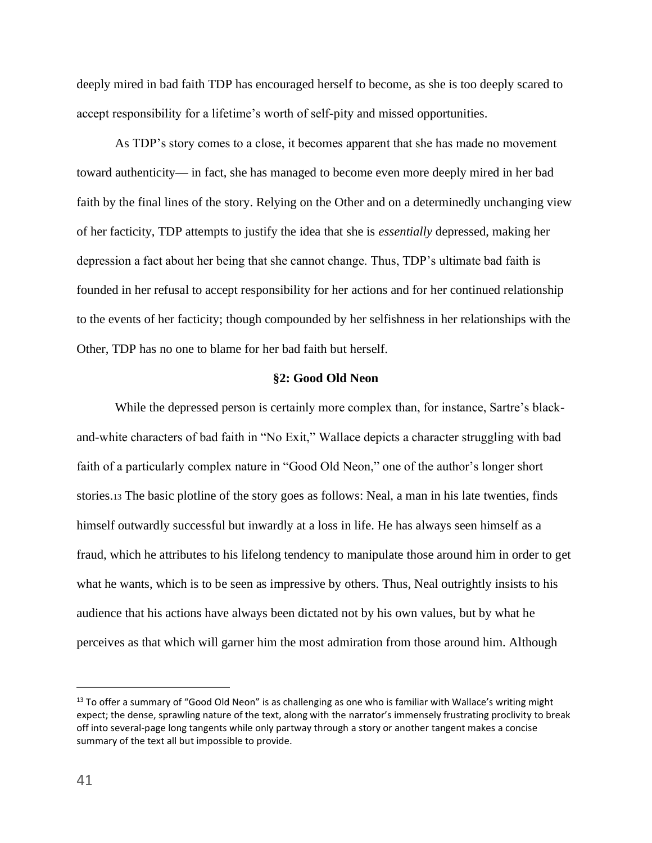deeply mired in bad faith TDP has encouraged herself to become, as she is too deeply scared to accept responsibility for a lifetime's worth of self-pity and missed opportunities.

As TDP's story comes to a close, it becomes apparent that she has made no movement toward authenticity— in fact, she has managed to become even more deeply mired in her bad faith by the final lines of the story. Relying on the Other and on a determinedly unchanging view of her facticity, TDP attempts to justify the idea that she is *essentially* depressed, making her depression a fact about her being that she cannot change. Thus, TDP's ultimate bad faith is founded in her refusal to accept responsibility for her actions and for her continued relationship to the events of her facticity; though compounded by her selfishness in her relationships with the Other, TDP has no one to blame for her bad faith but herself.

### **§2: Good Old Neon**

While the depressed person is certainly more complex than, for instance, Sartre's blackand-white characters of bad faith in "No Exit," Wallace depicts a character struggling with bad faith of a particularly complex nature in "Good Old Neon," one of the author's longer short stories.<sup>13</sup> The basic plotline of the story goes as follows: Neal, a man in his late twenties, finds himself outwardly successful but inwardly at a loss in life. He has always seen himself as a fraud, which he attributes to his lifelong tendency to manipulate those around him in order to get what he wants, which is to be seen as impressive by others. Thus, Neal outrightly insists to his audience that his actions have always been dictated not by his own values, but by what he perceives as that which will garner him the most admiration from those around him. Although

<sup>&</sup>lt;sup>13</sup> To offer a summary of "Good Old Neon" is as challenging as one who is familiar with Wallace's writing might expect; the dense, sprawling nature of the text, along with the narrator's immensely frustrating proclivity to break off into several-page long tangents while only partway through a story or another tangent makes a concise summary of the text all but impossible to provide.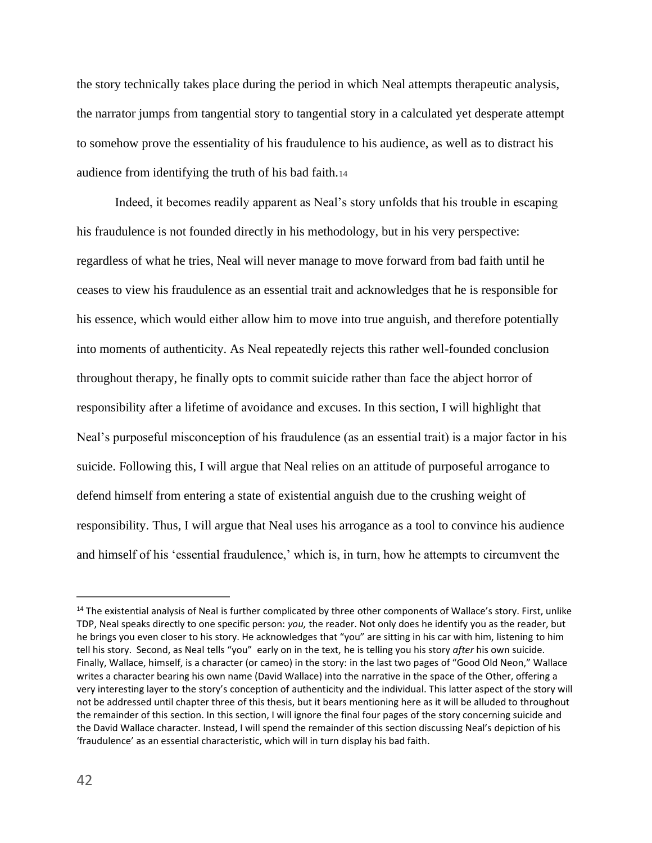the story technically takes place during the period in which Neal attempts therapeutic analysis, the narrator jumps from tangential story to tangential story in a calculated yet desperate attempt to somehow prove the essentiality of his fraudulence to his audience, as well as to distract his audience from identifying the truth of his bad faith.<sup>14</sup>

Indeed, it becomes readily apparent as Neal's story unfolds that his trouble in escaping his fraudulence is not founded directly in his methodology, but in his very perspective: regardless of what he tries, Neal will never manage to move forward from bad faith until he ceases to view his fraudulence as an essential trait and acknowledges that he is responsible for his essence, which would either allow him to move into true anguish, and therefore potentially into moments of authenticity. As Neal repeatedly rejects this rather well-founded conclusion throughout therapy, he finally opts to commit suicide rather than face the abject horror of responsibility after a lifetime of avoidance and excuses. In this section, I will highlight that Neal's purposeful misconception of his fraudulence (as an essential trait) is a major factor in his suicide. Following this, I will argue that Neal relies on an attitude of purposeful arrogance to defend himself from entering a state of existential anguish due to the crushing weight of responsibility. Thus, I will argue that Neal uses his arrogance as a tool to convince his audience and himself of his 'essential fraudulence,' which is, in turn, how he attempts to circumvent the

<sup>&</sup>lt;sup>14</sup> The existential analysis of Neal is further complicated by three other components of Wallace's story. First, unlike TDP, Neal speaks directly to one specific person: *you,* the reader. Not only does he identify you as the reader, but he brings you even closer to his story. He acknowledges that "you" are sitting in his car with him, listening to him tell his story. Second, as Neal tells "you" early on in the text, he is telling you his story *after* his own suicide. Finally, Wallace, himself, is a character (or cameo) in the story: in the last two pages of "Good Old Neon," Wallace writes a character bearing his own name (David Wallace) into the narrative in the space of the Other, offering a very interesting layer to the story's conception of authenticity and the individual. This latter aspect of the story will not be addressed until chapter three of this thesis, but it bears mentioning here as it will be alluded to throughout the remainder of this section. In this section, I will ignore the final four pages of the story concerning suicide and the David Wallace character. Instead, I will spend the remainder of this section discussing Neal's depiction of his 'fraudulence' as an essential characteristic, which will in turn display his bad faith.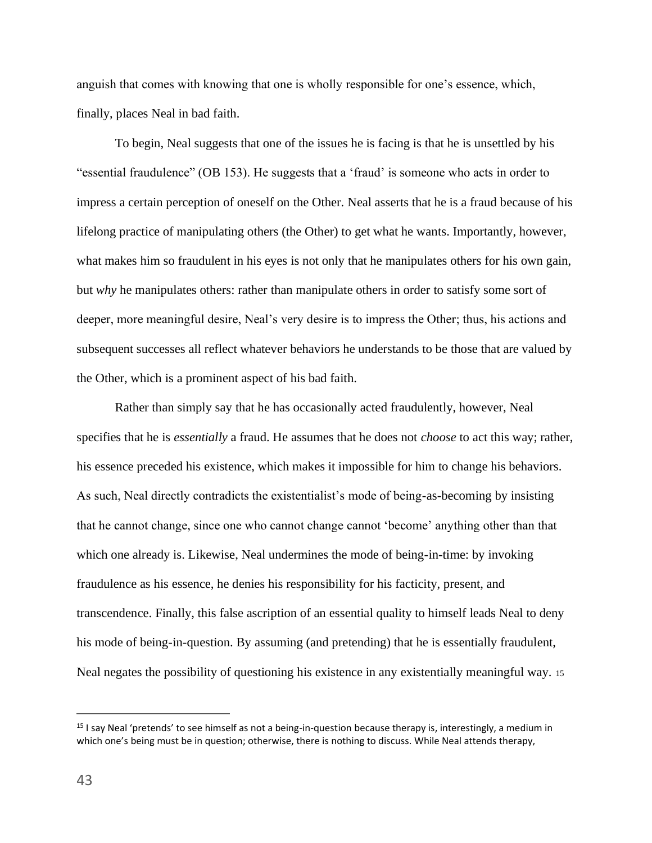anguish that comes with knowing that one is wholly responsible for one's essence, which, finally, places Neal in bad faith.

To begin, Neal suggests that one of the issues he is facing is that he is unsettled by his "essential fraudulence" (OB 153). He suggests that a 'fraud' is someone who acts in order to impress a certain perception of oneself on the Other. Neal asserts that he is a fraud because of his lifelong practice of manipulating others (the Other) to get what he wants. Importantly, however, what makes him so fraudulent in his eyes is not only that he manipulates others for his own gain, but *why* he manipulates others: rather than manipulate others in order to satisfy some sort of deeper, more meaningful desire, Neal's very desire is to impress the Other; thus, his actions and subsequent successes all reflect whatever behaviors he understands to be those that are valued by the Other, which is a prominent aspect of his bad faith.

Rather than simply say that he has occasionally acted fraudulently, however, Neal specifies that he is *essentially* a fraud. He assumes that he does not *choose* to act this way; rather, his essence preceded his existence, which makes it impossible for him to change his behaviors. As such, Neal directly contradicts the existentialist's mode of being-as-becoming by insisting that he cannot change, since one who cannot change cannot 'become' anything other than that which one already is. Likewise, Neal undermines the mode of being-in-time: by invoking fraudulence as his essence, he denies his responsibility for his facticity, present, and transcendence. Finally, this false ascription of an essential quality to himself leads Neal to deny his mode of being-in-question. By assuming (and pretending) that he is essentially fraudulent, Neal negates the possibility of questioning his existence in any existentially meaningful way. <sup>15</sup>

<sup>15</sup> I say Neal 'pretends' to see himself as not a being-in-question because therapy is, interestingly, a medium in which one's being must be in question; otherwise, there is nothing to discuss. While Neal attends therapy,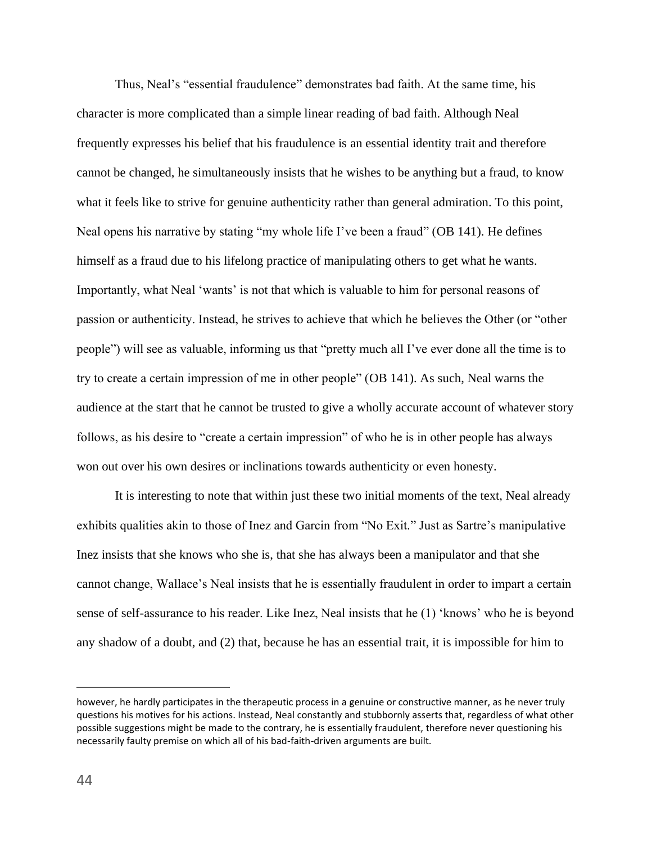Thus, Neal's "essential fraudulence" demonstrates bad faith. At the same time, his character is more complicated than a simple linear reading of bad faith. Although Neal frequently expresses his belief that his fraudulence is an essential identity trait and therefore cannot be changed, he simultaneously insists that he wishes to be anything but a fraud, to know what it feels like to strive for genuine authenticity rather than general admiration. To this point, Neal opens his narrative by stating "my whole life I've been a fraud" (OB 141). He defines himself as a fraud due to his lifelong practice of manipulating others to get what he wants. Importantly, what Neal 'wants' is not that which is valuable to him for personal reasons of passion or authenticity. Instead, he strives to achieve that which he believes the Other (or "other people") will see as valuable, informing us that "pretty much all I've ever done all the time is to try to create a certain impression of me in other people" (OB 141). As such, Neal warns the audience at the start that he cannot be trusted to give a wholly accurate account of whatever story follows, as his desire to "create a certain impression" of who he is in other people has always won out over his own desires or inclinations towards authenticity or even honesty.

It is interesting to note that within just these two initial moments of the text, Neal already exhibits qualities akin to those of Inez and Garcin from "No Exit." Just as Sartre's manipulative Inez insists that she knows who she is, that she has always been a manipulator and that she cannot change, Wallace's Neal insists that he is essentially fraudulent in order to impart a certain sense of self-assurance to his reader. Like Inez, Neal insists that he (1) 'knows' who he is beyond any shadow of a doubt, and (2) that, because he has an essential trait, it is impossible for him to

however, he hardly participates in the therapeutic process in a genuine or constructive manner, as he never truly questions his motives for his actions. Instead, Neal constantly and stubbornly asserts that, regardless of what other possible suggestions might be made to the contrary, he is essentially fraudulent, therefore never questioning his necessarily faulty premise on which all of his bad-faith-driven arguments are built.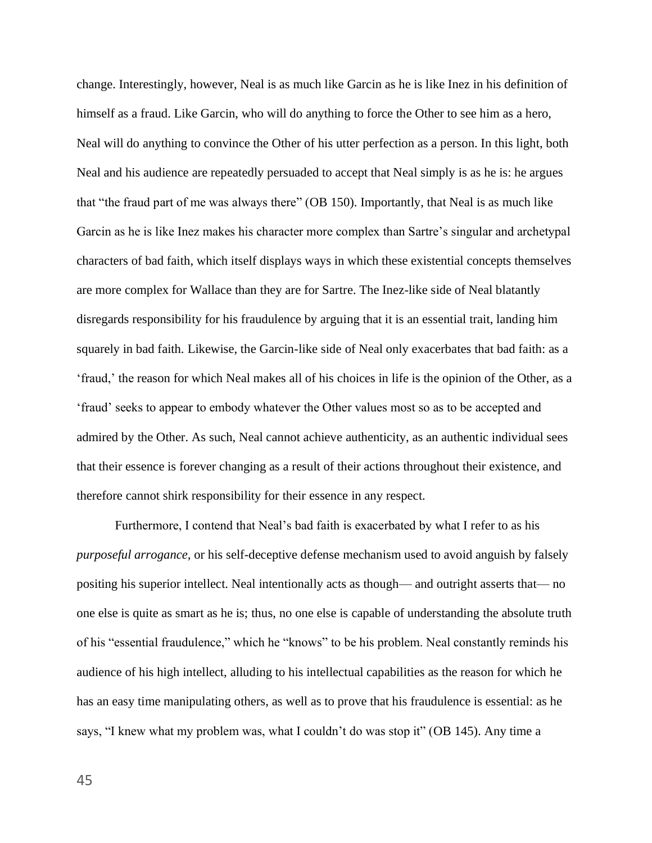change. Interestingly, however, Neal is as much like Garcin as he is like Inez in his definition of himself as a fraud. Like Garcin, who will do anything to force the Other to see him as a hero, Neal will do anything to convince the Other of his utter perfection as a person. In this light, both Neal and his audience are repeatedly persuaded to accept that Neal simply is as he is: he argues that "the fraud part of me was always there" (OB 150). Importantly, that Neal is as much like Garcin as he is like Inez makes his character more complex than Sartre's singular and archetypal characters of bad faith, which itself displays ways in which these existential concepts themselves are more complex for Wallace than they are for Sartre. The Inez-like side of Neal blatantly disregards responsibility for his fraudulence by arguing that it is an essential trait, landing him squarely in bad faith. Likewise, the Garcin-like side of Neal only exacerbates that bad faith: as a 'fraud,' the reason for which Neal makes all of his choices in life is the opinion of the Other, as a 'fraud' seeks to appear to embody whatever the Other values most so as to be accepted and admired by the Other. As such, Neal cannot achieve authenticity, as an authentic individual sees that their essence is forever changing as a result of their actions throughout their existence, and therefore cannot shirk responsibility for their essence in any respect.

Furthermore, I contend that Neal's bad faith is exacerbated by what I refer to as his *purposeful arrogance,* or his self-deceptive defense mechanism used to avoid anguish by falsely positing his superior intellect. Neal intentionally acts as though— and outright asserts that— no one else is quite as smart as he is; thus, no one else is capable of understanding the absolute truth of his "essential fraudulence," which he "knows" to be his problem. Neal constantly reminds his audience of his high intellect, alluding to his intellectual capabilities as the reason for which he has an easy time manipulating others, as well as to prove that his fraudulence is essential: as he says, "I knew what my problem was, what I couldn't do was stop it" (OB 145). Any time a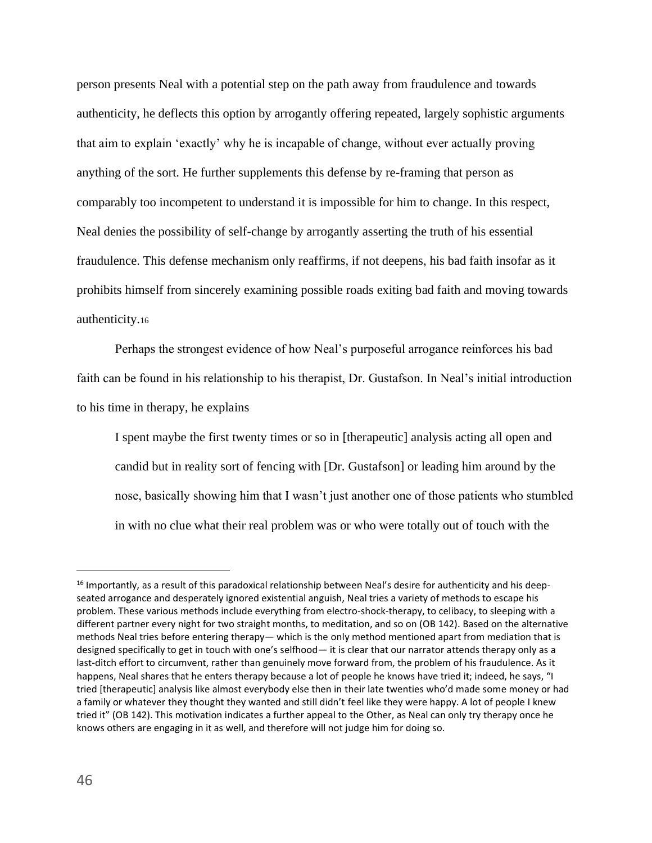person presents Neal with a potential step on the path away from fraudulence and towards authenticity, he deflects this option by arrogantly offering repeated, largely sophistic arguments that aim to explain 'exactly' why he is incapable of change, without ever actually proving anything of the sort. He further supplements this defense by re-framing that person as comparably too incompetent to understand it is impossible for him to change. In this respect, Neal denies the possibility of self-change by arrogantly asserting the truth of his essential fraudulence. This defense mechanism only reaffirms, if not deepens, his bad faith insofar as it prohibits himself from sincerely examining possible roads exiting bad faith and moving towards authenticity.<sup>16</sup>

Perhaps the strongest evidence of how Neal's purposeful arrogance reinforces his bad faith can be found in his relationship to his therapist, Dr. Gustafson. In Neal's initial introduction to his time in therapy, he explains

I spent maybe the first twenty times or so in [therapeutic] analysis acting all open and candid but in reality sort of fencing with [Dr. Gustafson] or leading him around by the nose, basically showing him that I wasn't just another one of those patients who stumbled in with no clue what their real problem was or who were totally out of touch with the

<sup>&</sup>lt;sup>16</sup> Importantly, as a result of this paradoxical relationship between Neal's desire for authenticity and his deepseated arrogance and desperately ignored existential anguish, Neal tries a variety of methods to escape his problem. These various methods include everything from electro-shock-therapy, to celibacy, to sleeping with a different partner every night for two straight months, to meditation, and so on (OB 142). Based on the alternative methods Neal tries before entering therapy— which is the only method mentioned apart from mediation that is designed specifically to get in touch with one's selfhood— it is clear that our narrator attends therapy only as a last-ditch effort to circumvent, rather than genuinely move forward from, the problem of his fraudulence. As it happens, Neal shares that he enters therapy because a lot of people he knows have tried it; indeed, he says, "I tried [therapeutic] analysis like almost everybody else then in their late twenties who'd made some money or had a family or whatever they thought they wanted and still didn't feel like they were happy. A lot of people I knew tried it" (OB 142). This motivation indicates a further appeal to the Other, as Neal can only try therapy once he knows others are engaging in it as well, and therefore will not judge him for doing so.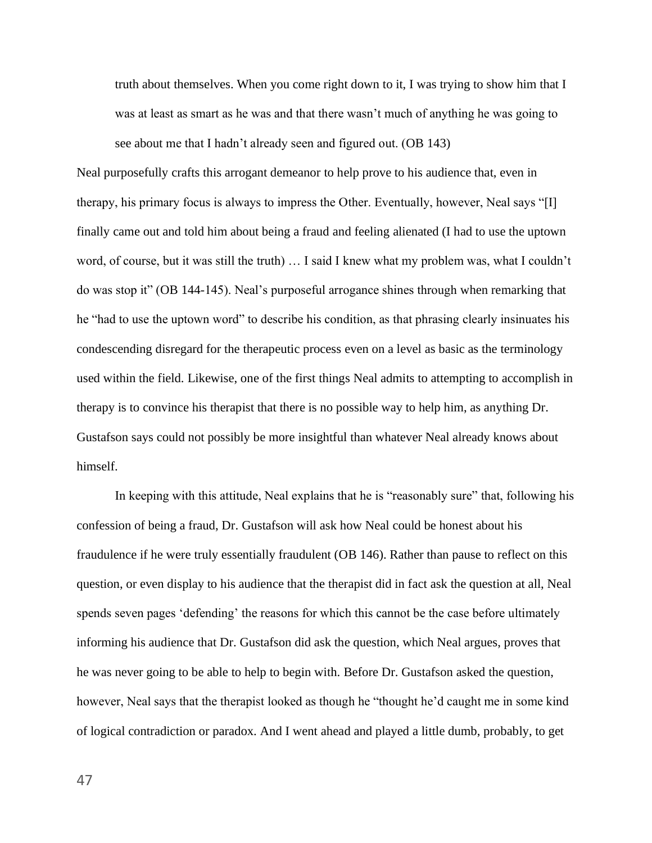truth about themselves. When you come right down to it, I was trying to show him that I was at least as smart as he was and that there wasn't much of anything he was going to see about me that I hadn't already seen and figured out. (OB 143)

Neal purposefully crafts this arrogant demeanor to help prove to his audience that, even in therapy, his primary focus is always to impress the Other. Eventually, however, Neal says "[I] finally came out and told him about being a fraud and feeling alienated (I had to use the uptown word, of course, but it was still the truth) … I said I knew what my problem was, what I couldn't do was stop it" (OB 144-145). Neal's purposeful arrogance shines through when remarking that he "had to use the uptown word" to describe his condition, as that phrasing clearly insinuates his condescending disregard for the therapeutic process even on a level as basic as the terminology used within the field. Likewise, one of the first things Neal admits to attempting to accomplish in therapy is to convince his therapist that there is no possible way to help him, as anything Dr. Gustafson says could not possibly be more insightful than whatever Neal already knows about himself.

In keeping with this attitude, Neal explains that he is "reasonably sure" that, following his confession of being a fraud, Dr. Gustafson will ask how Neal could be honest about his fraudulence if he were truly essentially fraudulent (OB 146). Rather than pause to reflect on this question, or even display to his audience that the therapist did in fact ask the question at all, Neal spends seven pages 'defending' the reasons for which this cannot be the case before ultimately informing his audience that Dr. Gustafson did ask the question, which Neal argues, proves that he was never going to be able to help to begin with. Before Dr. Gustafson asked the question, however, Neal says that the therapist looked as though he "thought he'd caught me in some kind of logical contradiction or paradox. And I went ahead and played a little dumb, probably, to get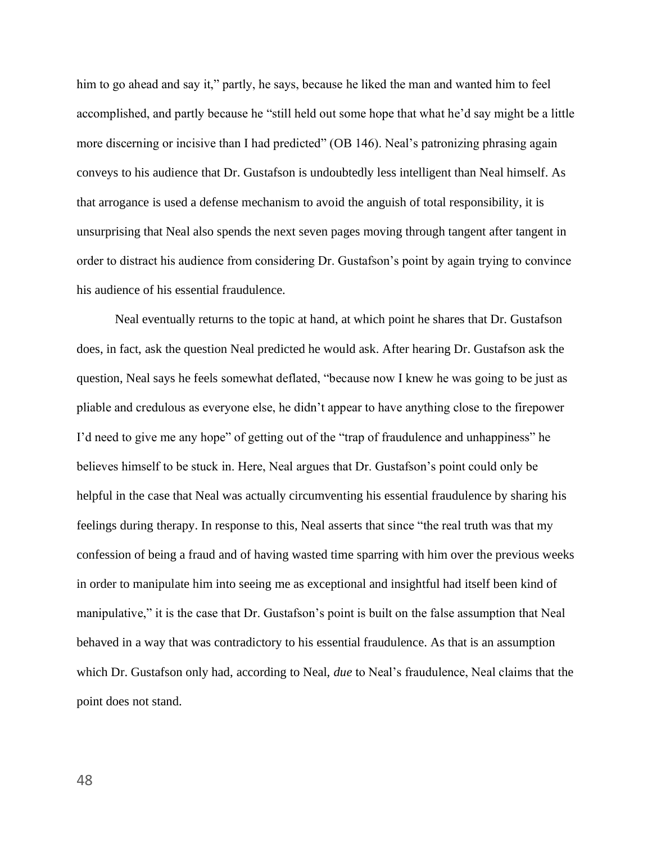him to go ahead and say it," partly, he says, because he liked the man and wanted him to feel accomplished, and partly because he "still held out some hope that what he'd say might be a little more discerning or incisive than I had predicted" (OB 146). Neal's patronizing phrasing again conveys to his audience that Dr. Gustafson is undoubtedly less intelligent than Neal himself. As that arrogance is used a defense mechanism to avoid the anguish of total responsibility, it is unsurprising that Neal also spends the next seven pages moving through tangent after tangent in order to distract his audience from considering Dr. Gustafson's point by again trying to convince his audience of his essential fraudulence.

Neal eventually returns to the topic at hand, at which point he shares that Dr. Gustafson does, in fact, ask the question Neal predicted he would ask. After hearing Dr. Gustafson ask the question, Neal says he feels somewhat deflated, "because now I knew he was going to be just as pliable and credulous as everyone else, he didn't appear to have anything close to the firepower I'd need to give me any hope" of getting out of the "trap of fraudulence and unhappiness" he believes himself to be stuck in. Here, Neal argues that Dr. Gustafson's point could only be helpful in the case that Neal was actually circumventing his essential fraudulence by sharing his feelings during therapy. In response to this, Neal asserts that since "the real truth was that my confession of being a fraud and of having wasted time sparring with him over the previous weeks in order to manipulate him into seeing me as exceptional and insightful had itself been kind of manipulative," it is the case that Dr. Gustafson's point is built on the false assumption that Neal behaved in a way that was contradictory to his essential fraudulence. As that is an assumption which Dr. Gustafson only had, according to Neal, *due* to Neal's fraudulence, Neal claims that the point does not stand.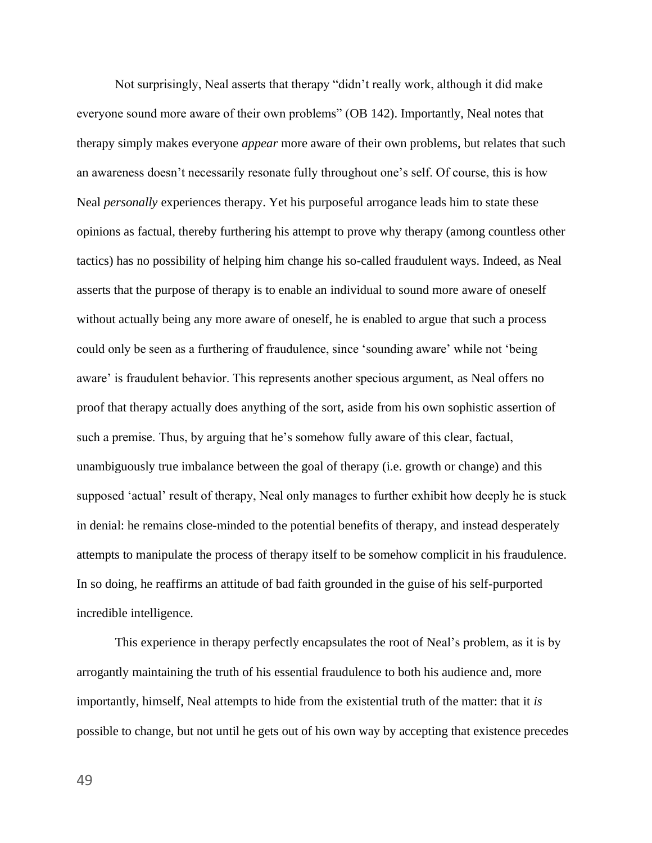Not surprisingly, Neal asserts that therapy "didn't really work, although it did make everyone sound more aware of their own problems" (OB 142). Importantly, Neal notes that therapy simply makes everyone *appear* more aware of their own problems, but relates that such an awareness doesn't necessarily resonate fully throughout one's self. Of course, this is how Neal *personally* experiences therapy. Yet his purposeful arrogance leads him to state these opinions as factual, thereby furthering his attempt to prove why therapy (among countless other tactics) has no possibility of helping him change his so-called fraudulent ways. Indeed, as Neal asserts that the purpose of therapy is to enable an individual to sound more aware of oneself without actually being any more aware of oneself, he is enabled to argue that such a process could only be seen as a furthering of fraudulence, since 'sounding aware' while not 'being aware' is fraudulent behavior. This represents another specious argument, as Neal offers no proof that therapy actually does anything of the sort, aside from his own sophistic assertion of such a premise. Thus, by arguing that he's somehow fully aware of this clear, factual, unambiguously true imbalance between the goal of therapy (i.e. growth or change) and this supposed 'actual' result of therapy, Neal only manages to further exhibit how deeply he is stuck in denial: he remains close-minded to the potential benefits of therapy, and instead desperately attempts to manipulate the process of therapy itself to be somehow complicit in his fraudulence. In so doing, he reaffirms an attitude of bad faith grounded in the guise of his self-purported incredible intelligence.

This experience in therapy perfectly encapsulates the root of Neal's problem, as it is by arrogantly maintaining the truth of his essential fraudulence to both his audience and, more importantly, himself, Neal attempts to hide from the existential truth of the matter: that it *is* possible to change, but not until he gets out of his own way by accepting that existence precedes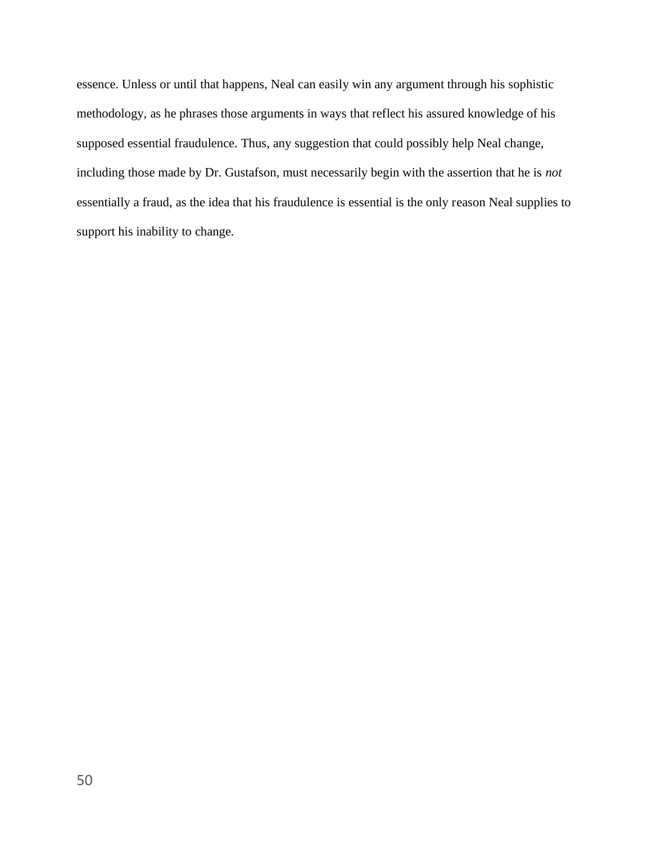essence. Unless or until that happens, Neal can easily win any argument through his sophistic methodology, as he phrases those arguments in ways that reflect his assured knowledge of his supposed essential fraudulence. Thus, any suggestion that could possibly help Neal change, including those made by Dr. Gustafson, must necessarily begin with the assertion that he is *not*  essentially a fraud, as the idea that his fraudulence is essential is the only reason Neal supplies to support his inability to change.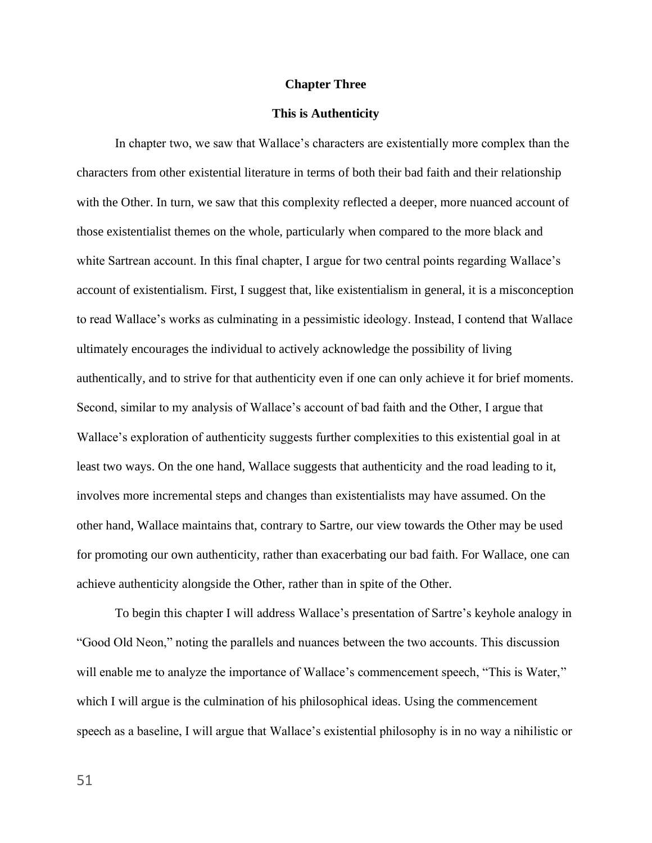### **Chapter Three**

### **This is Authenticity**

In chapter two, we saw that Wallace's characters are existentially more complex than the characters from other existential literature in terms of both their bad faith and their relationship with the Other. In turn, we saw that this complexity reflected a deeper, more nuanced account of those existentialist themes on the whole, particularly when compared to the more black and white Sartrean account. In this final chapter, I argue for two central points regarding Wallace's account of existentialism. First, I suggest that, like existentialism in general, it is a misconception to read Wallace's works as culminating in a pessimistic ideology. Instead, I contend that Wallace ultimately encourages the individual to actively acknowledge the possibility of living authentically, and to strive for that authenticity even if one can only achieve it for brief moments. Second, similar to my analysis of Wallace's account of bad faith and the Other, I argue that Wallace's exploration of authenticity suggests further complexities to this existential goal in at least two ways. On the one hand, Wallace suggests that authenticity and the road leading to it, involves more incremental steps and changes than existentialists may have assumed. On the other hand, Wallace maintains that, contrary to Sartre, our view towards the Other may be used for promoting our own authenticity, rather than exacerbating our bad faith. For Wallace, one can achieve authenticity alongside the Other, rather than in spite of the Other.

To begin this chapter I will address Wallace's presentation of Sartre's keyhole analogy in "Good Old Neon," noting the parallels and nuances between the two accounts. This discussion will enable me to analyze the importance of Wallace's commencement speech, "This is Water," which I will argue is the culmination of his philosophical ideas. Using the commencement speech as a baseline, I will argue that Wallace's existential philosophy is in no way a nihilistic or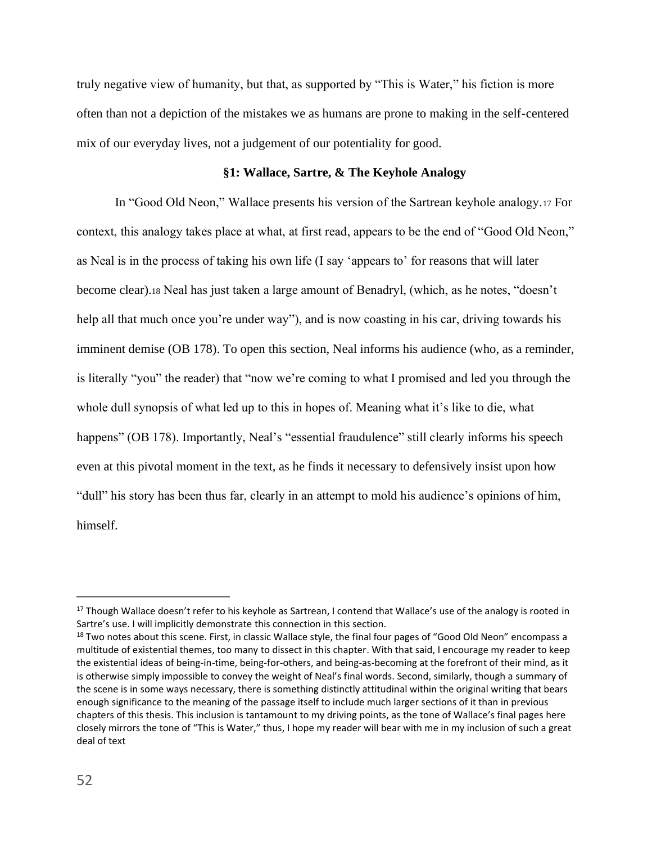truly negative view of humanity, but that, as supported by "This is Water," his fiction is more often than not a depiction of the mistakes we as humans are prone to making in the self-centered mix of our everyday lives, not a judgement of our potentiality for good.

# **§1: Wallace, Sartre, & The Keyhole Analogy**

In "Good Old Neon," Wallace presents his version of the Sartrean keyhole analogy.<sup>17</sup> For context, this analogy takes place at what, at first read, appears to be the end of "Good Old Neon," as Neal is in the process of taking his own life (I say 'appears to' for reasons that will later become clear).<sup>18</sup> Neal has just taken a large amount of Benadryl, (which, as he notes, "doesn't help all that much once you're under way"), and is now coasting in his car, driving towards his imminent demise (OB 178). To open this section, Neal informs his audience (who, as a reminder, is literally "you" the reader) that "now we're coming to what I promised and led you through the whole dull synopsis of what led up to this in hopes of. Meaning what it's like to die, what happens" (OB 178). Importantly, Neal's "essential fraudulence" still clearly informs his speech even at this pivotal moment in the text, as he finds it necessary to defensively insist upon how "dull" his story has been thus far, clearly in an attempt to mold his audience's opinions of him, himself.

<sup>&</sup>lt;sup>17</sup> Though Wallace doesn't refer to his keyhole as Sartrean, I contend that Wallace's use of the analogy is rooted in Sartre's use. I will implicitly demonstrate this connection in this section.

<sup>&</sup>lt;sup>18</sup> Two notes about this scene. First, in classic Wallace style, the final four pages of "Good Old Neon" encompass a multitude of existential themes, too many to dissect in this chapter. With that said, I encourage my reader to keep the existential ideas of being-in-time, being-for-others, and being-as-becoming at the forefront of their mind, as it is otherwise simply impossible to convey the weight of Neal's final words. Second, similarly, though a summary of the scene is in some ways necessary, there is something distinctly attitudinal within the original writing that bears enough significance to the meaning of the passage itself to include much larger sections of it than in previous chapters of this thesis. This inclusion is tantamount to my driving points, as the tone of Wallace's final pages here closely mirrors the tone of "This is Water," thus, I hope my reader will bear with me in my inclusion of such a great deal of text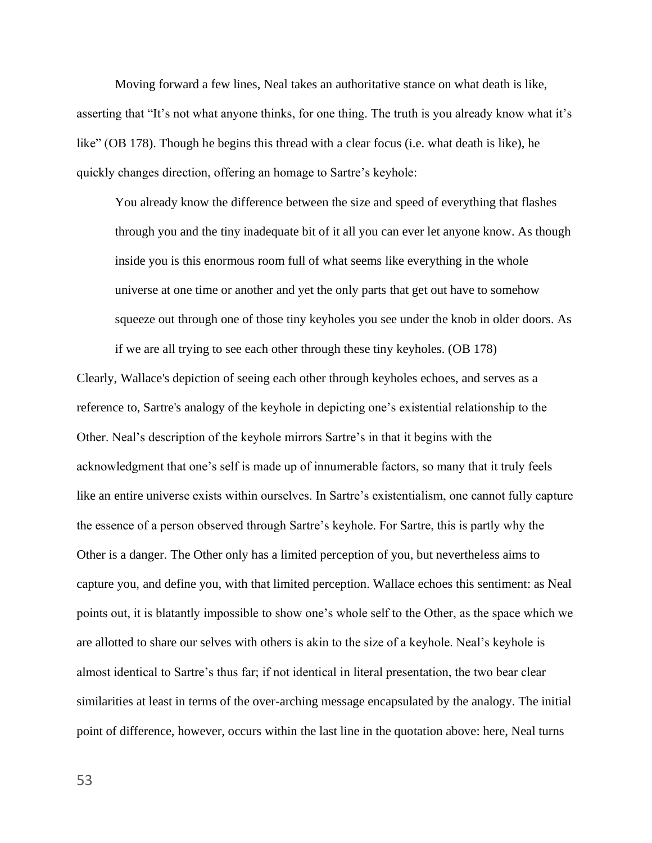Moving forward a few lines, Neal takes an authoritative stance on what death is like, asserting that "It's not what anyone thinks, for one thing. The truth is you already know what it's like" (OB 178). Though he begins this thread with a clear focus (i.e. what death is like), he quickly changes direction, offering an homage to Sartre's keyhole:

You already know the difference between the size and speed of everything that flashes through you and the tiny inadequate bit of it all you can ever let anyone know. As though inside you is this enormous room full of what seems like everything in the whole universe at one time or another and yet the only parts that get out have to somehow squeeze out through one of those tiny keyholes you see under the knob in older doors. As if we are all trying to see each other through these tiny keyholes. (OB 178)

Clearly, Wallace's depiction of seeing each other through keyholes echoes, and serves as a reference to, Sartre's analogy of the keyhole in depicting one's existential relationship to the Other. Neal's description of the keyhole mirrors Sartre's in that it begins with the acknowledgment that one's self is made up of innumerable factors, so many that it truly feels like an entire universe exists within ourselves. In Sartre's existentialism, one cannot fully capture the essence of a person observed through Sartre's keyhole. For Sartre, this is partly why the Other is a danger. The Other only has a limited perception of you, but nevertheless aims to capture you, and define you, with that limited perception. Wallace echoes this sentiment: as Neal points out, it is blatantly impossible to show one's whole self to the Other, as the space which we are allotted to share our selves with others is akin to the size of a keyhole. Neal's keyhole is almost identical to Sartre's thus far; if not identical in literal presentation, the two bear clear similarities at least in terms of the over-arching message encapsulated by the analogy. The initial point of difference, however, occurs within the last line in the quotation above: here, Neal turns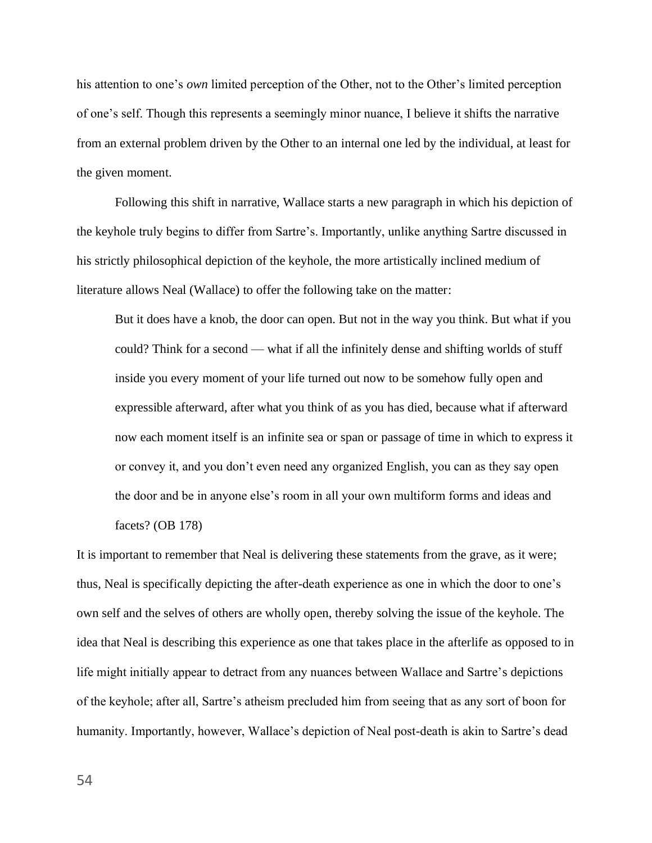his attention to one's *own* limited perception of the Other, not to the Other's limited perception of one's self. Though this represents a seemingly minor nuance, I believe it shifts the narrative from an external problem driven by the Other to an internal one led by the individual, at least for the given moment.

Following this shift in narrative, Wallace starts a new paragraph in which his depiction of the keyhole truly begins to differ from Sartre's. Importantly, unlike anything Sartre discussed in his strictly philosophical depiction of the keyhole, the more artistically inclined medium of literature allows Neal (Wallace) to offer the following take on the matter:

But it does have a knob, the door can open. But not in the way you think. But what if you could? Think for a second — what if all the infinitely dense and shifting worlds of stuff inside you every moment of your life turned out now to be somehow fully open and expressible afterward, after what you think of as you has died, because what if afterward now each moment itself is an infinite sea or span or passage of time in which to express it or convey it, and you don't even need any organized English, you can as they say open the door and be in anyone else's room in all your own multiform forms and ideas and facets? (OB 178)

It is important to remember that Neal is delivering these statements from the grave, as it were; thus, Neal is specifically depicting the after-death experience as one in which the door to one's own self and the selves of others are wholly open, thereby solving the issue of the keyhole. The idea that Neal is describing this experience as one that takes place in the afterlife as opposed to in life might initially appear to detract from any nuances between Wallace and Sartre's depictions of the keyhole; after all, Sartre's atheism precluded him from seeing that as any sort of boon for humanity. Importantly, however, Wallace's depiction of Neal post-death is akin to Sartre's dead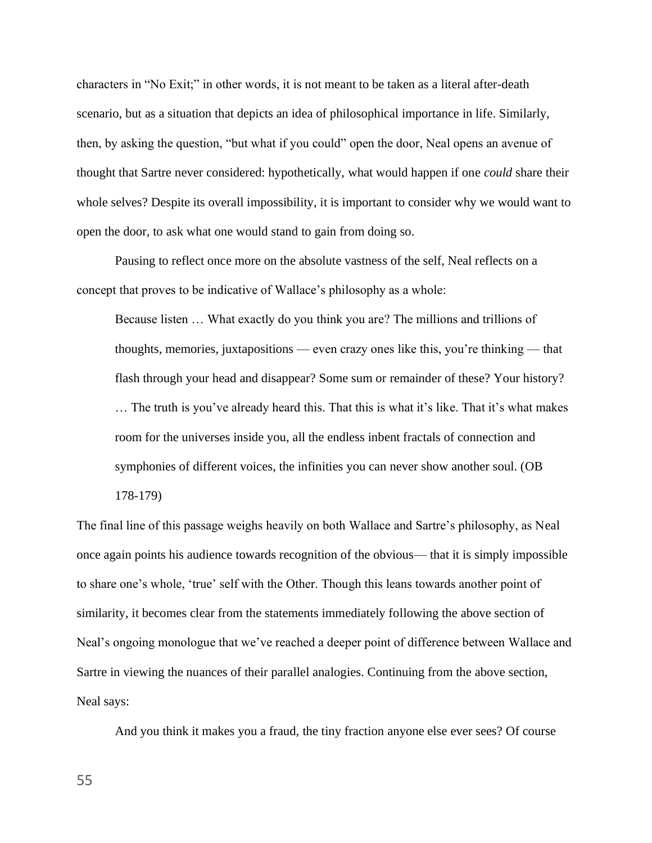characters in "No Exit;" in other words, it is not meant to be taken as a literal after-death scenario, but as a situation that depicts an idea of philosophical importance in life. Similarly, then, by asking the question, "but what if you could" open the door, Neal opens an avenue of thought that Sartre never considered: hypothetically, what would happen if one *could* share their whole selves? Despite its overall impossibility, it is important to consider why we would want to open the door, to ask what one would stand to gain from doing so.

Pausing to reflect once more on the absolute vastness of the self, Neal reflects on a concept that proves to be indicative of Wallace's philosophy as a whole:

Because listen … What exactly do you think you are? The millions and trillions of thoughts, memories, juxtapositions — even crazy ones like this, you're thinking — that flash through your head and disappear? Some sum or remainder of these? Your history? … The truth is you've already heard this. That this is what it's like. That it's what makes room for the universes inside you, all the endless inbent fractals of connection and symphonies of different voices, the infinities you can never show another soul. (OB 178-179)

The final line of this passage weighs heavily on both Wallace and Sartre's philosophy, as Neal once again points his audience towards recognition of the obvious— that it is simply impossible to share one's whole, 'true' self with the Other. Though this leans towards another point of similarity, it becomes clear from the statements immediately following the above section of Neal's ongoing monologue that we've reached a deeper point of difference between Wallace and Sartre in viewing the nuances of their parallel analogies. Continuing from the above section, Neal says:

And you think it makes you a fraud, the tiny fraction anyone else ever sees? Of course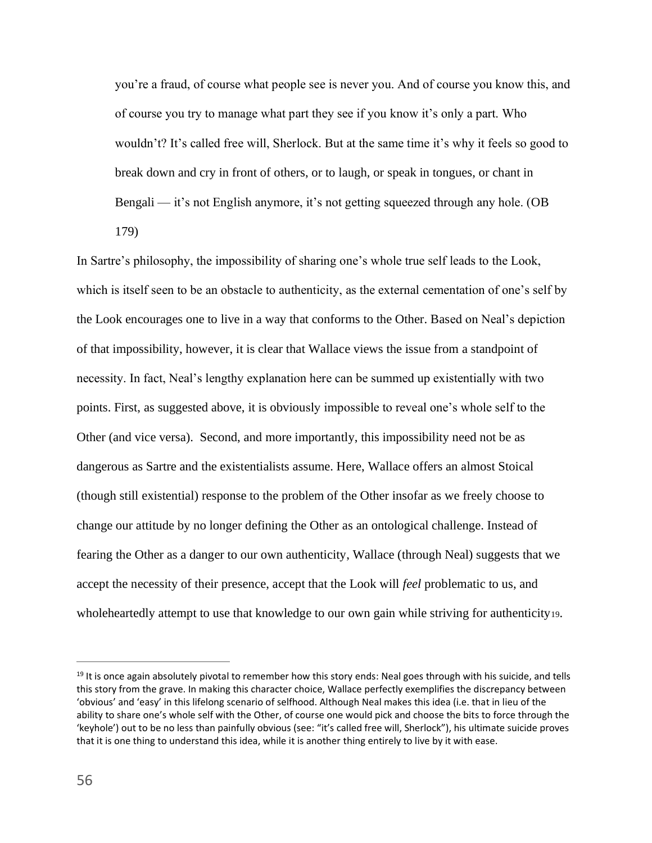you're a fraud, of course what people see is never you. And of course you know this, and of course you try to manage what part they see if you know it's only a part. Who wouldn't? It's called free will, Sherlock. But at the same time it's why it feels so good to break down and cry in front of others, or to laugh, or speak in tongues, or chant in Bengali — it's not English anymore, it's not getting squeezed through any hole. (OB 179)

In Sartre's philosophy, the impossibility of sharing one's whole true self leads to the Look, which is itself seen to be an obstacle to authenticity, as the external cementation of one's self by the Look encourages one to live in a way that conforms to the Other. Based on Neal's depiction of that impossibility, however, it is clear that Wallace views the issue from a standpoint of necessity. In fact, Neal's lengthy explanation here can be summed up existentially with two points. First, as suggested above, it is obviously impossible to reveal one's whole self to the Other (and vice versa). Second, and more importantly, this impossibility need not be as dangerous as Sartre and the existentialists assume. Here, Wallace offers an almost Stoical (though still existential) response to the problem of the Other insofar as we freely choose to change our attitude by no longer defining the Other as an ontological challenge. Instead of fearing the Other as a danger to our own authenticity, Wallace (through Neal) suggests that we accept the necessity of their presence, accept that the Look will *feel* problematic to us, and wholeheartedly attempt to use that knowledge to our own gain while striving for authenticity19.

<sup>&</sup>lt;sup>19</sup> It is once again absolutely pivotal to remember how this story ends: Neal goes through with his suicide, and tells this story from the grave. In making this character choice, Wallace perfectly exemplifies the discrepancy between 'obvious' and 'easy' in this lifelong scenario of selfhood. Although Neal makes this idea (i.e. that in lieu of the ability to share one's whole self with the Other, of course one would pick and choose the bits to force through the 'keyhole') out to be no less than painfully obvious (see: "it's called free will, Sherlock"), his ultimate suicide proves that it is one thing to understand this idea, while it is another thing entirely to live by it with ease.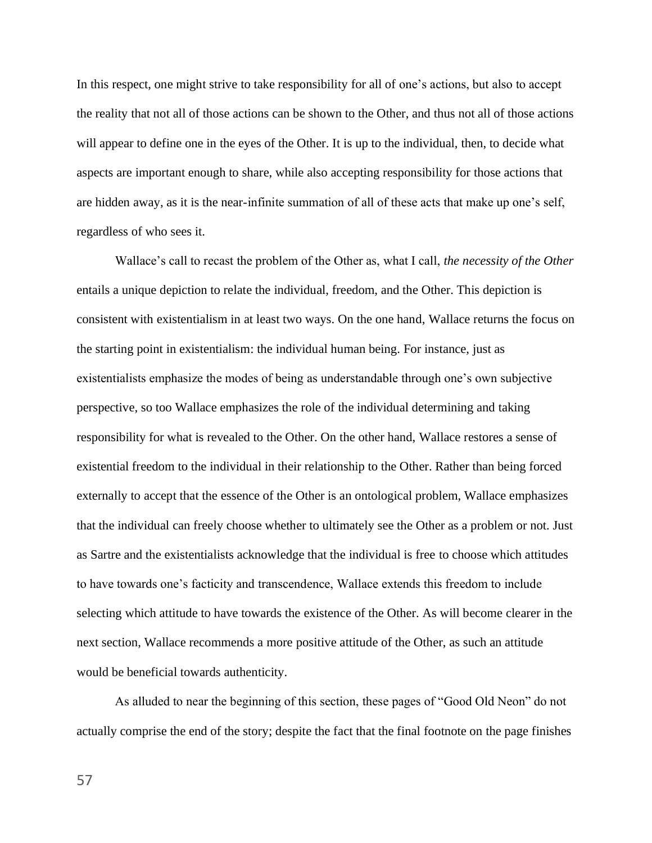In this respect, one might strive to take responsibility for all of one's actions, but also to accept the reality that not all of those actions can be shown to the Other, and thus not all of those actions will appear to define one in the eyes of the Other. It is up to the individual, then, to decide what aspects are important enough to share, while also accepting responsibility for those actions that are hidden away, as it is the near-infinite summation of all of these acts that make up one's self, regardless of who sees it.

Wallace's call to recast the problem of the Other as, what I call, *the necessity of the Other* entails a unique depiction to relate the individual, freedom, and the Other. This depiction is consistent with existentialism in at least two ways. On the one hand, Wallace returns the focus on the starting point in existentialism: the individual human being. For instance, just as existentialists emphasize the modes of being as understandable through one's own subjective perspective, so too Wallace emphasizes the role of the individual determining and taking responsibility for what is revealed to the Other. On the other hand, Wallace restores a sense of existential freedom to the individual in their relationship to the Other. Rather than being forced externally to accept that the essence of the Other is an ontological problem, Wallace emphasizes that the individual can freely choose whether to ultimately see the Other as a problem or not. Just as Sartre and the existentialists acknowledge that the individual is free to choose which attitudes to have towards one's facticity and transcendence, Wallace extends this freedom to include selecting which attitude to have towards the existence of the Other. As will become clearer in the next section, Wallace recommends a more positive attitude of the Other, as such an attitude would be beneficial towards authenticity.

As alluded to near the beginning of this section, these pages of "Good Old Neon" do not actually comprise the end of the story; despite the fact that the final footnote on the page finishes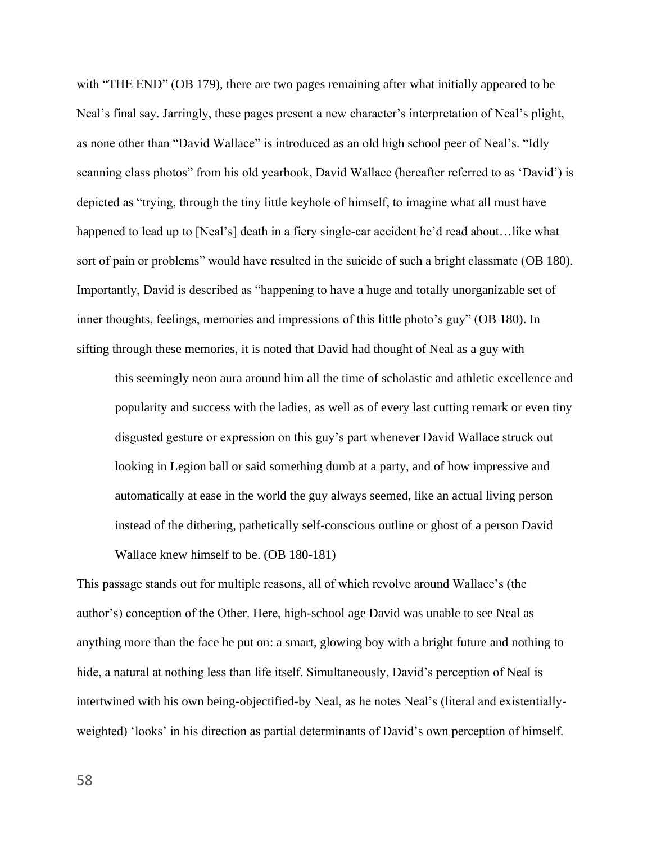with "THE END" (OB 179), there are two pages remaining after what initially appeared to be Neal's final say. Jarringly, these pages present a new character's interpretation of Neal's plight, as none other than "David Wallace" is introduced as an old high school peer of Neal's. "Idly scanning class photos" from his old yearbook, David Wallace (hereafter referred to as 'David') is depicted as "trying, through the tiny little keyhole of himself, to imagine what all must have happened to lead up to [Neal's] death in a fiery single-car accident he'd read about...like what sort of pain or problems" would have resulted in the suicide of such a bright classmate (OB 180). Importantly, David is described as "happening to have a huge and totally unorganizable set of inner thoughts, feelings, memories and impressions of this little photo's guy" (OB 180). In sifting through these memories, it is noted that David had thought of Neal as a guy with

this seemingly neon aura around him all the time of scholastic and athletic excellence and popularity and success with the ladies, as well as of every last cutting remark or even tiny disgusted gesture or expression on this guy's part whenever David Wallace struck out looking in Legion ball or said something dumb at a party, and of how impressive and automatically at ease in the world the guy always seemed, like an actual living person instead of the dithering, pathetically self-conscious outline or ghost of a person David Wallace knew himself to be. (OB 180-181)

This passage stands out for multiple reasons, all of which revolve around Wallace's (the author's) conception of the Other. Here, high-school age David was unable to see Neal as anything more than the face he put on: a smart, glowing boy with a bright future and nothing to hide, a natural at nothing less than life itself. Simultaneously, David's perception of Neal is intertwined with his own being-objectified-by Neal, as he notes Neal's (literal and existentiallyweighted) 'looks' in his direction as partial determinants of David's own perception of himself.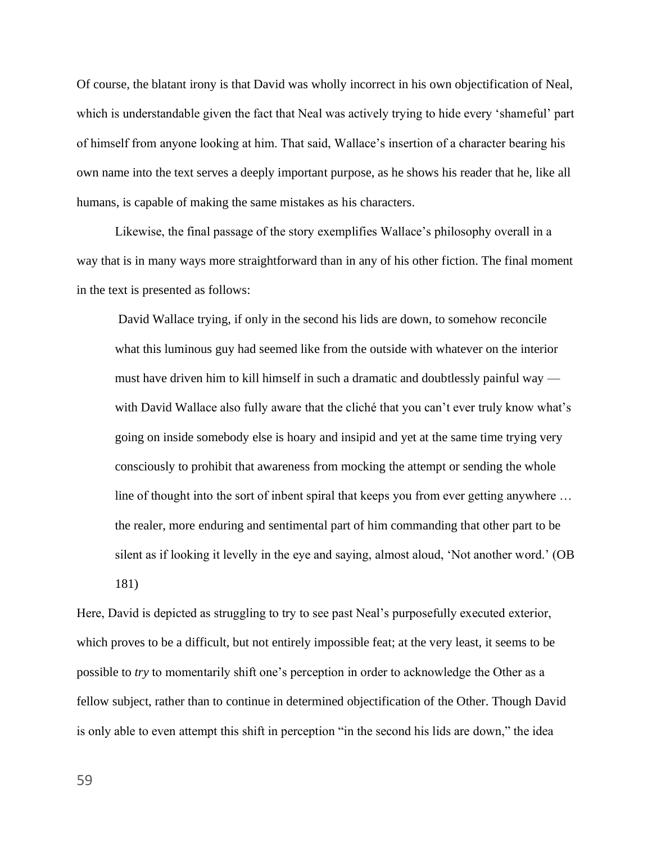Of course, the blatant irony is that David was wholly incorrect in his own objectification of Neal, which is understandable given the fact that Neal was actively trying to hide every 'shameful' part of himself from anyone looking at him. That said, Wallace's insertion of a character bearing his own name into the text serves a deeply important purpose, as he shows his reader that he, like all humans, is capable of making the same mistakes as his characters.

Likewise, the final passage of the story exemplifies Wallace's philosophy overall in a way that is in many ways more straightforward than in any of his other fiction. The final moment in the text is presented as follows:

David Wallace trying, if only in the second his lids are down, to somehow reconcile what this luminous guy had seemed like from the outside with whatever on the interior must have driven him to kill himself in such a dramatic and doubtlessly painful way with David Wallace also fully aware that the cliché that you can't ever truly know what's going on inside somebody else is hoary and insipid and yet at the same time trying very consciously to prohibit that awareness from mocking the attempt or sending the whole line of thought into the sort of inbent spiral that keeps you from ever getting anywhere … the realer, more enduring and sentimental part of him commanding that other part to be silent as if looking it levelly in the eye and saying, almost aloud, 'Not another word.' (OB 181)

Here, David is depicted as struggling to try to see past Neal's purposefully executed exterior, which proves to be a difficult, but not entirely impossible feat; at the very least, it seems to be possible to *try* to momentarily shift one's perception in order to acknowledge the Other as a fellow subject, rather than to continue in determined objectification of the Other. Though David is only able to even attempt this shift in perception "in the second his lids are down," the idea

59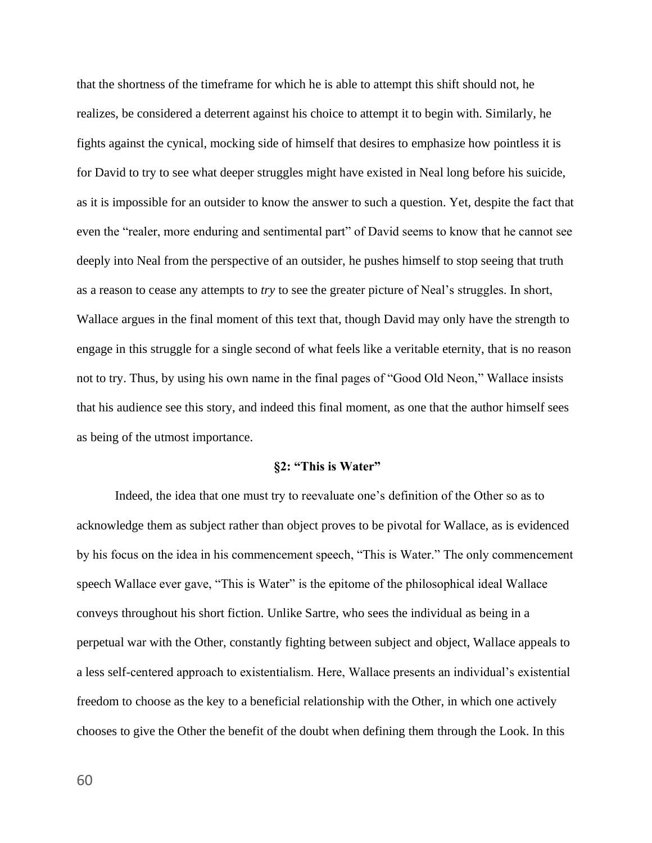that the shortness of the timeframe for which he is able to attempt this shift should not, he realizes, be considered a deterrent against his choice to attempt it to begin with. Similarly, he fights against the cynical, mocking side of himself that desires to emphasize how pointless it is for David to try to see what deeper struggles might have existed in Neal long before his suicide, as it is impossible for an outsider to know the answer to such a question. Yet, despite the fact that even the "realer, more enduring and sentimental part" of David seems to know that he cannot see deeply into Neal from the perspective of an outsider, he pushes himself to stop seeing that truth as a reason to cease any attempts to *try* to see the greater picture of Neal's struggles. In short, Wallace argues in the final moment of this text that, though David may only have the strength to engage in this struggle for a single second of what feels like a veritable eternity, that is no reason not to try. Thus, by using his own name in the final pages of "Good Old Neon," Wallace insists that his audience see this story, and indeed this final moment, as one that the author himself sees as being of the utmost importance.

## **§2: "This is Water"**

Indeed, the idea that one must try to reevaluate one's definition of the Other so as to acknowledge them as subject rather than object proves to be pivotal for Wallace, as is evidenced by his focus on the idea in his commencement speech, "This is Water." The only commencement speech Wallace ever gave, "This is Water" is the epitome of the philosophical ideal Wallace conveys throughout his short fiction. Unlike Sartre, who sees the individual as being in a perpetual war with the Other, constantly fighting between subject and object, Wallace appeals to a less self-centered approach to existentialism. Here, Wallace presents an individual's existential freedom to choose as the key to a beneficial relationship with the Other, in which one actively chooses to give the Other the benefit of the doubt when defining them through the Look. In this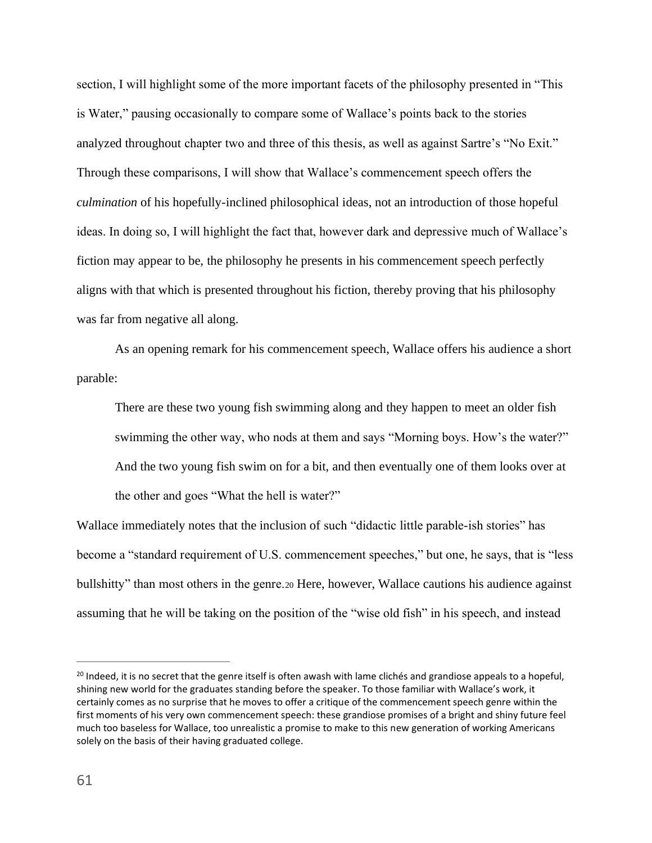section, I will highlight some of the more important facets of the philosophy presented in "This is Water," pausing occasionally to compare some of Wallace's points back to the stories analyzed throughout chapter two and three of this thesis, as well as against Sartre's "No Exit." Through these comparisons, I will show that Wallace's commencement speech offers the *culmination* of his hopefully-inclined philosophical ideas, not an introduction of those hopeful ideas. In doing so, I will highlight the fact that, however dark and depressive much of Wallace's fiction may appear to be, the philosophy he presents in his commencement speech perfectly aligns with that which is presented throughout his fiction, thereby proving that his philosophy was far from negative all along.

As an opening remark for his commencement speech, Wallace offers his audience a short parable:

There are these two young fish swimming along and they happen to meet an older fish swimming the other way, who nods at them and says "Morning boys. How's the water?" And the two young fish swim on for a bit, and then eventually one of them looks over at the other and goes "What the hell is water?"

Wallace immediately notes that the inclusion of such "didactic little parable-ish stories" has become a "standard requirement of U.S. commencement speeches," but one, he says, that is "less bullshitty" than most others in the genre.<sup>20</sup> Here, however, Wallace cautions his audience against assuming that he will be taking on the position of the "wise old fish" in his speech, and instead

 $20$  Indeed, it is no secret that the genre itself is often awash with lame clichés and grandiose appeals to a hopeful, shining new world for the graduates standing before the speaker. To those familiar with Wallace's work, it certainly comes as no surprise that he moves to offer a critique of the commencement speech genre within the first moments of his very own commencement speech: these grandiose promises of a bright and shiny future feel much too baseless for Wallace, too unrealistic a promise to make to this new generation of working Americans solely on the basis of their having graduated college.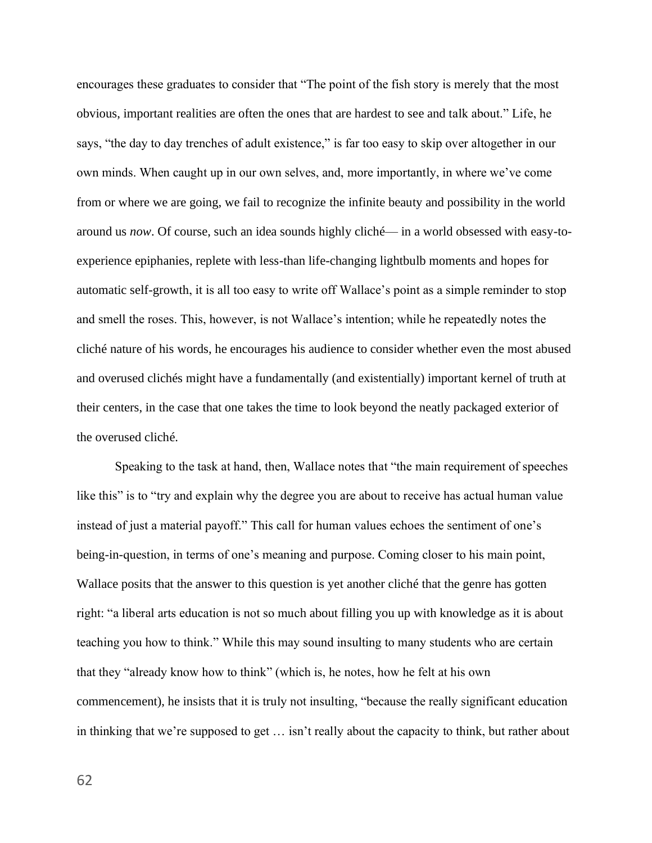encourages these graduates to consider that "The point of the fish story is merely that the most obvious, important realities are often the ones that are hardest to see and talk about." Life, he says, "the day to day trenches of adult existence," is far too easy to skip over altogether in our own minds. When caught up in our own selves, and, more importantly, in where we've come from or where we are going, we fail to recognize the infinite beauty and possibility in the world around us *now*. Of course, such an idea sounds highly cliché— in a world obsessed with easy-toexperience epiphanies, replete with less-than life-changing lightbulb moments and hopes for automatic self-growth, it is all too easy to write off Wallace's point as a simple reminder to stop and smell the roses. This, however, is not Wallace's intention; while he repeatedly notes the cliché nature of his words, he encourages his audience to consider whether even the most abused and overused clichés might have a fundamentally (and existentially) important kernel of truth at their centers, in the case that one takes the time to look beyond the neatly packaged exterior of the overused cliché.

Speaking to the task at hand, then, Wallace notes that "the main requirement of speeches like this" is to "try and explain why the degree you are about to receive has actual human value instead of just a material payoff." This call for human values echoes the sentiment of one's being-in-question, in terms of one's meaning and purpose. Coming closer to his main point, Wallace posits that the answer to this question is yet another cliché that the genre has gotten right: "a liberal arts education is not so much about filling you up with knowledge as it is about teaching you how to think." While this may sound insulting to many students who are certain that they "already know how to think" (which is, he notes, how he felt at his own commencement), he insists that it is truly not insulting, "because the really significant education in thinking that we're supposed to get … isn't really about the capacity to think, but rather about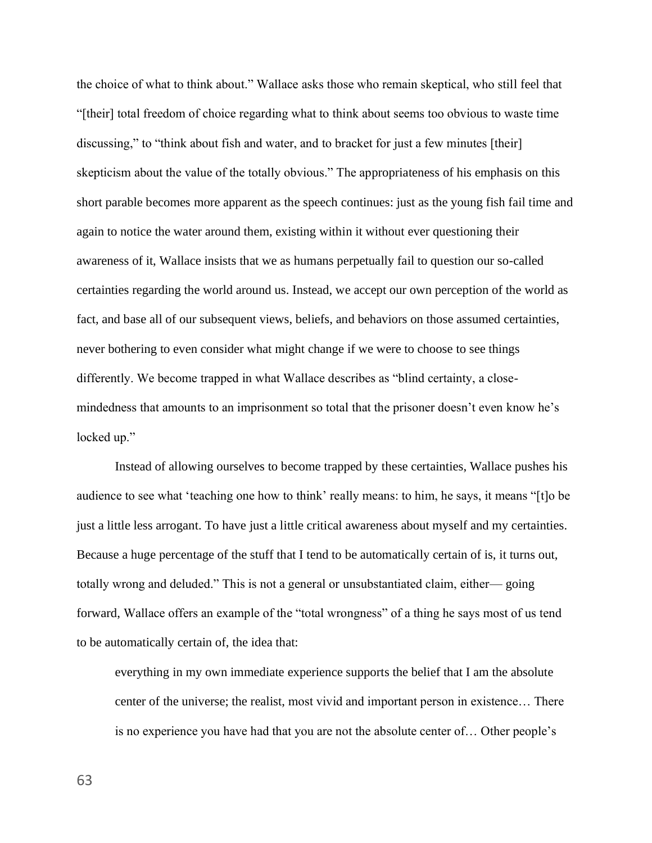the choice of what to think about." Wallace asks those who remain skeptical, who still feel that "[their] total freedom of choice regarding what to think about seems too obvious to waste time discussing," to "think about fish and water, and to bracket for just a few minutes [their] skepticism about the value of the totally obvious." The appropriateness of his emphasis on this short parable becomes more apparent as the speech continues: just as the young fish fail time and again to notice the water around them, existing within it without ever questioning their awareness of it, Wallace insists that we as humans perpetually fail to question our so-called certainties regarding the world around us. Instead, we accept our own perception of the world as fact, and base all of our subsequent views, beliefs, and behaviors on those assumed certainties, never bothering to even consider what might change if we were to choose to see things differently. We become trapped in what Wallace describes as "blind certainty, a closemindedness that amounts to an imprisonment so total that the prisoner doesn't even know he's locked up."

Instead of allowing ourselves to become trapped by these certainties, Wallace pushes his audience to see what 'teaching one how to think' really means: to him, he says, it means "[t]o be just a little less arrogant. To have just a little critical awareness about myself and my certainties. Because a huge percentage of the stuff that I tend to be automatically certain of is, it turns out, totally wrong and deluded." This is not a general or unsubstantiated claim, either— going forward, Wallace offers an example of the "total wrongness" of a thing he says most of us tend to be automatically certain of, the idea that:

everything in my own immediate experience supports the belief that I am the absolute center of the universe; the realist, most vivid and important person in existence… There is no experience you have had that you are not the absolute center of… Other people's

63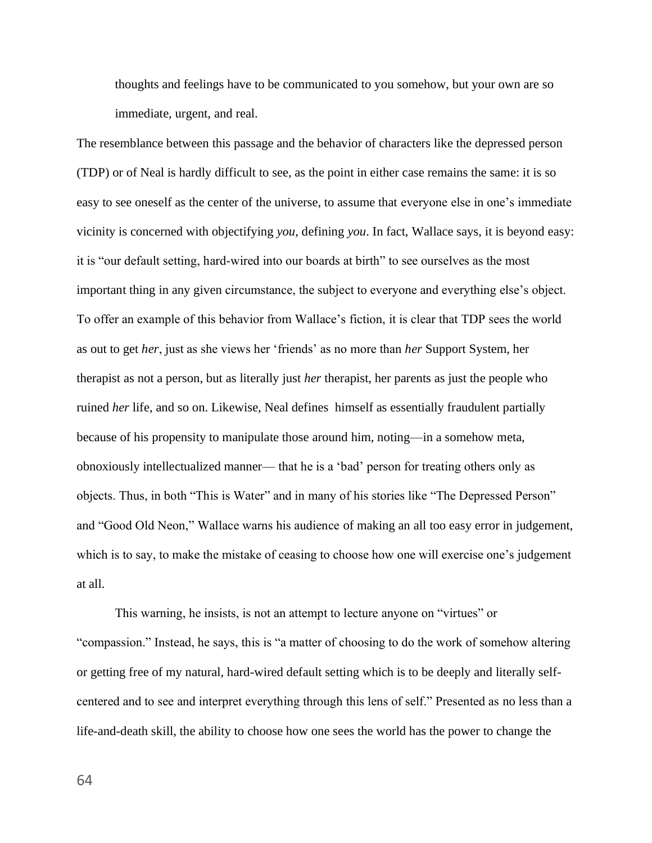thoughts and feelings have to be communicated to you somehow, but your own are so immediate, urgent, and real.

The resemblance between this passage and the behavior of characters like the depressed person (TDP) or of Neal is hardly difficult to see, as the point in either case remains the same: it is so easy to see oneself as the center of the universe, to assume that everyone else in one's immediate vicinity is concerned with objectifying *you*, defining *you*. In fact, Wallace says, it is beyond easy: it is "our default setting, hard-wired into our boards at birth" to see ourselves as the most important thing in any given circumstance, the subject to everyone and everything else's object. To offer an example of this behavior from Wallace's fiction, it is clear that TDP sees the world as out to get *her*, just as she views her 'friends' as no more than *her* Support System, her therapist as not a person, but as literally just *her* therapist, her parents as just the people who ruined *her* life, and so on. Likewise, Neal defines himself as essentially fraudulent partially because of his propensity to manipulate those around him, noting—in a somehow meta, obnoxiously intellectualized manner— that he is a 'bad' person for treating others only as objects. Thus, in both "This is Water" and in many of his stories like "The Depressed Person" and "Good Old Neon," Wallace warns his audience of making an all too easy error in judgement, which is to say, to make the mistake of ceasing to choose how one will exercise one's judgement at all.

This warning, he insists, is not an attempt to lecture anyone on "virtues" or "compassion." Instead, he says, this is "a matter of choosing to do the work of somehow altering or getting free of my natural, hard-wired default setting which is to be deeply and literally selfcentered and to see and interpret everything through this lens of self." Presented as no less than a life-and-death skill, the ability to choose how one sees the world has the power to change the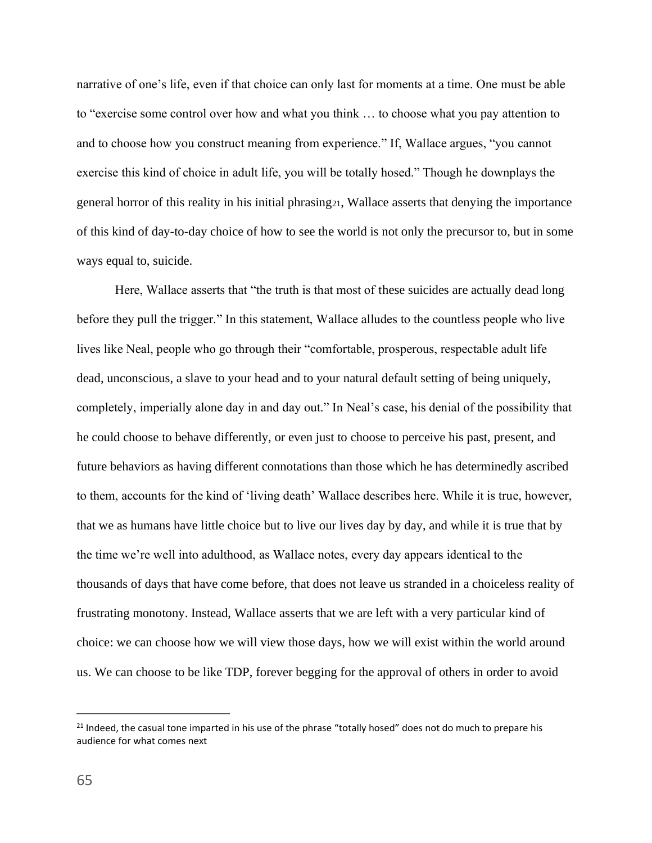narrative of one's life, even if that choice can only last for moments at a time. One must be able to "exercise some control over how and what you think … to choose what you pay attention to and to choose how you construct meaning from experience." If, Wallace argues, "you cannot exercise this kind of choice in adult life, you will be totally hosed." Though he downplays the general horror of this reality in his initial phrasing21, Wallace asserts that denying the importance of this kind of day-to-day choice of how to see the world is not only the precursor to, but in some ways equal to, suicide.

Here, Wallace asserts that "the truth is that most of these suicides are actually dead long before they pull the trigger." In this statement, Wallace alludes to the countless people who live lives like Neal, people who go through their "comfortable, prosperous, respectable adult life dead, unconscious, a slave to your head and to your natural default setting of being uniquely, completely, imperially alone day in and day out." In Neal's case, his denial of the possibility that he could choose to behave differently, or even just to choose to perceive his past, present, and future behaviors as having different connotations than those which he has determinedly ascribed to them, accounts for the kind of 'living death' Wallace describes here. While it is true, however, that we as humans have little choice but to live our lives day by day, and while it is true that by the time we're well into adulthood, as Wallace notes, every day appears identical to the thousands of days that have come before, that does not leave us stranded in a choiceless reality of frustrating monotony. Instead, Wallace asserts that we are left with a very particular kind of choice: we can choose how we will view those days, how we will exist within the world around us. We can choose to be like TDP, forever begging for the approval of others in order to avoid

<sup>&</sup>lt;sup>21</sup> Indeed, the casual tone imparted in his use of the phrase "totally hosed" does not do much to prepare his audience for what comes next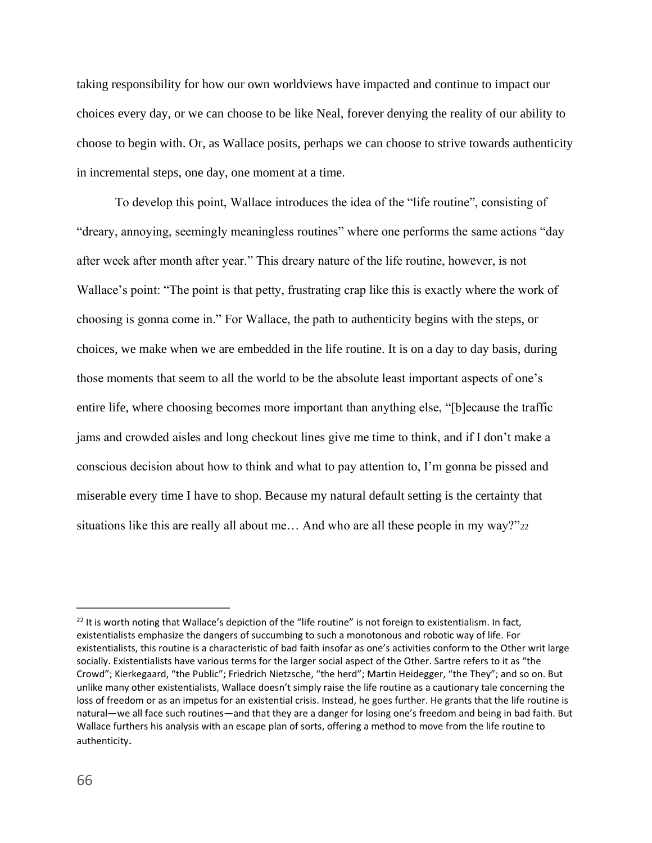taking responsibility for how our own worldviews have impacted and continue to impact our choices every day, or we can choose to be like Neal, forever denying the reality of our ability to choose to begin with. Or, as Wallace posits, perhaps we can choose to strive towards authenticity in incremental steps, one day, one moment at a time.

To develop this point, Wallace introduces the idea of the "life routine", consisting of "dreary, annoying, seemingly meaningless routines" where one performs the same actions "day after week after month after year." This dreary nature of the life routine, however, is not Wallace's point: "The point is that petty, frustrating crap like this is exactly where the work of choosing is gonna come in." For Wallace, the path to authenticity begins with the steps, or choices, we make when we are embedded in the life routine. It is on a day to day basis, during those moments that seem to all the world to be the absolute least important aspects of one's entire life, where choosing becomes more important than anything else, "[b]ecause the traffic jams and crowded aisles and long checkout lines give me time to think, and if I don't make a conscious decision about how to think and what to pay attention to, I'm gonna be pissed and miserable every time I have to shop. Because my natural default setting is the certainty that situations like this are really all about me… And who are all these people in my way?"<sup>22</sup>

 $22$  It is worth noting that Wallace's depiction of the "life routine" is not foreign to existentialism. In fact, existentialists emphasize the dangers of succumbing to such a monotonous and robotic way of life. For existentialists, this routine is a characteristic of bad faith insofar as one's activities conform to the Other writ large socially. Existentialists have various terms for the larger social aspect of the Other. Sartre refers to it as "the Crowd"; Kierkegaard, "the Public"; Friedrich Nietzsche, "the herd"; Martin Heidegger, "the They"; and so on. But unlike many other existentialists, Wallace doesn't simply raise the life routine as a cautionary tale concerning the loss of freedom or as an impetus for an existential crisis. Instead, he goes further. He grants that the life routine is natural—we all face such routines—and that they are a danger for losing one's freedom and being in bad faith. But Wallace furthers his analysis with an escape plan of sorts, offering a method to move from the life routine to authenticity.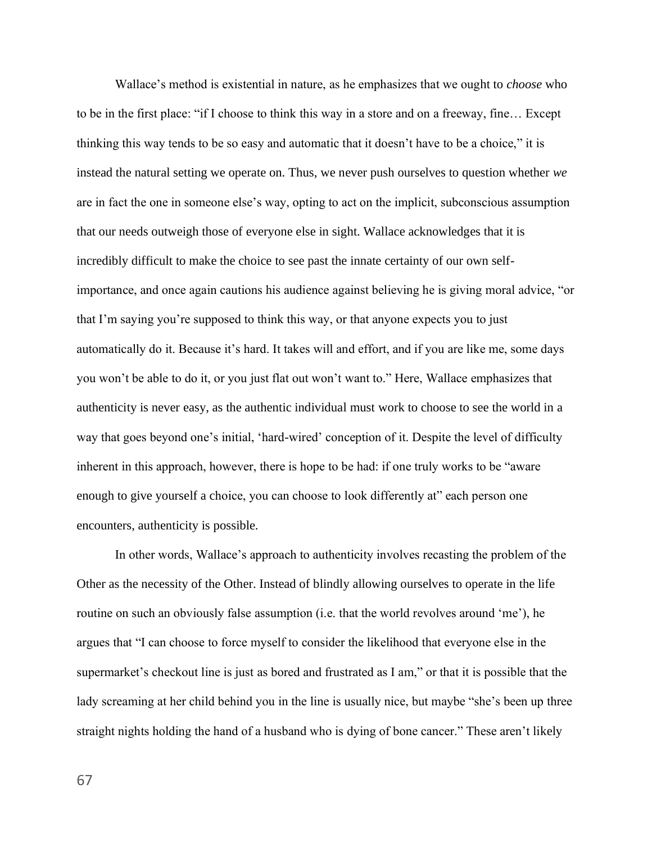Wallace's method is existential in nature, as he emphasizes that we ought to *choose* who to be in the first place: "if I choose to think this way in a store and on a freeway, fine… Except thinking this way tends to be so easy and automatic that it doesn't have to be a choice," it is instead the natural setting we operate on. Thus, we never push ourselves to question whether *we*  are in fact the one in someone else's way, opting to act on the implicit, subconscious assumption that our needs outweigh those of everyone else in sight. Wallace acknowledges that it is incredibly difficult to make the choice to see past the innate certainty of our own selfimportance, and once again cautions his audience against believing he is giving moral advice, "or that I'm saying you're supposed to think this way, or that anyone expects you to just automatically do it. Because it's hard. It takes will and effort, and if you are like me, some days you won't be able to do it, or you just flat out won't want to." Here, Wallace emphasizes that authenticity is never easy, as the authentic individual must work to choose to see the world in a way that goes beyond one's initial, 'hard-wired' conception of it. Despite the level of difficulty inherent in this approach, however, there is hope to be had: if one truly works to be "aware enough to give yourself a choice, you can choose to look differently at" each person one encounters, authenticity is possible.

In other words, Wallace's approach to authenticity involves recasting the problem of the Other as the necessity of the Other. Instead of blindly allowing ourselves to operate in the life routine on such an obviously false assumption (i.e. that the world revolves around 'me'), he argues that "I can choose to force myself to consider the likelihood that everyone else in the supermarket's checkout line is just as bored and frustrated as I am," or that it is possible that the lady screaming at her child behind you in the line is usually nice, but maybe "she's been up three straight nights holding the hand of a husband who is dying of bone cancer." These aren't likely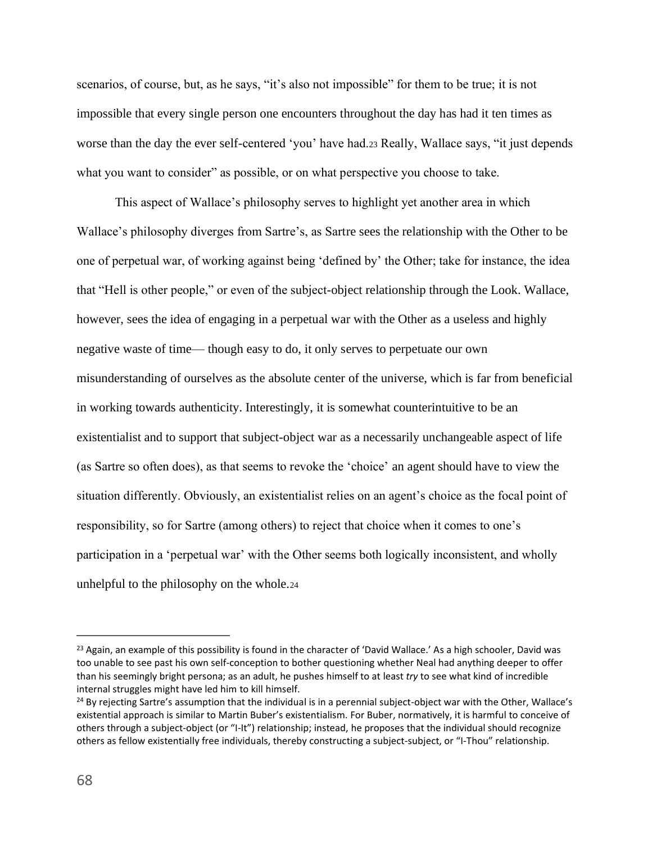scenarios, of course, but, as he says, "it's also not impossible" for them to be true; it is not impossible that every single person one encounters throughout the day has had it ten times as worse than the day the ever self-centered 'you' have had.<sup>23</sup> Really, Wallace says, "it just depends what you want to consider" as possible, or on what perspective you choose to take.

This aspect of Wallace's philosophy serves to highlight yet another area in which Wallace's philosophy diverges from Sartre's, as Sartre sees the relationship with the Other to be one of perpetual war, of working against being 'defined by' the Other; take for instance, the idea that "Hell is other people," or even of the subject-object relationship through the Look. Wallace, however, sees the idea of engaging in a perpetual war with the Other as a useless and highly negative waste of time— though easy to do, it only serves to perpetuate our own misunderstanding of ourselves as the absolute center of the universe, which is far from beneficial in working towards authenticity. Interestingly, it is somewhat counterintuitive to be an existentialist and to support that subject-object war as a necessarily unchangeable aspect of life (as Sartre so often does), as that seems to revoke the 'choice' an agent should have to view the situation differently. Obviously, an existentialist relies on an agent's choice as the focal point of responsibility, so for Sartre (among others) to reject that choice when it comes to one's participation in a 'perpetual war' with the Other seems both logically inconsistent, and wholly unhelpful to the philosophy on the whole.<sup>24</sup>

<sup>&</sup>lt;sup>23</sup> Again, an example of this possibility is found in the character of 'David Wallace.' As a high schooler, David was too unable to see past his own self-conception to bother questioning whether Neal had anything deeper to offer than his seemingly bright persona; as an adult, he pushes himself to at least *try* to see what kind of incredible internal struggles might have led him to kill himself.

<sup>&</sup>lt;sup>24</sup> By rejecting Sartre's assumption that the individual is in a perennial subject-object war with the Other, Wallace's existential approach is similar to Martin Buber's existentialism. For Buber, normatively, it is harmful to conceive of others through a subject-object (or "I-It") relationship; instead, he proposes that the individual should recognize others as fellow existentially free individuals, thereby constructing a subject-subject, or "I-Thou" relationship.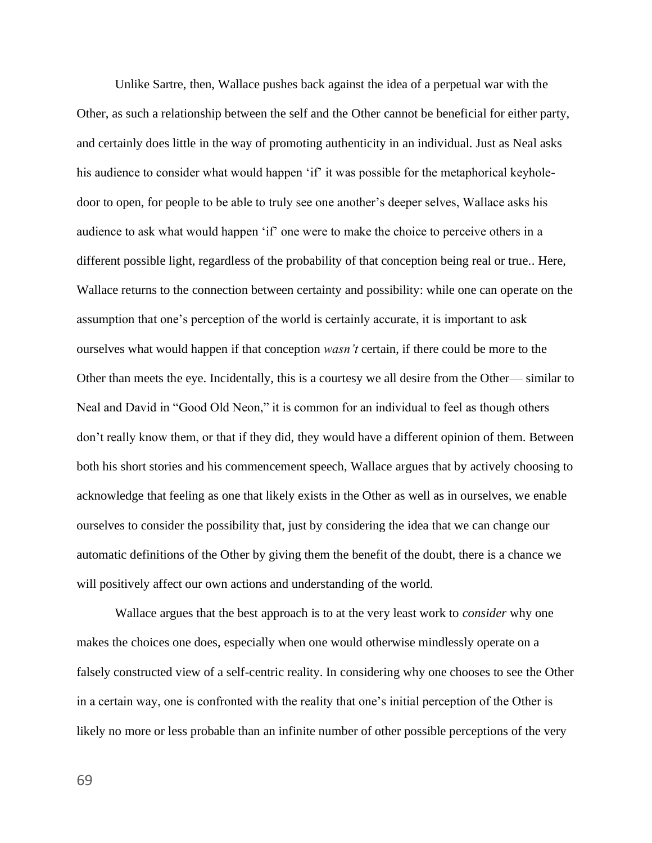Unlike Sartre, then, Wallace pushes back against the idea of a perpetual war with the Other, as such a relationship between the self and the Other cannot be beneficial for either party, and certainly does little in the way of promoting authenticity in an individual. Just as Neal asks his audience to consider what would happen 'if' it was possible for the metaphorical keyholedoor to open, for people to be able to truly see one another's deeper selves, Wallace asks his audience to ask what would happen 'if' one were to make the choice to perceive others in a different possible light, regardless of the probability of that conception being real or true.. Here, Wallace returns to the connection between certainty and possibility: while one can operate on the assumption that one's perception of the world is certainly accurate, it is important to ask ourselves what would happen if that conception *wasn't* certain, if there could be more to the Other than meets the eye. Incidentally, this is a courtesy we all desire from the Other— similar to Neal and David in "Good Old Neon," it is common for an individual to feel as though others don't really know them, or that if they did, they would have a different opinion of them. Between both his short stories and his commencement speech, Wallace argues that by actively choosing to acknowledge that feeling as one that likely exists in the Other as well as in ourselves, we enable ourselves to consider the possibility that, just by considering the idea that we can change our automatic definitions of the Other by giving them the benefit of the doubt, there is a chance we will positively affect our own actions and understanding of the world.

Wallace argues that the best approach is to at the very least work to *consider* why one makes the choices one does, especially when one would otherwise mindlessly operate on a falsely constructed view of a self-centric reality. In considering why one chooses to see the Other in a certain way, one is confronted with the reality that one's initial perception of the Other is likely no more or less probable than an infinite number of other possible perceptions of the very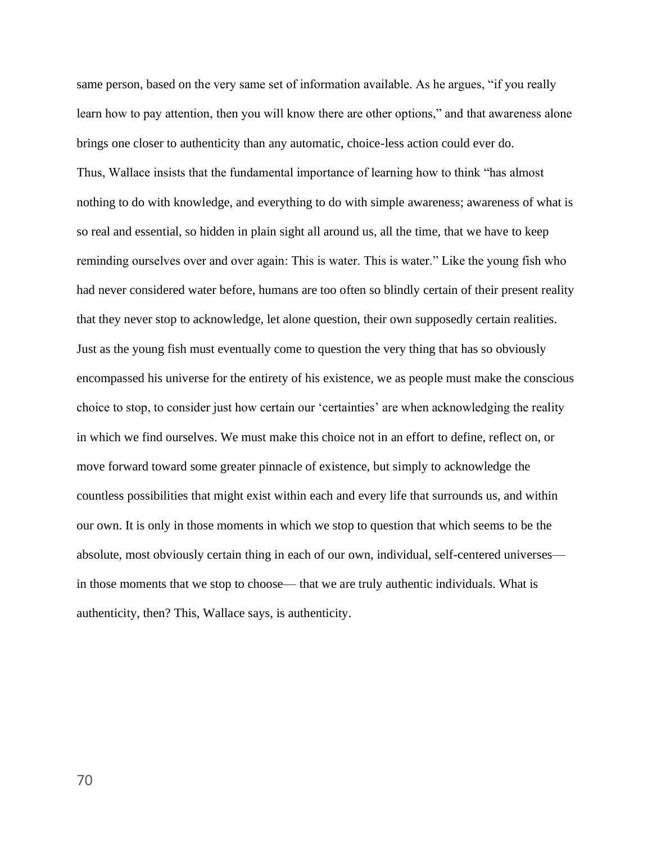same person, based on the very same set of information available. As he argues, "if you really learn how to pay attention, then you will know there are other options," and that awareness alone brings one closer to authenticity than any automatic, choice-less action could ever do. Thus, Wallace insists that the fundamental importance of learning how to think "has almost nothing to do with knowledge, and everything to do with simple awareness; awareness of what is so real and essential, so hidden in plain sight all around us, all the time, that we have to keep reminding ourselves over and over again: This is water. This is water." Like the young fish who had never considered water before, humans are too often so blindly certain of their present reality that they never stop to acknowledge, let alone question, their own supposedly certain realities. Just as the young fish must eventually come to question the very thing that has so obviously encompassed his universe for the entirety of his existence, we as people must make the conscious choice to stop, to consider just how certain our 'certainties' are when acknowledging the reality in which we find ourselves. We must make this choice not in an effort to define, reflect on, or move forward toward some greater pinnacle of existence, but simply to acknowledge the countless possibilities that might exist within each and every life that surrounds us, and within our own. It is only in those moments in which we stop to question that which seems to be the absolute, most obviously certain thing in each of our own, individual, self-centered universes in those moments that we stop to choose— that we are truly authentic individuals. What is authenticity, then? This, Wallace says, is authenticity.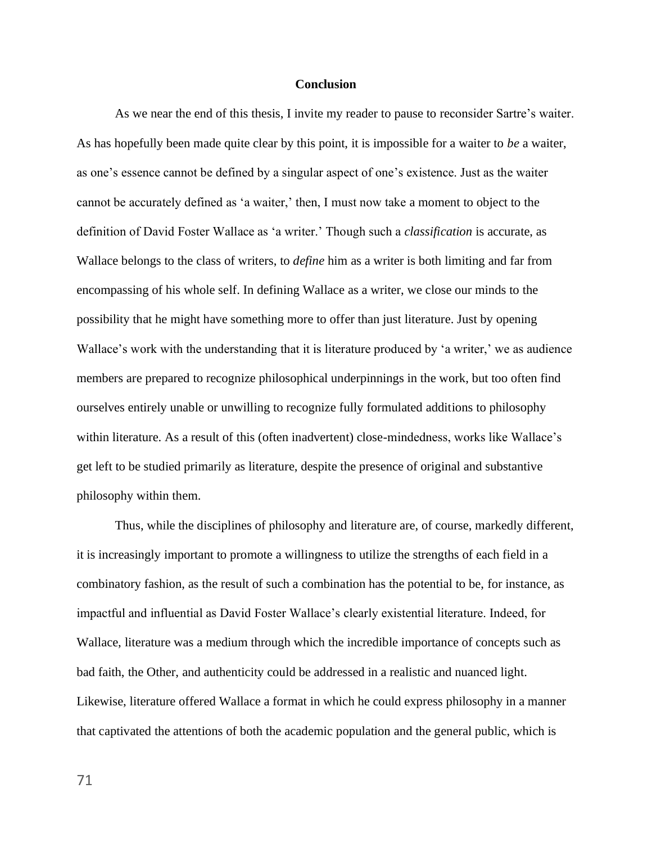### **Conclusion**

As we near the end of this thesis, I invite my reader to pause to reconsider Sartre's waiter. As has hopefully been made quite clear by this point, it is impossible for a waiter to *be* a waiter, as one's essence cannot be defined by a singular aspect of one's existence. Just as the waiter cannot be accurately defined as 'a waiter,' then, I must now take a moment to object to the definition of David Foster Wallace as 'a writer.' Though such a *classification* is accurate, as Wallace belongs to the class of writers, to *define* him as a writer is both limiting and far from encompassing of his whole self. In defining Wallace as a writer, we close our minds to the possibility that he might have something more to offer than just literature. Just by opening Wallace's work with the understanding that it is literature produced by 'a writer,' we as audience members are prepared to recognize philosophical underpinnings in the work, but too often find ourselves entirely unable or unwilling to recognize fully formulated additions to philosophy within literature. As a result of this (often inadvertent) close-mindedness, works like Wallace's get left to be studied primarily as literature, despite the presence of original and substantive philosophy within them.

Thus, while the disciplines of philosophy and literature are, of course, markedly different, it is increasingly important to promote a willingness to utilize the strengths of each field in a combinatory fashion, as the result of such a combination has the potential to be, for instance, as impactful and influential as David Foster Wallace's clearly existential literature. Indeed, for Wallace, literature was a medium through which the incredible importance of concepts such as bad faith, the Other, and authenticity could be addressed in a realistic and nuanced light. Likewise, literature offered Wallace a format in which he could express philosophy in a manner that captivated the attentions of both the academic population and the general public, which is

71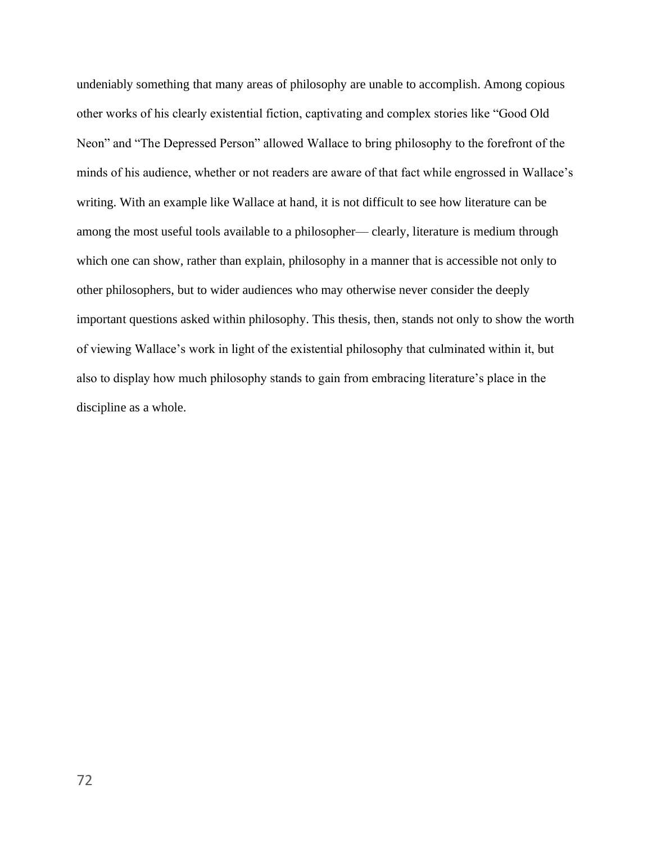undeniably something that many areas of philosophy are unable to accomplish. Among copious other works of his clearly existential fiction, captivating and complex stories like "Good Old Neon" and "The Depressed Person" allowed Wallace to bring philosophy to the forefront of the minds of his audience, whether or not readers are aware of that fact while engrossed in Wallace's writing. With an example like Wallace at hand, it is not difficult to see how literature can be among the most useful tools available to a philosopher— clearly, literature is medium through which one can show, rather than explain, philosophy in a manner that is accessible not only to other philosophers, but to wider audiences who may otherwise never consider the deeply important questions asked within philosophy. This thesis, then, stands not only to show the worth of viewing Wallace's work in light of the existential philosophy that culminated within it, but also to display how much philosophy stands to gain from embracing literature's place in the discipline as a whole.